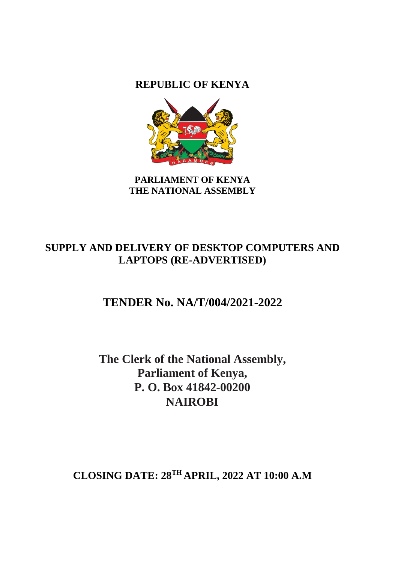**REPUBLIC OF KENYA**



**PARLIAMENT OF KENYA THE NATIONAL ASSEMBLY**

# **SUPPLY AND DELIVERY OF DESKTOP COMPUTERS AND LAPTOPS (RE-ADVERTISED)**

# **TENDER No. NA/T/004/2021-2022**

**The Clerk of the National Assembly, Parliament of Kenya, P. O. Box 41842-00200 NAIROBI**

**CLOSING DATE: 28 TH APRIL, 2022 AT 10:00 A.M**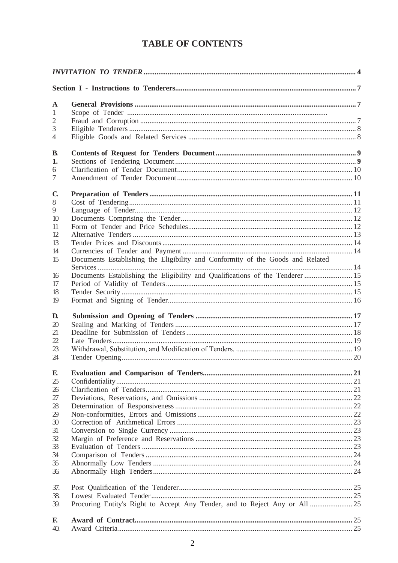# **TABLE OF CONTENTS**

| $\mathbf{A}$   |                                                                                |  |
|----------------|--------------------------------------------------------------------------------|--|
| $\mathbf{1}$   |                                                                                |  |
| 2              |                                                                                |  |
| 3              |                                                                                |  |
| $\overline{4}$ |                                                                                |  |
| B.             |                                                                                |  |
| 1.             |                                                                                |  |
| 6              |                                                                                |  |
| 7              |                                                                                |  |
| $\mathbf C$    |                                                                                |  |
| 8              |                                                                                |  |
| 9              |                                                                                |  |
| 10             |                                                                                |  |
| 11             |                                                                                |  |
| 12             |                                                                                |  |
| 13             |                                                                                |  |
| 14             |                                                                                |  |
| 15             | Documents Establishing the Eligibility and Conformity of the Goods and Related |  |
|                |                                                                                |  |
| 16<br>17       | Documents Establishing the Eligibility and Qualifications of the Tenderer  15  |  |
| 18             |                                                                                |  |
| 19             |                                                                                |  |
| D.             |                                                                                |  |
| 20             |                                                                                |  |
| 21             |                                                                                |  |
| 22             |                                                                                |  |
| 23             |                                                                                |  |
| 24             |                                                                                |  |
|                |                                                                                |  |
| E              |                                                                                |  |
| 25             |                                                                                |  |
| 26<br>27       |                                                                                |  |
| 28             |                                                                                |  |
| 29             |                                                                                |  |
| 30             |                                                                                |  |
| 31             |                                                                                |  |
| 32             |                                                                                |  |
| 33             |                                                                                |  |
| 34             |                                                                                |  |
| 35             |                                                                                |  |
| 36.            |                                                                                |  |
| 37.            |                                                                                |  |
| 38.            |                                                                                |  |
| 39.            | Procuring Entity's Right to Accept Any Tender, and to Reject Any or All  25    |  |
| F.             |                                                                                |  |
| 40.            |                                                                                |  |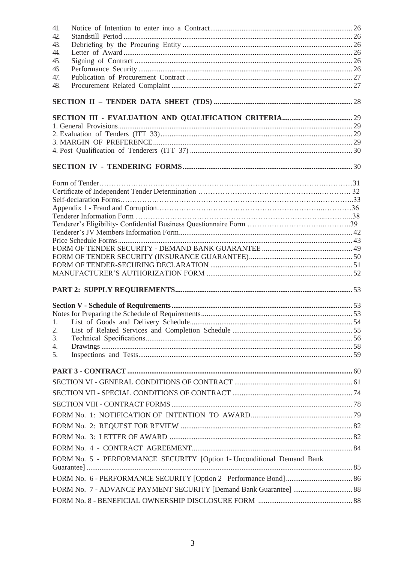| 41.                                                                    |  |
|------------------------------------------------------------------------|--|
| 42.                                                                    |  |
| 43.                                                                    |  |
| 44.                                                                    |  |
| 45.<br>46.                                                             |  |
| 47.                                                                    |  |
| 48.                                                                    |  |
|                                                                        |  |
|                                                                        |  |
|                                                                        |  |
|                                                                        |  |
|                                                                        |  |
|                                                                        |  |
|                                                                        |  |
|                                                                        |  |
|                                                                        |  |
|                                                                        |  |
|                                                                        |  |
|                                                                        |  |
|                                                                        |  |
|                                                                        |  |
|                                                                        |  |
|                                                                        |  |
|                                                                        |  |
|                                                                        |  |
|                                                                        |  |
|                                                                        |  |
|                                                                        |  |
|                                                                        |  |
|                                                                        |  |
| 2.                                                                     |  |
| 3.                                                                     |  |
| 4.                                                                     |  |
| 5.                                                                     |  |
|                                                                        |  |
|                                                                        |  |
|                                                                        |  |
|                                                                        |  |
|                                                                        |  |
|                                                                        |  |
|                                                                        |  |
|                                                                        |  |
| FORM No. 5 - PERFORMANCE SECURITY [Option 1- Unconditional Demand Bank |  |
|                                                                        |  |
|                                                                        |  |
|                                                                        |  |
|                                                                        |  |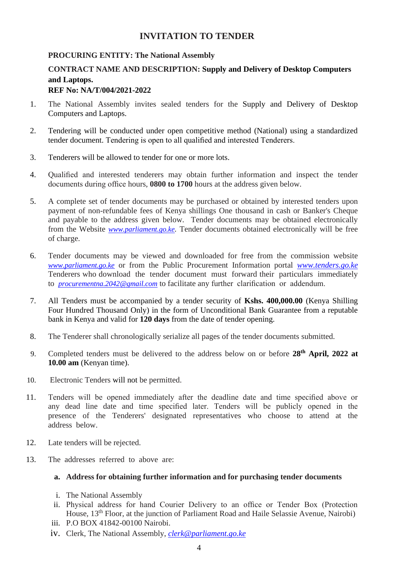# **INVITATION TO TENDER**

# <span id="page-3-0"></span>**PROCURING ENTITY: The National Assembly**

# **CONTRACT NAME AND DESCRIPTION: Supply and Delivery of Desktop Computers and Laptops. REF No: NA/T/004/2021-2022**

- 1. The National Assembly invites sealed tenders for the Supply and Delivery of Desktop Computers and Laptops.
- 2. Tendering will be conducted under open competitive method (National) using a standardized tender document. Tendering is open to all qualified and interested Tenderers.
- 3. Tenderers will be allowed to tender for one or more lots.
- 4. Qualified and interested tenderers may obtain further information and inspect the tender documents during office hours, **0800 to 1700** hours at the address given below.
- 5. A complete set of tender documents may be purchased or obtained by interested tenders upon payment of non-refundable fees of Kenya shillings One thousand in cash or Banker's Cheque and payable to the address given below. Tender documents may be obtained electronically from the Website *[www.parliament.go.ke](http://www.parliament.go.ke/).* Tender documents obtained electronically will be free of charge.
- 6. Tender documents may be viewed and downloaded for free from the commission website *[www.parliament.go.ke](http://www.parliament.go.ke/)* or from the Public Procurement Information portal *[www.tenders.go.ke](http://www.tenders.go.ke/)* Tenderers who download the tender document must forward their particulars immediately to *[procurementna.2042@gmail.com](mailto:procurementna.2042@gmail.com)* to facilitate any further clarification or addendum.
- 7. All Tenders must be accompanied by a tender security of **Kshs. 400,000.00** (Kenya Shilling Four Hundred Thousand Only) in the form of Unconditional Bank Guarantee from a reputable bank in Kenya and valid for **120 days** from the date of tender opening.
- 8. The Tenderer shall chronologically serialize all pages of the tender documents submitted.
- 9. Completed tenders must be delivered to the address below on or before **28 th April, 2022 at 10.00 am** (Kenyan time).
- 10. Electronic Tenders will not be permitted.
- 11. Tenders will be opened immediately after the deadline date and time specified above or any dead line date and time specified later. Tenders will be publicly opened in the presence of the Tenderers' designated representatives who choose to attend at the address below.
- 12. Late tenders will be rejected.
- 13. The addresses referred to above are:

## **a. Address for obtaining further information and for purchasing tender documents**

- i. The National Assembly
- ii. Physical address for hand Courier Delivery to an office or Tender Box (Protection House, 13<sup>th</sup> Floor, at the junction of Parliament Road and Haile Selassie Avenue, Nairobi)
- iii. P.O BOX 41842-00100 Nairobi.
- iv. Clerk, The National Assembly, *[clerk@parliament.go.ke](mailto:clerk@parliament.go.ke)*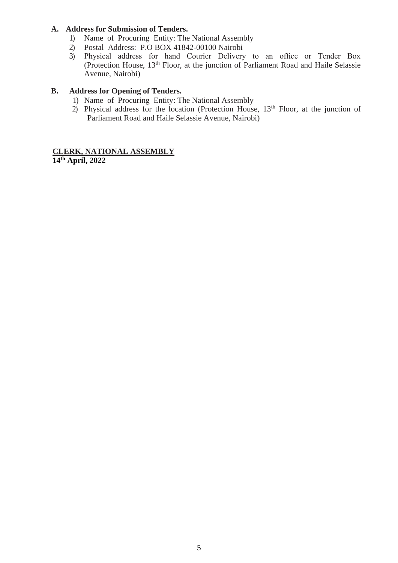# **A. Address for Submission of Tenders.**

- 1) Name of Procuring Entity: The National Assembly
- 2) Postal Address: P.O BOX 41842-00100 Nairobi<br>3) Physical address for hand Courier Delivery
- 3) Physical address for hand Courier Delivery to an office or Tender Box (Protection House, 13th Floor, at the junction of Parliament Road and Haile Selassie Avenue, Nairobi)

# **B. Address for Opening of Tenders.**

- 1) Name of Procuring Entity: The National Assembly
- 2) Physical address for the location (Protection House,  $13<sup>th</sup>$  Floor, at the junction of Parliament Road and Haile Selassie Avenue, Nairobi)

# **CLERK, NATIONAL ASSEMBLY 14 th April, 2022**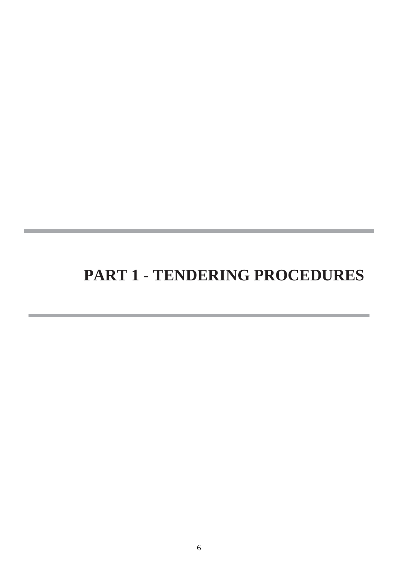# **PART 1 - TENDERING PROCEDURES**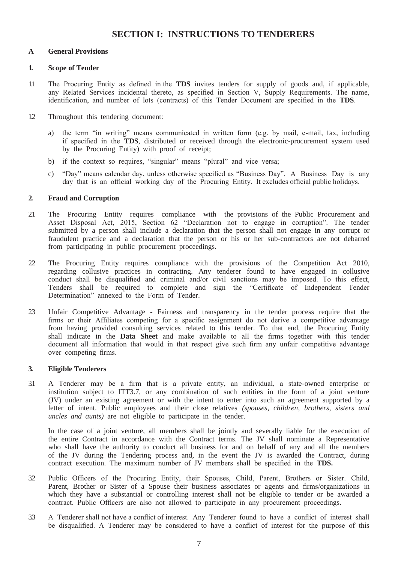# **SECTION I: INSTRUCTIONS TO TENDERERS**

#### <span id="page-6-2"></span><span id="page-6-1"></span><span id="page-6-0"></span>**A General Provisions**

#### **1. Scope of Tender**

- 1.1 The Procuring Entity as defined in the **TDS** invites tenders for supply of goods and, if applicable, any Related Services incidental thereto, as specified in Section V, Supply Requirements. The name, identification, and number of lots (contracts) of this Tender Document are specified in the **TDS**.
- 1.2 Throughout this tendering document:
	- a) the term "in writing" means communicated in written form (e.g. by mail, e-mail, fax, including if specified in the **TDS**, distributed or received through the electronic-procurement system used by the Procuring Entity) with proof of receipt;
	- b) if the context so requires, "singular" means "plural" and vice versa;
	- c) "Day" means calendar day, unless otherwise specified as "Business Day". A Business Day is any day that is an official working day of the Procuring Entity. It excludes official public holidays.

#### <span id="page-6-3"></span>**2. Fraud and Corruption**

- 2.1 The Procuring Entity requires compliance with the provisions of the Public Procurement and Asset Disposal Act, 2015, Section 62 "Declaration not to engage in corruption". The tender submitted by a person shall include a declaration that the person shall not engage in any corrupt or fraudulent practice and a declaration that the person or his or her sub-contractors are not debarred from participating in public procurement proceedings.
- 2.2 The Procuring Entity requires compliance with the provisions of the Competition Act 2010, regarding collusive practices in contracting. Any tenderer found to have engaged in collusive conduct shall be disqualified and criminal and/or civil sanctions may be imposed. To this effect, Tenders shall be required to complete and sign the "Certificate of Independent Tender Determination" annexed to the Form of Tender.
- 2.3 Unfair Competitive Advantage Fairness and transparency in the tender process require that the firms or their Affiliates competing for a specific assignment do not derive a competitive advantage from having provided consulting services related to this tender. To that end, the Procuring Entity shall indicate in the **Data Sheet** and make available to all the firms together with this tender document all information that would in that respect give such firm any unfair competitive advantage over competing firms.

#### **3. Eligible Tenderers**

3.1 A Tenderer may be a firm that is a private entity, an individual, a state-owned enterprise or institution subject to ITT3.7, or any combination of such entities in the form of a joint venture (JV) under an existing agreement or with the intent to enter into such an agreement supported by a letter of intent. Public employees and their close relatives *(spouses, children, brothers, sisters and uncles and aunts)* are not eligible to participate in the tender.

In the case of a joint venture, all members shall be jointly and severally liable for the execution of the entire Contract in accordance with the Contract terms. The JV shall nominate a Representative who shall have the authority to conduct all business for and on behalf of any and all the members of the JV during the Tendering process and, in the event the JV is awarded the Contract, during contract execution. The maximum number of JV members shall be specified in the **TDS.**

- 3.2 Public Officers of the Procuring Entity, their Spouses, Child, Parent, Brothers or Sister. Child, Parent, Brother or Sister of a Spouse their business associates or agents and firms/organizations in which they have a substantial or controlling interest shall not be eligible to tender or be awarded a contract. Public Officers are also not allowed to participate in any procurement proceedings.
- 3.3 A Tenderer shall not have a conflict of interest. Any Tenderer found to have a conflict of interest shall be disqualified. A Tenderer may be considered to have a conflict of interest for the purpose of this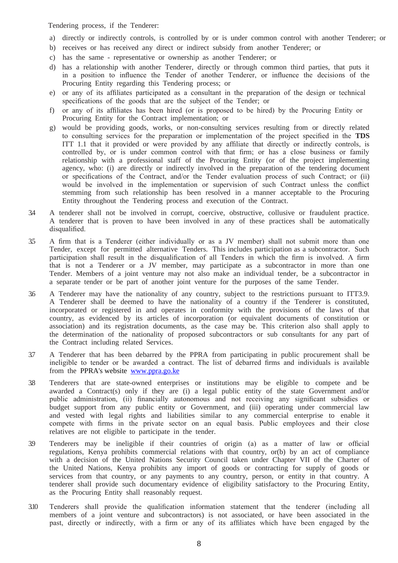Tendering process, if the Tenderer:

- a) directly or indirectly controls, is controlled by or is under common control with another Tenderer; or
- b) receives or has received any direct or indirect subsidy from another Tenderer; or
- c) has the same representative or ownership as another Tenderer; or
- d) has a relationship with another Tenderer, directly or through common third parties, that puts it in a position to influence the Tender of another Tenderer, or influence the decisions of the Procuring Entity regarding this Tendering process; or
- e) or any of its affiliates participated as a consultant in the preparation of the design or technical specifications of the goods that are the subject of the Tender; or
- f) or any of its affiliates has been hired (or is proposed to be hired) by the Procuring Entity or Procuring Entity for the Contract implementation; or
- g) would be providing goods, works, or non-consulting services resulting from or directly related to consulting services for the preparation or implementation of the project specified in the **TDS** ITT 1.1 that it provided or were provided by any affiliate that directly or indirectly controls, is controlled by, or is under common control with that firm; or has a close business or family relationship with a professional staff of the Procuring Entity (or of the project implementing agency, who: (i) are directly or indirectly involved in the preparation of the tendering document or specifications of the Contract, and/or the Tender evaluation process of such Contract; or (ii) would be involved in the implementation or supervision of such Contract unless the conflict stemming from such relationship has been resolved in a manner acceptable to the Procuring Entity throughout the Tendering process and execution of the Contract.
- 3.4 A tenderer shall not be involved in corrupt, coercive, obstructive, collusive or fraudulent practice. A tenderer that is proven to have been involved in any of these practices shall be automatically disqualified.
- 3.5 A firm that is a Tenderer (either individually or as a JV member) shall not submit more than one Tender, except for permitted alternative Tenders. This includes participation as a subcontractor. Such participation shall result in the disqualification of all Tenders in which the firm is involved. A firm that is not a Tenderer or a JV member, may participate as a subcontractor in more than one Tender. Members of a joint venture may not also make an individual tender, be a subcontractor in a separate tender or be part of another joint venture for the purposes of the same Tender.
- 3.6 A Tenderer may have the nationality of any country, subject to the restrictions pursuant to ITT3.9. A Tenderer shall be deemed to have the nationality of a country if the Tenderer is constituted, incorporated or registered in and operates in conformity with the provisions of the laws of that country, as evidenced by its articles of incorporation (or equivalent documents of constitution or association) and its registration documents, as the case may be. This criterion also shall apply to the determination of the nationality of proposed subcontractors or sub consultants for any part of the Contract including related Services.
- 3.7 A Tenderer that has been debarred by the PPRA from participating in public procurement shall be ineligible to tender or be awarded a contract. The list of debarred firms and individuals is available from the PPRA's website [www.ppra.go.ke](http://www.ppra.go.ke/)
- 3.8 Tenderers that are state-owned enterprises or institutions may be eligible to compete and be awarded a Contract(s) only if they are (i) a legal public entity of the state Government and/or public administration, (ii) financially autonomous and not receiving any significant subsidies or budget support from any public entity or Government, and (iii) operating under commercial law and vested with legal rights and liabilities similar to any commercial enterprise to enable it compete with firms in the private sector on an equal basis. Public employees and their close relatives are not eligible to participate in the tender.
- 3.9 Tenderers may be ineligible if their countries of origin (a) as a matter of law or official regulations, Kenya prohibits commercial relations with that country, or(b) by an act of compliance with a decision of the United Nations Security Council taken under Chapter VII of the Charter of the United Nations, Kenya prohibits any import of goods or contracting for supply of goods or services from that country, or any payments to any country, person, or entity in that country. A tenderer shall provide such documentary evidence of eligibility satisfactory to the Procuring Entity, as the Procuring Entity shall reasonably request.
- 3.10 Tenderers shall provide the qualification information statement that the tenderer (including all members of a joint venture and subcontractors) is not associated, or have been associated in the past, directly or indirectly, with a firm or any of its affiliates which have been engaged by the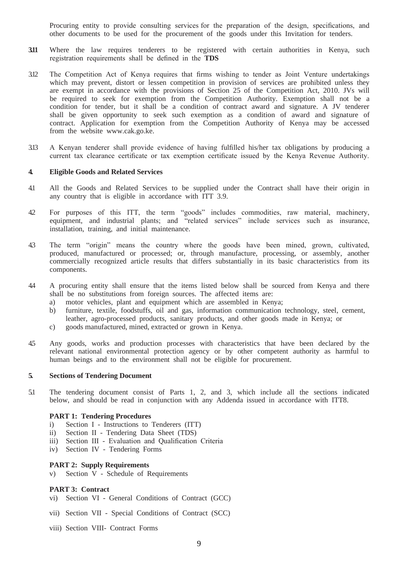Procuring entity to provide consulting services for the preparation of the design, specifications, and other documents to be used for the procurement of the goods under this Invitation for tenders.

- **3.11** Where the law requires tenderers to be registered with certain authorities in Kenya, such registration requirements shall be defined in the **TDS**
- 3.12 The Competition Act of Kenya requires that firms wishing to tender as Joint Venture undertakings which may prevent, distort or lessen competition in provision of services are prohibited unless they are exempt in accordance with the provisions of Section 25 of the Competition Act, 2010. JVs will be required to seek for exemption from the Competition Authority. Exemption shall not be a condition for tender, but it shall be a condition of contract award and signature. A JV tenderer shall be given opportunity to seek such exemption as a condition of award and signature of contract. Application for exemption from the Competition Authority of Kenya may be accessed from the website [www.cak.go.ke.](http://www.cak.go.ke/)
- 3.13 A Kenyan tenderer shall provide evidence of having fulfilled his/her tax obligations by producing a current tax clearance certificate or tax exemption certificate issued by the Kenya Revenue Authority.

#### <span id="page-8-0"></span>**4. Eligible Goods and Related Services**

- 4.1 All the Goods and Related Services to be supplied under the Contract shall have their origin in any country that is eligible in accordance with ITT 3.9.
- 4.2 For purposes of this ITT, the term "goods" includes commodities, raw material, machinery, equipment, and industrial plants; and "related services" include services such as insurance, installation, training, and initial maintenance.
- 4.3 The term "origin" means the country where the goods have been mined, grown, cultivated, produced, manufactured or processed; or, through manufacture, processing, or assembly, another commercially recognized article results that differs substantially in its basic characteristics from its components.
- 4.4 A procuring entity shall ensure that the items listed below shall be sourced from Kenya and there shall be no substitutions from foreign sources. The affected items are:
	- a) motor vehicles, plant and equipment which are assembled in Kenya;
	- b) furniture, textile, foodstuffs, oil and gas, information communication technology, steel, cement, leather, agro-processed products, sanitary products, and other goods made in Kenya; or
	- c) goods manufactured, mined, extracted or grown in Kenya.
- 4.5 Any goods, works and production processes with characteristics that have been declared by the relevant national environmental protection agency or by other competent authority as harmful to human beings and to the environment shall not be eligible for procurement.

#### <span id="page-8-1"></span>**5. Sections of Tendering Document**

5.1 The tendering document consist of Parts 1, 2, and 3, which include all the sections indicated below, and should be read in conjunction with any Addenda issued in accordance with ITT8.

#### **PART 1: Tendering Procedures**

- i) Section I Instructions to Tenderers (ITT)
- ii) Section II Tendering Data Sheet (TDS)
- iii) Section III Evaluation and Qualification Criteria
- iv) Section IV Tendering Forms

#### **PART 2: Supply Requirements**

v) Section V - Schedule of Requirements

#### **PART 3: Contract**

- vi) Section VI General Conditions of Contract (GCC)
- vii) Section VII Special Conditions of Contract (SCC)
- viii) Section VIII- Contract Forms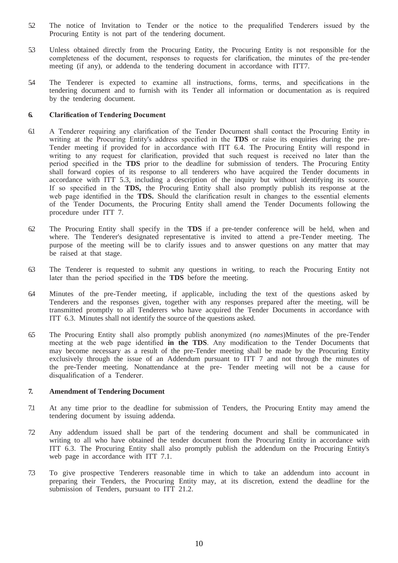- 5.2 The notice of Invitation to Tender or the notice to the prequalified Tenderers issued by the Procuring Entity is not part of the tendering document.
- 5.3 Unless obtained directly from the Procuring Entity, the Procuring Entity is not responsible for the completeness of the document, responses to requests for clarification, the minutes of the pre-tender meeting (if any), or addenda to the tendering document in accordance with ITT7.
- 5.4 The Tenderer is expected to examine all instructions, forms, terms, and specifications in the tendering document and to furnish with its Tender all information or documentation as is required by the tendering document.

#### **6. Clarification of Tendering Document**

- 6.1 A Tenderer requiring any clarification of the Tender Document shall contact the Procuring Entity in writing at the Procuring Entity's address specified in the **TDS** or raise its enquiries during the pre-Tender meeting if provided for in accordance with ITT 6.4. The Procuring Entity will respond in writing to any request for clarification, provided that such request is received no later than the period specified in the **TDS** prior to the deadline for submission of tenders. The Procuring Entity shall forward copies of its response to all tenderers who have acquired the Tender documents in accordance with ITT 5.3, including a description of the inquiry but without identifying its source. If so specified in the **TDS,** the Procuring Entity shall also promptly publish its response at the web page identified in the **TDS**. Should the clarification result in changes to the essential elements of the Tender Documents, the Procuring Entity shall amend the Tender Documents following the procedure under ITT 7.
- 6.2 The Procuring Entity shall specify in the **TDS** if a pre-tender conference will be held, when and where. The Tenderer's designated representative is invited to attend a pre-Tender meeting. The purpose of the meeting will be to clarify issues and to answer questions on any matter that may be raised at that stage.
- 6.3 The Tenderer is requested to submit any questions in writing, to reach the Procuring Entity not later than the period specified in the **TDS** before the meeting.
- 6.4 Minutes of the pre-Tender meeting, if applicable, including the text of the questions asked by Tenderers and the responses given, together with any responses prepared after the meeting, will be transmitted promptly to all Tenderers who have acquired the Tender Documents in accordance with ITT 6.3. Minutes shall not identify the source of the questions asked.
- 6.5 The Procuring Entity shall also promptly publish anonymized (*no names*)Minutes of the pre-Tender meeting at the web page identified **in the TDS**. Any modification to the Tender Documents that may become necessary as a result of the pre-Tender meeting shall be made by the Procuring Entity exclusively through the issue of an Addendum pursuant to ITT 7 and not through the minutes of the pre-Tender meeting. Nonattendance at the pre- Tender meeting will not be a cause for disqualification of a Tenderer.

#### **7. Amendment of Tendering Document**

- 7.1 At any time prior to the deadline for submission of Tenders, the Procuring Entity may amend the tendering document by issuing addenda.
- 7.2 Any addendum issued shall be part of the tendering document and shall be communicated in writing to all who have obtained the tender document from the Procuring Entity in accordance with ITT 6.3. The Procuring Entity shall also promptly publish the addendum on the Procuring Entity's web page in accordance with ITT 7.1.
- 7.3 To give prospective Tenderers reasonable time in which to take an addendum into account in preparing their Tenders, the Procuring Entity may, at its discretion, extend the deadline for the submission of Tenders, pursuant to ITT 21.2.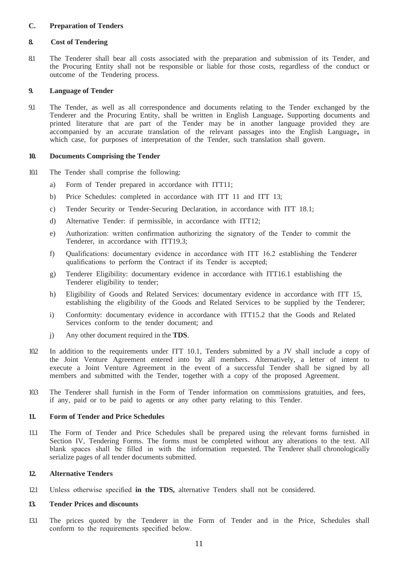#### <span id="page-10-0"></span>**C. Preparation of Tenders**

#### <span id="page-10-1"></span>**8. Cost of Tendering**

8.1 The Tenderer shall bear all costs associated with the preparation and submission of its Tender, and the Procuring Entity shall not be responsible or liable for those costs, regardless of the conduct or outcome of the Tendering process.

#### <span id="page-10-2"></span>**9. Language of Tender**

9.1 The Tender, as well as all correspondence and documents relating to the Tender exchanged by the Tenderer and the Procuring Entity, shall be written in English Language**.** Supporting documents and printed literature that are part of the Tender may be in another language provided they are accompanied by an accurate translation of the relevant passages into the English Language**,** in which case, for purposes of interpretation of the Tender, such translation shall govern.

#### <span id="page-10-3"></span>**10. Documents Comprising the Tender**

- 10.1 The Tender shall comprise the following:
	- a) Form of Tender prepared in accordance with ITT11;
	- b) Price Schedules: completed in accordance with ITT 11 and ITT 13;
	- c) Tender Security or Tender-Securing Declaration, in accordance with ITT 18.1;
	- d) Alternative Tender: if permissible, in accordance with ITT12;
	- e) Authorization: written confirmation authorizing the signatory of the Tender to commit the Tenderer, in accordance with ITT19.3;
	- f) Qualifications: documentary evidence in accordance with ITT 16.2 establishing the Tenderer qualifications to perform the Contract if its Tender is accepted;
	- g) Tenderer Eligibility: documentary evidence in accordance with ITT16.1 establishing the Tenderer eligibility to tender;
	- h) Eligibility of Goods and Related Services: documentary evidence in accordance with ITT 15, establishing the eligibility of the Goods and Related Services to be supplied by the Tenderer;
	- i) Conformity: documentary evidence in accordance with ITT15.2 that the Goods and Related Services conform to the tender document; and
	- j) Any other document required in the **TDS**.
- 10.2 In addition to the requirements under ITT 10.1, Tenders submitted by a JV shall include a copy of the Joint Venture Agreement entered into by all members. Alternatively, a letter of intent to execute a Joint Venture Agreement in the event of a successful Tender shall be signed by all members and submitted with the Tender, together with a copy of the proposed Agreement.
- 10.3 The Tenderer shall furnish in the Form of Tender information on commissions gratuities, and fees, if any, paid or to be paid to agents or any other party relating to this Tender.

#### <span id="page-10-4"></span>**11. Form of Tender and Price Schedules**

11.1 The Form of Tender and Price Schedules shall be prepared using the relevant forms furnished in Section IV, Tendering Forms. The forms must be completed without any alterations to the text. All blank spaces shall be filled in with the information requested. The Tenderer shall chronologically serialize pages of all tender documents submitted.

#### **12. Alternative Tenders**

12.1 Unless otherwise specified **in the TDS,** alternative Tenders shall not be considered.

#### <span id="page-10-5"></span>**13. Tender Prices and discounts**

13.1 The prices quoted by the Tenderer in the Form of Tender and in the Price, Schedules shall conform to the requirements specified below.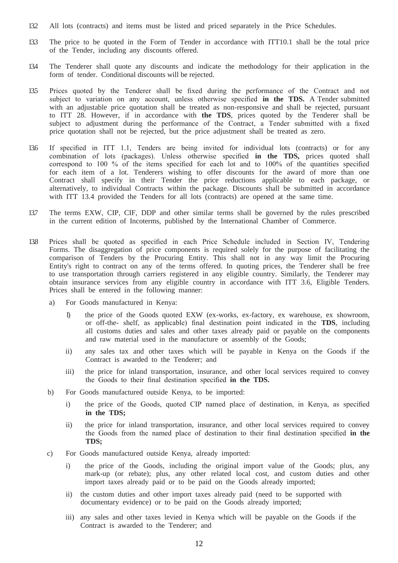- 13.2 All lots (contracts) and items must be listed and priced separately in the Price Schedules.
- 13.3 The price to be quoted in the Form of Tender in accordance with ITT10.1 shall be the total price of the Tender, including any discounts offered.
- 13.4 The Tenderer shall quote any discounts and indicate the methodology for their application in the form of tender. Conditional discounts will be rejected.
- 13.5 Prices quoted by the Tenderer shall be fixed during the performance of the Contract and not subject to variation on any account, unless otherwise specified **in the TDS.** A Tender submitted with an adjustable price quotation shall be treated as non-responsive and shall be rejected, pursuant to ITT 28. However, if in accordance with **the TDS**, prices quoted by the Tenderer shall be subject to adjustment during the performance of the Contract, a Tender submitted with a fixed price quotation shall not be rejected, but the price adjustment shall be treated as zero.
- 13.6 If specified in ITT 1.1, Tenders are being invited for individual lots (contracts) or for any combination of lots (packages). Unless otherwise specified **in the TDS,** prices quoted shall correspond to 100 % of the items specified for each lot and to 100% of the quantities specified for each item of a lot. Tenderers wishing to offer discounts for the award of more than one Contract shall specify in their Tender the price reductions applicable to each package, or alternatively, to individual Contracts within the package. Discounts shall be submitted in accordance with ITT 13.4 provided the Tenders for all lots (contracts) are opened at the same time.
- 13.7 The terms EXW, CIP, CIF, DDP and other similar terms shall be governed by the rules prescribed in the current edition of Incoterms, published by the International Chamber of Commerce.
- 13.8 Prices shall be quoted as specified in each Price Schedule included in Section IV, Tendering Forms. The disaggregation of price components is required solely for the purpose of facilitating the comparison of Tenders by the Procuring Entity. This shall not in any way limit the Procuring Entity's right to contract on any of the terms offered. In quoting prices, the Tenderer shall be free to use transportation through carriers registered in any eligible country. Similarly, the Tenderer may obtain insurance services from any eligible country in accordance with ITT 3.6, Eligible Tenders. Prices shall be entered in the following manner:
	- a) For Goods manufactured in Kenya:
		- I) the price of the Goods quoted EXW (ex-works, ex-factory, ex warehouse, ex showroom, or off-the- shelf, as applicable) final destination point indicated in the **TDS**, including all customs duties and sales and other taxes already paid or payable on the components and raw material used in the manufacture or assembly of the Goods;
		- ii) any sales tax and other taxes which will be payable in Kenya on the Goods if the Contract is awarded to the Tenderer; and
		- iii) the price for inland transportation, insurance, and other local services required to convey the Goods to their final destination specified **in the TDS.**
	- b) For Goods manufactured outside Kenya, to be imported:
		- i) the price of the Goods, quoted CIP named place of destination, in Kenya, as specified **in the TDS;**
		- ii) the price for inland transportation, insurance, and other local services required to convey the Goods from the named place of destination to their final destination specified **in the TDS;**
	- c) For Goods manufactured outside Kenya, already imported:
		- i) the price of the Goods, including the original import value of the Goods; plus, any mark-up (or rebate); plus, any other related local cost, and custom duties and other import taxes already paid or to be paid on the Goods already imported;
		- ii) the custom duties and other import taxes already paid (need to be supported with documentary evidence) or to be paid on the Goods already imported;
		- iii) any sales and other taxes levied in Kenya which will be payable on the Goods if the Contract is awarded to the Tenderer; and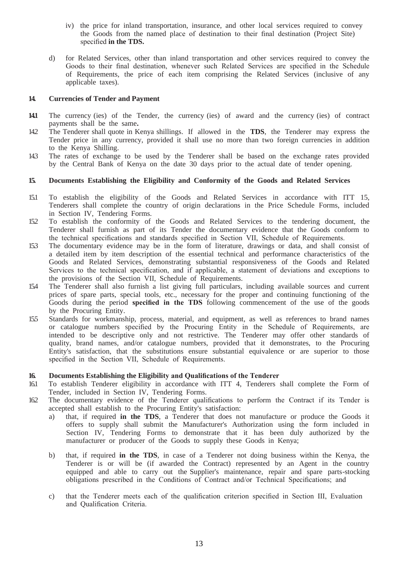- iv) the price for inland transportation, insurance, and other local services required to convey the Goods from the named place of destination to their final destination (Project Site) specified **in the TDS.**
- d) for Related Services, other than inland transportation and other services required to convey the Goods to their final destination, whenever such Related Services are specified in the Schedule of Requirements, the price of each item comprising the Related Services (inclusive of any applicable taxes).

#### <span id="page-12-0"></span>**14. Currencies of Tender and Payment**

- **14.1** The currency (ies) of the Tender, the currency (ies) of award and the currency (ies) of contract payments shall be the same**.**
- 14.2 The Tenderer shall quote in Kenya shillings. If allowed in the **TDS**, the Tenderer may express the Tender price in any currency, provided it shall use no more than two foreign currencies in addition to the Kenya Shilling.
- 14.3 The rates of exchange to be used by the Tenderer shall be based on the exchange rates provided by the Central Bank of Kenya on the date 30 days prior to the actual date of tender opening.

#### <span id="page-12-1"></span>**15. Documents Establishing the Eligibility and Conformity of the Goods and Related Services**

- 15.1 To establish the eligibility of the Goods and Related Services in accordance with ITT 15, Tenderers shall complete the country of origin declarations in the Price Schedule Forms, included in Section IV, Tendering Forms.
- 15.2 To establish the conformity of the Goods and Related Services to the tendering document, the Tenderer shall furnish as part of its Tender the documentary evidence that the Goods conform to the technical specifications and standards specified in Section VII, Schedule of Requirements.
- 15.3 The documentary evidence may be in the form of literature, drawings or data, and shall consist of a detailed item by item description of the essential technical and performance characteristics of the Goods and Related Services, demonstrating substantial responsiveness of the Goods and Related Services to the technical specification, and if applicable, a statement of deviations and exceptions to the provisions of the Section VII, Schedule of Requirements.
- 15.4 The Tenderer shall also furnish a list giving full particulars, including available sources and current prices of spare parts, special tools, etc., necessary for the proper and continuing functioning of the Goods during the period **specified in the TDS** following commencement of the use of the goods by the Procuring Entity.
- 15.5 Standards for workmanship, process, material, and equipment, as well as references to brand names or catalogue numbers specified by the Procuring Entity in the Schedule of Requirements, are intended to be descriptive only and not restrictive. The Tenderer may offer other standards of quality, brand names, and/or catalogue numbers, provided that it demonstrates, to the Procuring Entity's satisfaction, that the substitutions ensure substantial equivalence or are superior to those specified in the Section VII, Schedule of Requirements.

#### <span id="page-12-2"></span>**16. Documents Establishing the Eligibility and Qualifications of the Tenderer**

- 16.1 To establish Tenderer eligibility in accordance with ITT 4, Tenderers shall complete the Form of Tender, included in Section IV, Tendering Forms.
- 16.2 The documentary evidence of the Tenderer qualifications to perform the Contract if its Tender is accepted shall establish to the Procuring Entity's satisfaction:
	- a) that, if required **in the TDS**, a Tenderer that does not manufacture or produce the Goods it offers to supply shall submit the Manufacturer's Authorization using the form included in Section IV, Tendering Forms to demonstrate that it has been duly authorized by the manufacturer or producer of the Goods to supply these Goods in Kenya;
	- b) that, if required **in the TDS**, in case of a Tenderer not doing business within the Kenya, the Tenderer is or will be (if awarded the Contract) represented by an Agent in the country equipped and able to carry out the Supplier's maintenance, repair and spare parts-stocking obligations prescribed in the Conditions of Contract and/or Technical Specifications; and
	- c) that the Tenderer meets each of the qualification criterion specified in Section III, Evaluation and Qualification Criteria.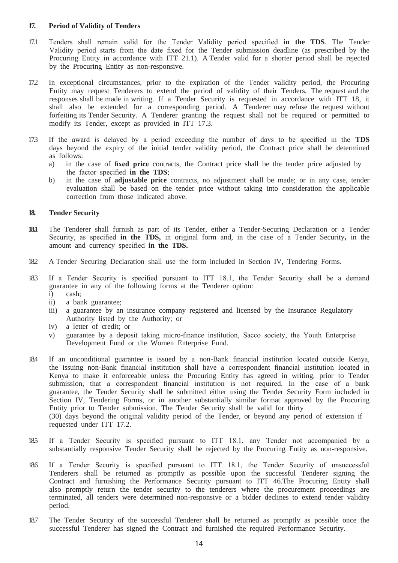#### <span id="page-13-0"></span>**17. Period of Validity of Tenders**

- 17.1 Tenders shall remain valid for the Tender Validity period specified **in the TDS**. The Tender Validity period starts from the date fixed for the Tender submission deadline (as prescribed by the Procuring Entity in accordance with ITT 21.1). A Tender valid for a shorter period shall be rejected by the Procuring Entity as non-responsive.
- 17.2 In exceptional circumstances, prior to the expiration of the Tender validity period, the Procuring Entity may request Tenderers to extend the period of validity of their Tenders. The request and the responses shall be made in writing. If a Tender Security is requested in accordance with ITT 18, it shall also be extended for a corresponding period. A Tenderer may refuse the request without forfeiting its Tender Security. A Tenderer granting the request shall not be required or permitted to modify its Tender, except as provided in ITT 17.3.
- 17.3 If the award is delayed by a period exceeding the number of days to be specified in the **TDS**  days beyond the expiry of the initial tender validity period, the Contract price shall be determined as follows:
	- a) in the case of **fixed price** contracts, the Contract price shall be the tender price adjusted by the factor specified **in the TDS**;
	- b) in the case of **adjustable price** contracts, no adjustment shall be made; or in any case, tender evaluation shall be based on the tender price without taking into consideration the applicable correction from those indicated above.

#### **18. Tender Security**

- **18.1** The Tenderer shall furnish as part of its Tender, either a Tender-Securing Declaration or a Tender Security, as specified **in the TDS,** in original form and, in the case of a Tender Security**,** in the amount and currency specified **in the TDS.**
- 18.2 A Tender Securing Declaration shall use the form included in Section IV, Tendering Forms.
- 18.3 If a Tender Security is specified pursuant to ITT 18.1, the Tender Security shall be a demand guarantee in any of the following forms at the Tenderer option:
	- i) cash;
	- ii) a bank guarantee;<br>iii) a guarantee by an
	- a guarantee by an insurance company registered and licensed by the Insurance Regulatory Authority listed by the Authority; or
	- iv) a letter of credit; or
	- v) guarantee by a deposit taking micro-finance institution, Sacco society, the Youth Enterprise Development Fund or the Women Enterprise Fund.
- 18.4 If an unconditional guarantee is issued by a non-Bank financial institution located outside Kenya, the issuing non-Bank financial institution shall have a correspondent financial institution located in Kenya to make it enforceable unless the Procuring Entity has agreed in writing, prior to Tender submission, that a correspondent financial institution is not required. In the case of a bank guarantee, the Tender Security shall be submitted either using the Tender Security Form included in Section IV, Tendering Forms, or in another substantially similar format approved by the Procuring Entity prior to Tender submission. The Tender Security shall be valid for thirty (30) days beyond the original validity period of the Tender, or beyond any period of extension if requested under ITT 17.2.
- 18.5 If a Tender Security is specified pursuant to ITT 18.1, any Tender not accompanied by a substantially responsive Tender Security shall be rejected by the Procuring Entity as non-responsive.
- 18.6 If a Tender Security is specified pursuant to ITT 18.1, the Tender Security of unsuccessful Tenderers shall be returned as promptly as possible upon the successful Tenderer signing the Contract and furnishing the Performance Security pursuant to ITT 46.The Procuring Entity shall also promptly return the tender security to the tenderers where the procurement proceedings are terminated, all tenders were determined non-responsive or a bidder declines to extend tender validity period.
- 18.7 The Tender Security of the successful Tenderer shall be returned as promptly as possible once the successful Tenderer has signed the Contract and furnished the required Performance Security.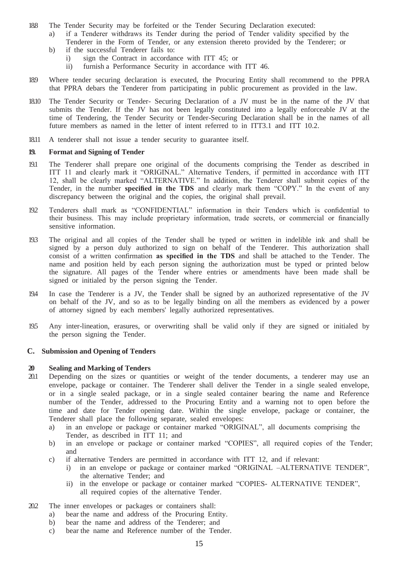- 188 The Tender Security may be forfeited or the Tender Securing Declaration executed:
	- a) if a Tenderer withdraws its Tender during the period of Tender validity specified by the Tenderer in the Form of Tender, or any extension thereto provided by the Tenderer; or
	- b) if the successful Tenderer fails to:
		- i) sign the Contract in accordance with ITT 45; or
		- ii) furnish a Performance Security in accordance with ITT 46.
- 18.9 Where tender securing declaration is executed, the Procuring Entity shall recommend to the PPRA that PPRA debars the Tenderer from participating in public procurement as provided in the law.
- 18.10 The Tender Security or Tender- Securing Declaration of a JV must be in the name of the JV that submits the Tender. If the JV has not been legally constituted into a legally enforceable JV at the time of Tendering, the Tender Security or Tender-Securing Declaration shall be in the names of all future members as named in the letter of intent referred to in ITT3.1 and ITT 10.2.
- 18.11 A tenderer shall not issue a tender security to guarantee itself.

#### <span id="page-14-0"></span>**19. Format and Signing of Tender**

- 19.1 The Tenderer shall prepare one original of the documents comprising the Tender as described in ITT 11 and clearly mark it "ORIGINAL." Alternative Tenders, if permitted in accordance with ITT 12, shall be clearly marked "ALTERNATIVE." In addition, the Tenderer shall submit copies of the Tender, in the number **specified in the TDS** and clearly mark them "COPY." In the event of any discrepancy between the original and the copies, the original shall prevail.
- 19.2 Tenderers shall mark as "CONFIDENTIAL" information in their Tenders which is confidential to their business. This may include proprietary information, trade secrets, or commercial or financially sensitive information.
- 19.3 The original and all copies of the Tender shall be typed or written in indelible ink and shall be signed by a person duly authorized to sign on behalf of the Tenderer. This authorization shall consist of a written confirmation **as specified in the TDS** and shall be attached to the Tender. The name and position held by each person signing the authorization must be typed or printed below the signature. All pages of the Tender where entries or amendments have been made shall be signed or initialed by the person signing the Tender.
- 19.4 In case the Tenderer is a JV, the Tender shall be signed by an authorized representative of the JV on behalf of the JV, and so as to be legally binding on all the members as evidenced by a power of attorney signed by each members' legally authorized representatives.
- 19.5 Any inter-lineation, erasures, or overwriting shall be valid only if they are signed or initialed by the person signing the Tender.

#### <span id="page-14-1"></span>**C. Submission and Opening of Tenders**

#### <span id="page-14-2"></span>**20 Sealing and Marking of Tenders**

- 20.1 Depending on the sizes or quantities or weight of the tender documents, a tenderer may use an envelope, package or container. The Tenderer shall deliver the Tender in a single sealed envelope, or in a single sealed package, or in a single sealed container bearing the name and Reference number of the Tender, addressed to the Procuring Entity and a warning not to open before the time and date for Tender opening date. Within the single envelope, package or container, the Tenderer shall place the following separate, sealed envelopes:
	- a) in an envelope or package or container marked "ORIGINAL", all documents comprising the Tender, as described in ITT 11; and
	- b) in an envelope or package or container marked "COPIES", all required copies of the Tender; and
	- c) if alternative Tenders are permitted in accordance with ITT 12, and if relevant:
		- i) in an envelope or package or container marked "ORIGINAL –ALTERNATIVE TENDER", the alternative Tender; and
		- ii) in the envelope or package or container marked "COPIES- ALTERNATIVE TENDER", all required copies of the alternative Tender.
- 20.2 The inner envelopes or packages or containers shall:
	- a) bear the name and address of the Procuring Entity.
	- b) bear the name and address of the Tenderer; and
	- c) bear the name and Reference number of the Tender.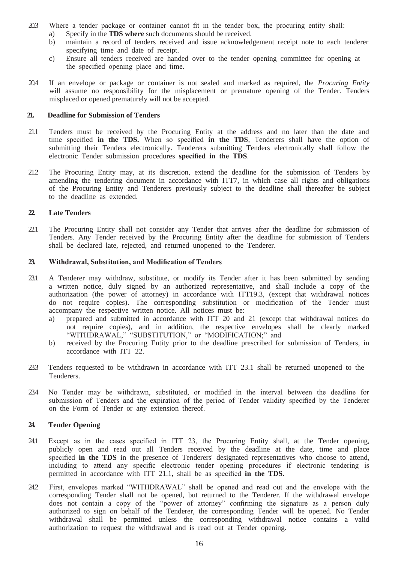- 20.3 Where a tender package or container cannot fit in the tender box, the procuring entity shall:
	- a) Specify in the **TDS where** such documents should be received.
	- b) maintain a record of tenders received and issue acknowledgement receipt note to each tenderer specifying time and date of receipt.
	- c) Ensure all tenders received are handed over to the tender opening committee for opening at the specified opening place and time.
- 20.4 If an envelope or package or container is not sealed and marked as required, the *Procuring Entity*  will assume no responsibility for the misplacement or premature opening of the Tender. Tenders misplaced or opened prematurely will not be accepted.

#### <span id="page-15-0"></span>**21. Deadline for Submission of Tenders**

- 21.1 Tenders must be received by the Procuring Entity at the address and no later than the date and time specified **in the TDS.** When so specified **in the TDS**, Tenderers shall have the option of submitting their Tenders electronically. Tenderers submitting Tenders electronically shall follow the electronic Tender submission procedures **specified in the TDS**.
- 21.2 The Procuring Entity may, at its discretion, extend the deadline for the submission of Tenders by amending the tendering document in accordance with ITT7, in which case all rights and obligations of the Procuring Entity and Tenderers previously subject to the deadline shall thereafter be subject to the deadline as extended.

#### **22. Late Tenders**

22.1 The Procuring Entity shall not consider any Tender that arrives after the deadline for submission of Tenders. Any Tender received by the Procuring Entity after the deadline for submission of Tenders shall be declared late, rejected, and returned unopened to the Tenderer.

#### <span id="page-15-1"></span>**23. Withdrawal, Substitution, and Modification of Tenders**

- 23.1 A Tenderer may withdraw, substitute, or modify its Tender after it has been submitted by sending a written notice, duly signed by an authorized representative, and shall include a copy of the authorization (the power of attorney) in accordance with ITT19.3, (except that withdrawal notices do not require copies). The corresponding substitution or modification of the Tender must accompany the respective written notice. All notices must be:
	- a) prepared and submitted in accordance with ITT 20 and 21 (except that withdrawal notices do not require copies), and in addition, the respective envelopes shall be clearly marked "WITHDRAWAL," "SUBSTITUTION," or "MODIFICATION;" and
	- b) received by the Procuring Entity prior to the deadline prescribed for submission of Tenders, in accordance with ITT 22.
- 23.3 Tenders requested to be withdrawn in accordance with ITT 23.1 shall be returned unopened to the Tenderers.
- 23.4 No Tender may be withdrawn, substituted, or modified in the interval between the deadline for submission of Tenders and the expiration of the period of Tender validity specified by the Tenderer on the Form of Tender or any extension thereof.

#### **24. Tender Opening**

- 24.1 Except as in the cases specified in ITT 23, the Procuring Entity shall, at the Tender opening, publicly open and read out all Tenders received by the deadline at the date, time and place specified **in the TDS** in the presence of Tenderers' designated representatives who choose to attend, including to attend any specific electronic tender opening procedures if electronic tendering is permitted in accordance with ITT 21.1, shall be as specified **in the TDS.**
- 24.2 First, envelopes marked "WITHDRAWAL" shall be opened and read out and the envelope with the corresponding Tender shall not be opened, but returned to the Tenderer. If the withdrawal envelope does not contain a copy of the "power of attorney" confirming the signature as a person duly authorized to sign on behalf of the Tenderer, the corresponding Tender will be opened. No Tender withdrawal shall be permitted unless the corresponding withdrawal notice contains a valid authorization to request the withdrawal and is read out at Tender opening.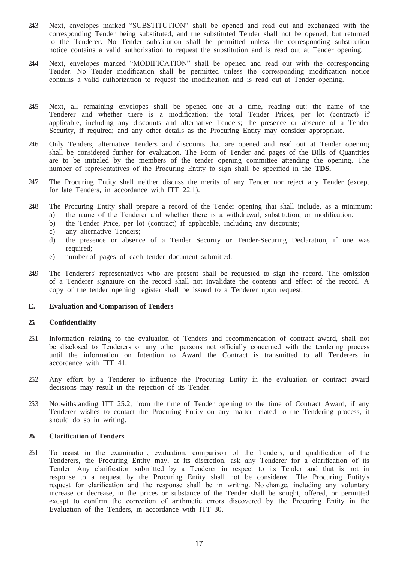- 24.3 Next, envelopes marked "SUBSTITUTION" shall be opened and read out and exchanged with the corresponding Tender being substituted, and the substituted Tender shall not be opened, but returned to the Tenderer. No Tender substitution shall be permitted unless the corresponding substitution notice contains a valid authorization to request the substitution and is read out at Tender opening.
- 24.4 Next, envelopes marked "MODIFICATION" shall be opened and read out with the corresponding Tender. No Tender modification shall be permitted unless the corresponding modification notice contains a valid authorization to request the modification and is read out at Tender opening.
- 24.5 Next, all remaining envelopes shall be opened one at a time, reading out: the name of the Tenderer and whether there is a modification; the total Tender Prices, per lot (contract) if applicable, including any discounts and alternative Tenders; the presence or absence of a Tender Security, if required; and any other details as the Procuring Entity may consider appropriate.
- 24.6 Only Tenders, alternative Tenders and discounts that are opened and read out at Tender opening shall be considered further for evaluation. The Form of Tender and pages of the Bills of Quantities are to be initialed by the members of the tender opening committee attending the opening. The number of representatives of the Procuring Entity to sign shall be specified in the **TDS.**
- 24.7 The Procuring Entity shall neither discuss the merits of any Tender nor reject any Tender (except for late Tenders, in accordance with ITT 22.1).
- 24.8 The Procuring Entity shall prepare a record of the Tender opening that shall include, as a minimum: a) the name of the Tenderer and whether there is a withdrawal, substitution, or modification;
	- b) the Tender Price, per lot (contract) if applicable, including any discounts;
	- c) any alternative Tenders;
	- d) the presence or absence of a Tender Security or Tender-Securing Declaration, if one was required:
	- e) number of pages of each tender document submitted.
- 24.9 The Tenderers' representatives who are present shall be requested to sign the record. The omission of a Tenderer signature on the record shall not invalidate the contents and effect of the record. A copy of the tender opening register shall be issued to a Tenderer upon request.

#### <span id="page-16-1"></span><span id="page-16-0"></span>**E. Evaluation and Comparison of Tenders**

#### **25. Confidentiality**

- 25.1 Information relating to the evaluation of Tenders and recommendation of contract award, shall not be disclosed to Tenderers or any other persons not officially concerned with the tendering process until the information on Intention to Award the Contract is transmitted to all Tenderers in accordance with ITT 41.
- 25.2 Any effort by a Tenderer to influence the Procuring Entity in the evaluation or contract award decisions may result in the rejection of its Tender.
- 25.3 Notwithstanding ITT 25.2, from the time of Tender opening to the time of Contract Award, if any Tenderer wishes to contact the Procuring Entity on any matter related to the Tendering process, it should do so in writing.

#### <span id="page-16-2"></span>**26. Clarification of Tenders**

26.1 To assist in the examination, evaluation, comparison of the Tenders, and qualification of the Tenderers, the Procuring Entity may, at its discretion, ask any Tenderer for a clarification of its Tender. Any clarification submitted by a Tenderer in respect to its Tender and that is not in response to a request by the Procuring Entity shall not be considered. The Procuring Entity's request for clarification and the response shall be in writing. No change, including any voluntary increase or decrease, in the prices or substance of the Tender shall be sought, offered, or permitted except to confirm the correction of arithmetic errors discovered by the Procuring Entity in the Evaluation of the Tenders, in accordance with ITT 30.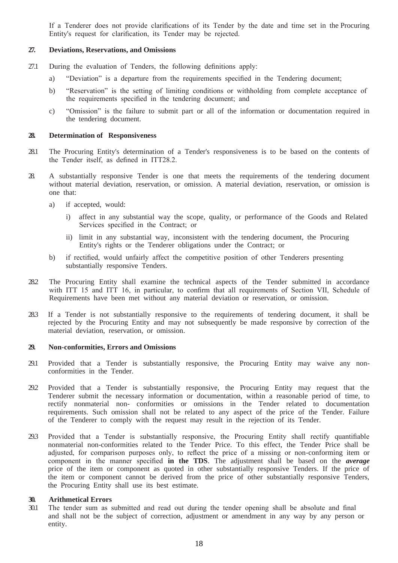If a Tenderer does not provide clarifications of its Tender by the date and time set in the Procuring Entity's request for clarification, its Tender may be rejected.

#### <span id="page-17-0"></span>**27. Deviations, Reservations, and Omissions**

- 27.1 During the evaluation of Tenders, the following definitions apply:
	- a) "Deviation" is a departure from the requirements specified in the Tendering document;
	- b) "Reservation" is the setting of limiting conditions or withholding from complete acceptance of the requirements specified in the tendering document; and
	- c) "Omission" is the failure to submit part or all of the information or documentation required in the tendering document.

#### <span id="page-17-1"></span>**28. Determination of Responsiveness**

- 28.1 The Procuring Entity's determination of a Tender's responsiveness is to be based on the contents of the Tender itself, as defined in ITT28.2.
- 28. A substantially responsive Tender is one that meets the requirements of the tendering document without material deviation, reservation, or omission. A material deviation, reservation, or omission is one that:
	- a) if accepted, would:
		- i) affect in any substantial way the scope, quality, or performance of the Goods and Related Services specified in the Contract; or
		- ii) limit in any substantial way, inconsistent with the tendering document, the Procuring Entity's rights or the Tenderer obligations under the Contract; or
	- b) if rectified, would unfairly affect the competitive position of other Tenderers presenting substantially responsive Tenders.
- 28.2 The Procuring Entity shall examine the technical aspects of the Tender submitted in accordance with ITT 15 and ITT 16, in particular, to confirm that all requirements of Section VII, Schedule of Requirements have been met without any material deviation or reservation, or omission.
- 28.3 If a Tender is not substantially responsive to the requirements of tendering document, it shall be rejected by the Procuring Entity and may not subsequently be made responsive by correction of the material deviation, reservation, or omission.

#### <span id="page-17-2"></span>**29. Non-conformities, Errors and Omissions**

- 29.1 Provided that a Tender is substantially responsive, the Procuring Entity may waive any nonconformities in the Tender.
- 29.2 Provided that a Tender is substantially responsive, the Procuring Entity may request that the Tenderer submit the necessary information or documentation, within a reasonable period of time, to rectify nonmaterial non- conformities or omissions in the Tender related to documentation requirements. Such omission shall not be related to any aspect of the price of the Tender. Failure of the Tenderer to comply with the request may result in the rejection of its Tender.
- 29.3 Provided that a Tender is substantially responsive, the Procuring Entity shall rectify quantifiable nonmaterial non-conformities related to the Tender Price. To this effect, the Tender Price shall be adjusted, for comparison purposes only, to reflect the price of a missing or non-conforming item or component in the manner specified **in the TDS**. The adjustment shall be based on the *average*  price of the item or component as quoted in other substantially responsive Tenders. If the price of the item or component cannot be derived from the price of other substantially responsive Tenders, the Procuring Entity shall use its best estimate.

#### **30. Arithmetical Errors**

30.1 The tender sum as submitted and read out during the tender opening shall be absolute and final and shall not be the subject of correction, adjustment or amendment in any way by any person or entity.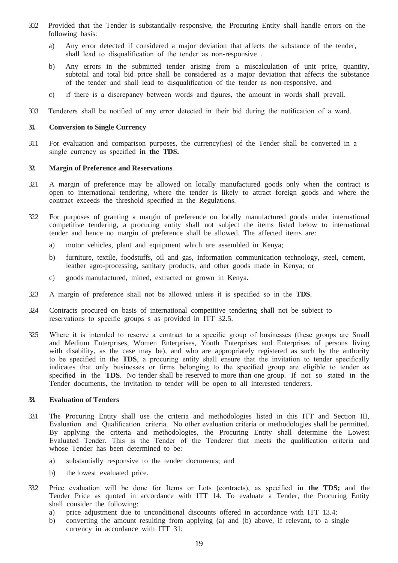- 30.2 Provided that the Tender is substantially responsive, the Procuring Entity shall handle errors on the following basis:
	- a) Any error detected if considered a major deviation that affects the substance of the tender, shall lead to disqualification of the tender as non-responsive .
	- b) Any errors in the submitted tender arising from a miscalculation of unit price, quantity, subtotal and total bid price shall be considered as a major deviation that affects the substance of the tender and shall lead to disqualification of the tender as non-responsive. and
	- c) if there is a discrepancy between words and figures, the amount in words shall prevail.
- 30.3 Tenderers shall be notified of any error detected in their bid during the notification of a ward.

#### <span id="page-18-0"></span>**31. Conversion to Single Currency**

31.1 For evaluation and comparison purposes, the currency(ies) of the Tender shall be converted in a single currency as specified **in the TDS.**

#### <span id="page-18-1"></span>**32. Margin of Preference and Reservations**

- 32.1 A margin of preference may be allowed on locally manufactured goods only when the contract is open to international tendering, where the tender is likely to attract foreign goods and where the contract exceeds the threshold specified in the Regulations.
- 32.2 For purposes of granting a margin of preference on locally manufactured goods under international competitive tendering, a procuring entity shall not subject the items listed below to international tender and hence no margin of preference shall be allowed. The affected items are:
	- a) motor vehicles, plant and equipment which are assembled in Kenya;
	- b) furniture, textile, foodstuffs, oil and gas, information communication technology, steel, cement, leather agro-processing, sanitary products, and other goods made in Kenya; or
	- c) goods manufactured, mined, extracted or grown in Kenya.
- 32.3 A margin of preference shall not be allowed unless it is specified so in the **TDS**.
- 32.4 Contracts procured on basis of international competitive tendering shall not be subject to reservations to specific groups s as provided in ITT 32.5.
- 32.5 Where it is intended to reserve a contract to a specific group of businesses (these groups are Small and Medium Enterprises, Women Enterprises, Youth Enterprises and Enterprises of persons living with disability, as the case may be), and who are appropriately registered as such by the authority to be specified in the **TDS**, a procuring entity shall ensure that the invitation to tender specifically indicates that only businesses or firms belonging to the specified group are eligible to tender as specified in the **TDS**. No tender shall be reserved to more than one group. If not so stated in the Tender documents, the invitation to tender will be open to all interested tenderers.

#### <span id="page-18-2"></span>**33. Evaluation of Tenders**

- 33.1 The Procuring Entity shall use the criteria and methodologies listed in this ITT and Section III, Evaluation and Qualification criteria. No other evaluation criteria or methodologies shall be permitted. By applying the criteria and methodologies, the Procuring Entity shall determine the Lowest Evaluated Tender. This is the Tender of the Tenderer that meets the qualification criteria and whose Tender has been determined to be:
	- a) substantially responsive to the tender documents; and
	- b) the lowest evaluated price.
- 33.2 Price evaluation will be done for Items or Lots (contracts), as specified **in the TDS;** and the Tender Price as quoted in accordance with ITT 14. To evaluate a Tender, the Procuring Entity shall consider the following:
	- a) price adjustment due to unconditional discounts offered in accordance with ITT 13.4;
	- b) converting the amount resulting from applying (a) and (b) above, if relevant, to a single currency in accordance with ITT 31;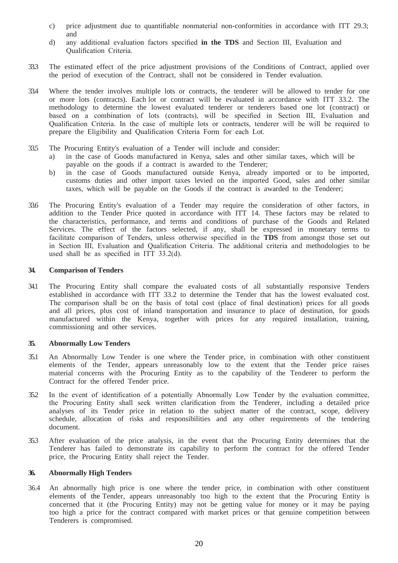- c) price adjustment due to quantifiable nonmaterial non-conformities in accordance with ITT 29.3; and
- d) any additional evaluation factors specified **in the TDS** and Section III, Evaluation and Qualification Criteria.
- 33.3 The estimated effect of the price adjustment provisions of the Conditions of Contract, applied over the period of execution of the Contract, shall not be considered in Tender evaluation.
- 33.4 Where the tender involves multiple lots or contracts, the tenderer will be allowed to tender for one or more lots (contracts). Each lot or contract will be evaluated in accordance with ITT 33.2. The methodology to determine the lowest evaluated tenderer or tenderers based one lot (contract) or based on a combination of lots (contracts), will be specified in Section III, Evaluation and Qualification Criteria. In the case of multiple lots or contracts, tenderer will be will be required to prepare the Eligibility and Qualification Criteria Form for each Lot.
- 33.5 The Procuring Entity's evaluation of a Tender will include and consider:
	- a) in the case of Goods manufactured in Kenya, sales and other similar taxes, which will be payable on the goods if a contract is awarded to the Tenderer;
	- b) in the case of Goods manufactured outside Kenya, already imported or to be imported, customs duties and other import taxes levied on the imported Good, sales and other similar taxes, which will be payable on the Goods if the contract is awarded to the Tenderer;
- 33.6 The Procuring Entity's evaluation of a Tender may require the consideration of other factors, in addition to the Tender Price quoted in accordance with ITT 14. These factors may be related to the characteristics, performance, and terms and conditions of purchase of the Goods and Related Services. The effect of the factors selected, if any, shall be expressed in monetary terms to facilitate comparison of Tenders, unless otherwise specified in the **TDS** from amongst those set out in Section III, Evaluation and Qualification Criteria. The additional criteria and methodologies to be used shall be as specified in ITT 33.2(d).

#### <span id="page-19-0"></span>**34. Comparison of Tenders**

34.1 The Procuring Entity shall compare the evaluated costs of all substantially responsive Tenders established in accordance with ITT 33.2 to determine the Tender that has the lowest evaluated cost. The comparison shall be on the basis of total cost (place of final destination) prices for all goods and all prices, plus cost of inland transportation and insurance to place of destination, for goods manufactured within the Kenya, together with prices for any required installation, training, commissioning and other services.

#### <span id="page-19-1"></span>**35. Abnormally Low Tenders**

- 35.1 An Abnormally Low Tender is one where the Tender price, in combination with other constituent elements of the Tender, appears unreasonably low to the extent that the Tender price raises material concerns with the Procuring Entity as to the capability of the Tenderer to perform the Contract for the offered Tender price.
- 35.2 In the event of identification of a potentially Abnormally Low Tender by the evaluation committee, the Procuring Entity shall seek written clarification from the Tenderer, including a detailed price analyses of its Tender price in relation to the subject matter of the contract, scope, delivery schedule, allocation of risks and responsibilities and any other requirements of the tendering document.
- 35.3 After evaluation of the price analysis, in the event that the Procuring Entity determines that the Tenderer has failed to demonstrate its capability to perform the contract for the offered Tender price, the Procuring Entity shall reject the Tender.

#### <span id="page-19-2"></span>**36. Abnormally High Tenders**

36.4 An abnormally high price is one where the tender price, in combination with other constituent elements of the Tender, appears unreasonably too high to the extent that the Procuring Entity is concerned that it (the Procuring Entity) may not be getting value for money or it may be paying too high a price for the contract compared with market prices or that genuine competition between Tenderers is compromised.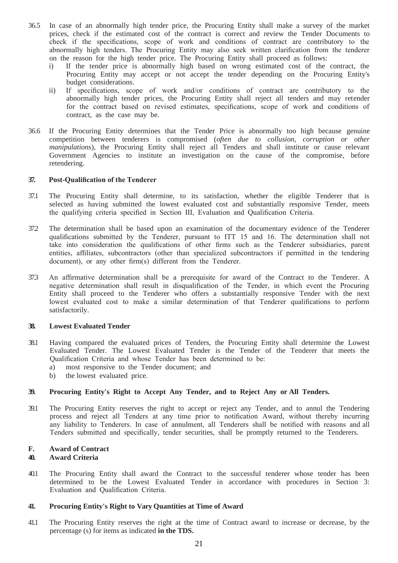- 36.5 In case of an abnormally high tender price, the Procuring Entity shall make a survey of the market prices, check if the estimated cost of the contract is correct and review the Tender Documents to check if the specifications, scope of work and conditions of contract are contributory to the abnormally high tenders. The Procuring Entity may also seek written clarification from the tenderer on the reason for the high tender price. The Procuring Entity shall proceed as follows:
	- i) If the tender price is abnormally high based on wrong estimated cost of the contract, the Procuring Entity may accept or not accept the tender depending on the Procuring Entity's budget considerations.
	- ii) If specifications, scope of work and/or conditions of contract are contributory to the abnormally high tender prices, the Procuring Entity shall reject all tenders and may retender for the contract based on revised estimates, specifications, scope of work and conditions of contract, as the case may be.
- 36.6 If the Procuring Entity determines that the Tender Price is abnormally too high because genuine competition between tenderers is compromised (*often due to collusion, corruption or other manipulations*), the Procuring Entity shall reject all Tenders and shall institute or cause relevant Government Agencies to institute an investigation on the cause of the compromise, before retendering.

#### <span id="page-20-0"></span>**37. Post-Qualification of the Tenderer**

- 37.1 The Procuring Entity shall determine, to its satisfaction, whether the eligible Tenderer that is selected as having submitted the lowest evaluated cost and substantially responsive Tender, meets the qualifying criteria specified in Section III, Evaluation and Qualification Criteria.
- 37.2 The determination shall be based upon an examination of the documentary evidence of the Tenderer qualifications submitted by the Tenderer, pursuant to ITT 15 and 16. The determination shall not take into consideration the qualifications of other firms such as the Tenderer subsidiaries, parent entities, affiliates, subcontractors (other than specialized subcontractors if permitted in the tendering document), or any other firm(s) different from the Tenderer.
- 37.3 An affirmative determination shall be a prerequisite for award of the Contract to the Tenderer. A negative determination shall result in disqualification of the Tender, in which event the Procuring Entity shall proceed to the Tenderer who offers a substantially responsive Tender with the next lowest evaluated cost to make a similar determination of that Tenderer qualifications to perform satisfactorily.

#### <span id="page-20-1"></span>**38. Lowest Evaluated Tender**

- 38.1 Having compared the evaluated prices of Tenders, the Procuring Entity shall determine the Lowest Evaluated Tender. The Lowest Evaluated Tender is the Tender of the Tenderer that meets the Qualification Criteria and whose Tender has been determined to be:
	- a) most responsive to the Tender document; and
	- b) the lowest evaluated price.

#### **39. Procuring Entity's Right to Accept Any Tender, and to Reject Any or All Tenders.**

39.1 The Procuring Entity reserves the right to accept or reject any Tender, and to annul the Tendering process and reject all Tenders at any time prior to notification Award, without thereby incurring any liability to Tenderers. In case of annulment, all Tenderers shall be notified with reasons and all Tenders submitted and specifically, tender securities, shall be promptly returned to the Tenderers.

#### <span id="page-20-2"></span>**F. Award of Contract**

#### **40. Award Criteria**

40.1 The Procuring Entity shall award the Contract to the successful tenderer whose tender has been determined to be the Lowest Evaluated Tender in accordance with procedures in Section 3: Evaluation and Qualification Criteria.

#### **41. Procuring Entity's Right to Vary Quantities at Time of Award**

41.1 The Procuring Entity reserves the right at the time of Contract award to increase or decrease, by the percentage (s) for items as indicated **in the TDS.**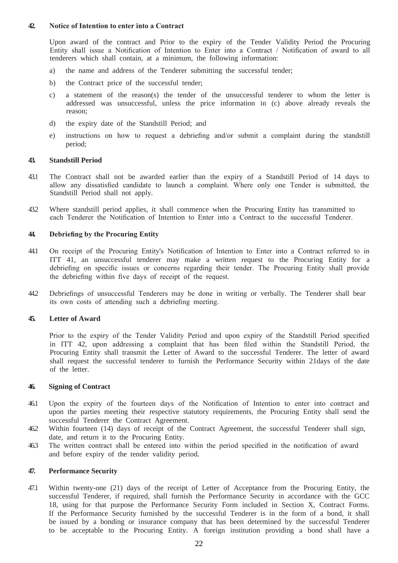#### <span id="page-21-0"></span>**42. Notice of Intention to enter into a Contract**

Upon award of the contract and Prior to the expiry of the Tender Validity Period the Procuring Entity shall issue a Notification of Intention to Enter into a Contract / Notification of award to all tenderers which shall contain, at a minimum, the following information:

- a) the name and address of the Tenderer submitting the successful tender;
- b) the Contract price of the successful tender;
- c) a statement of the reason(s) the tender of the unsuccessful tenderer to whom the letter is addressed was unsuccessful, unless the price information in (c) above already reveals the reason;
- d) the expiry date of the Standstill Period; and
- e) instructions on how to request a debriefing and/or submit a complaint during the standstill period;

#### **43. Standstill Period**

- 43.1 The Contract shall not be awarded earlier than the expiry of a Standstill Period of 14 days to allow any dissatisfied candidate to launch a complaint. Where only one Tender is submitted, the Standstill Period shall not apply.
- 43.2 Where standstill period applies, it shall commence when the Procuring Entity has transmitted to each Tenderer the Notification of Intention to Enter into a Contract to the successful Tenderer.

#### <span id="page-21-1"></span>**44. Debriefing by the Procuring Entity**

- 44.1 On receipt of the Procuring Entity's Notification of Intention to Enter into a Contract referred to in ITT 41, an unsuccessful tenderer may make a written request to the Procuring Entity for a debriefing on specific issues or concerns regarding their tender. The Procuring Entity shall provide the debriefing within five days of receipt of the request.
- 44.2 Debriefings of unsuccessful Tenderers may be done in writing or verbally. The Tenderer shall bear its own costs of attending such a debriefing meeting.

#### <span id="page-21-2"></span>**45. Letter of Award**

Prior to the expiry of the Tender Validity Period and upon expiry of the Standstill Period specified in ITT 42, upon addressing a complaint that has been filed within the Standstill Period, the Procuring Entity shall transmit the Letter of Award to the successful Tenderer. The letter of award shall request the successful tenderer to furnish the Performance Security within 21days of the date of the letter.

#### <span id="page-21-3"></span>**46. Signing of Contract**

- 46.1 Upon the expiry of the fourteen days of the Notification of Intention to enter into contract and upon the parties meeting their respective statutory requirements, the Procuring Entity shall send the successful Tenderer the Contract Agreement.
- 46.2 Within fourteen (14) days of receipt of the Contract Agreement, the successful Tenderer shall sign, date, and return it to the Procuring Entity.
- 46.3 The written contract shall be entered into within the period specified in the notification of award and before expiry of the tender validity period.

#### **47. Performance Security**

47.1 Within twenty-one (21) days of the receipt of Letter of Acceptance from the Procuring Entity, the successful Tenderer, if required, shall furnish the Performance Security in accordance with the GCC 18, using for that purpose the Performance Security Form included in Section X, Contract Forms. If the Performance Security furnished by the successful Tenderer is in the form of a bond, it shall be issued by a bonding or insurance company that has been determined by the successful Tenderer to be acceptable to the Procuring Entity. A foreign institution providing a bond shall have a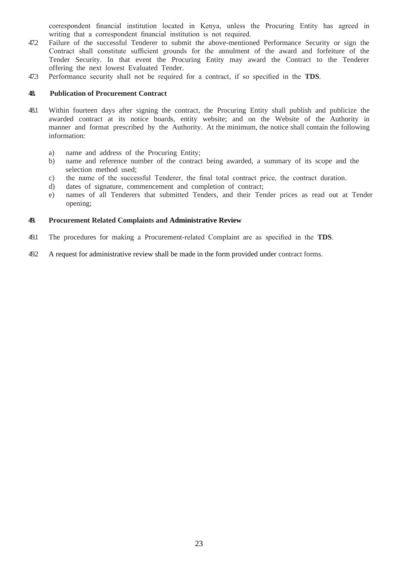correspondent financial institution located in Kenya, unless the Procuring Entity has agreed in writing that a correspondent financial institution is not required.

- 47.2 Failure of the successful Tenderer to submit the above-mentioned Performance Security or sign the Contract shall constitute sufficient grounds for the annulment of the award and forfeiture of the Tender Security. In that event the Procuring Entity may award the Contract to the Tenderer offering the next lowest Evaluated Tender.
- 47.3 Performance security shall not be required for a contract, if so specified in the **TDS**.

#### <span id="page-22-0"></span>**48. Publication of Procurement Contract**

- 48.1 Within fourteen days after signing the contract, the Procuring Entity shall publish and publicize the awarded contract at its notice boards, entity website; and on the Website of the Authority in manner and format prescribed by the Authority. At the minimum, the notice shall contain the following information:
	- a) name and address of the Procuring Entity;
	- b) name and reference number of the contract being awarded, a summary of its scope and the selection method used;
	- c) the name of the successful Tenderer, the final total contract price, the contract duration.
	- d) dates of signature, commencement and completion of contract;
	- e) names of all Tenderers that submitted Tenders, and their Tender prices as read out at Tender opening;

#### <span id="page-22-1"></span>**49. Procurement Related Complaints and Administrative Review**

- 49.1 The procedures for making a Procurement-related Complaint are as specified in the **TDS**.
- 49.2 A request for administrative review shall be made in the form provided under contract forms.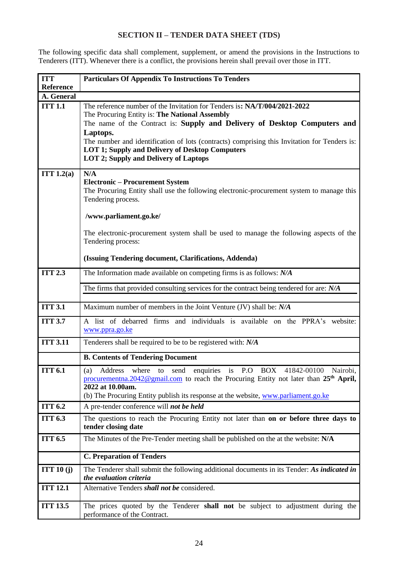# **SECTION II – TENDER DATA SHEET (TDS)**

<span id="page-23-0"></span>The following specific data shall complement, supplement, or amend the provisions in the Instructions to Tenderers (ITT). Whenever there is a conflict, the provisions herein shall prevail over those in ITT.

| <b>ITT</b>                                                                                  | <b>Particulars Of Appendix To Instructions To Tenders</b>                                                                                              |  |  |
|---------------------------------------------------------------------------------------------|--------------------------------------------------------------------------------------------------------------------------------------------------------|--|--|
| <b>Reference</b>                                                                            |                                                                                                                                                        |  |  |
| A. General                                                                                  |                                                                                                                                                        |  |  |
| <b>ITT 1.1</b><br>The reference number of the Invitation for Tenders is: NA/T/004/2021-2022 |                                                                                                                                                        |  |  |
|                                                                                             | The Procuring Entity is: The National Assembly                                                                                                         |  |  |
|                                                                                             | The name of the Contract is: Supply and Delivery of Desktop Computers and                                                                              |  |  |
|                                                                                             | Laptops.                                                                                                                                               |  |  |
|                                                                                             | The number and identification of lots (contracts) comprising this Invitation for Tenders is:<br><b>LOT 1; Supply and Delivery of Desktop Computers</b> |  |  |
|                                                                                             | <b>LOT 2; Supply and Delivery of Laptops</b>                                                                                                           |  |  |
|                                                                                             |                                                                                                                                                        |  |  |
| ITT $1.2(a)$                                                                                | N/A                                                                                                                                                    |  |  |
|                                                                                             | <b>Electronic – Procurement System</b>                                                                                                                 |  |  |
|                                                                                             | The Procuring Entity shall use the following electronic-procurement system to manage this                                                              |  |  |
|                                                                                             | Tendering process.                                                                                                                                     |  |  |
|                                                                                             | /www.parliament.go.ke/                                                                                                                                 |  |  |
|                                                                                             |                                                                                                                                                        |  |  |
|                                                                                             | The electronic-procurement system shall be used to manage the following aspects of the                                                                 |  |  |
|                                                                                             | Tendering process:                                                                                                                                     |  |  |
|                                                                                             |                                                                                                                                                        |  |  |
|                                                                                             | (Issuing Tendering document, Clarifications, Addenda)                                                                                                  |  |  |
| <b>ITT 2.3</b>                                                                              | The Information made available on competing firms is as follows: N/A                                                                                   |  |  |
|                                                                                             |                                                                                                                                                        |  |  |
|                                                                                             | The firms that provided consulting services for the contract being tendered for are: N/A                                                               |  |  |
|                                                                                             |                                                                                                                                                        |  |  |
| <b>ITT 3.1</b>                                                                              | Maximum number of members in the Joint Venture (JV) shall be: N/A                                                                                      |  |  |
| <b>ITT 3.7</b>                                                                              | A list of debarred firms and individuals is available on the PPRA's website:                                                                           |  |  |
|                                                                                             | www.ppra.go.ke                                                                                                                                         |  |  |
| <b>ITT 3.11</b>                                                                             | Tenderers shall be required to be to be registered with: N/A                                                                                           |  |  |
|                                                                                             |                                                                                                                                                        |  |  |
|                                                                                             | <b>B. Contents of Tendering Document</b>                                                                                                               |  |  |
| <b>ITT 6.1</b>                                                                              | enquiries is P.O<br>BOX<br>41842-00100<br>Nairobi,<br>(a)<br>Address<br>where to send                                                                  |  |  |
|                                                                                             | procurementna.2042@gmail.com to reach the Procuring Entity not later than 25 <sup>th</sup> April,                                                      |  |  |
|                                                                                             | 2022 at 10.00am.<br>(b) The Procuring Entity publish its response at the website, www.parliament.go.ke                                                 |  |  |
| <b>ITT 6.2</b>                                                                              |                                                                                                                                                        |  |  |
|                                                                                             | A pre-tender conference will not be held                                                                                                               |  |  |
| <b>ITT 6.3</b>                                                                              | The questions to reach the Procuring Entity not later than on or before three days to                                                                  |  |  |
|                                                                                             | tender closing date                                                                                                                                    |  |  |
| <b>ITT 6.5</b>                                                                              | The Minutes of the Pre-Tender meeting shall be published on the at the website: N/A                                                                    |  |  |
|                                                                                             |                                                                                                                                                        |  |  |
|                                                                                             | <b>C. Preparation of Tenders</b>                                                                                                                       |  |  |
| ITT $10(j)$                                                                                 | The Tenderer shall submit the following additional documents in its Tender: As indicated in                                                            |  |  |
|                                                                                             | the evaluation criteria                                                                                                                                |  |  |
| <b>ITT 12.1</b>                                                                             | Alternative Tenders shall not be considered.                                                                                                           |  |  |
|                                                                                             |                                                                                                                                                        |  |  |
| <b>ITT 13.5</b>                                                                             | The prices quoted by the Tenderer shall not be subject to adjustment during the                                                                        |  |  |
|                                                                                             | performance of the Contract.                                                                                                                           |  |  |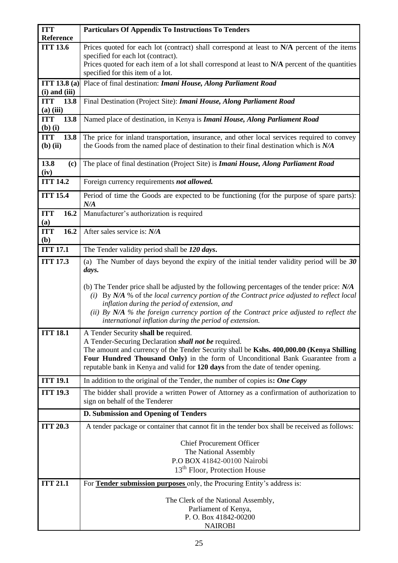| <b>ITT</b>                         | <b>Particulars Of Appendix To Instructions To Tenders</b>                                                                                                                                                                                                                                                                                                                                              |
|------------------------------------|--------------------------------------------------------------------------------------------------------------------------------------------------------------------------------------------------------------------------------------------------------------------------------------------------------------------------------------------------------------------------------------------------------|
| Reference                          |                                                                                                                                                                                                                                                                                                                                                                                                        |
| <b>ITT 13.6</b>                    | Prices quoted for each lot (contract) shall correspond at least to N/A percent of the items<br>specified for each lot (contract).                                                                                                                                                                                                                                                                      |
|                                    | Prices quoted for each item of a lot shall correspond at least to N/A percent of the quantities                                                                                                                                                                                                                                                                                                        |
|                                    | specified for this item of a lot.                                                                                                                                                                                                                                                                                                                                                                      |
| ITT 13.8 (a)<br>$(i)$ and $(iii)$  | Place of final destination: Imani House, Along Parliament Road                                                                                                                                                                                                                                                                                                                                         |
| <b>ITT</b><br>13.8<br>$(a)$ (iii)  | Final Destination (Project Site): Imani House, Along Parliament Road                                                                                                                                                                                                                                                                                                                                   |
| <b>ITT</b><br>13.8<br>$(b)$ $(i)$  | Named place of destination, in Kenya is Imani House, Along Parliament Road                                                                                                                                                                                                                                                                                                                             |
| <b>ITT</b><br>13.8<br>$(b)$ $(ii)$ | The price for inland transportation, insurance, and other local services required to convey<br>the Goods from the named place of destination to their final destination which is $N/A$                                                                                                                                                                                                                 |
| 13.8<br>(c)<br>(iv)                | The place of final destination (Project Site) is <i>Imani House, Along Parliament Road</i>                                                                                                                                                                                                                                                                                                             |
| <b>ITT 14.2</b>                    | Foreign currency requirements not allowed.                                                                                                                                                                                                                                                                                                                                                             |
| <b>ITT 15.4</b>                    | Period of time the Goods are expected to be functioning (for the purpose of spare parts):<br>N/A                                                                                                                                                                                                                                                                                                       |
| 16.2<br><b>ITT</b><br>(a)          | Manufacturer's authorization is required                                                                                                                                                                                                                                                                                                                                                               |
| 16.2<br><b>ITT</b><br>(b)          | After sales service is: N/A                                                                                                                                                                                                                                                                                                                                                                            |
| <b>ITT 17.1</b>                    | The Tender validity period shall be 120 days.                                                                                                                                                                                                                                                                                                                                                          |
| <b>ITT 17.3</b>                    | (a) The Number of days beyond the expiry of the initial tender validity period will be $30$                                                                                                                                                                                                                                                                                                            |
|                                    | days.                                                                                                                                                                                                                                                                                                                                                                                                  |
|                                    | (b) The Tender price shall be adjusted by the following percentages of the tender price: $N/A$<br>(i) By N/A % of the local currency portion of the Contract price adjusted to reflect local<br>inflation during the period of extension, and<br>(ii) By $N/A$ % the foreign currency portion of the Contract price adjusted to reflect the<br>international inflation during the period of extension. |
| <b>ITT 18.1</b>                    | A Tender Security shall be required.<br>A Tender-Securing Declaration shall not be required.<br>The amount and currency of the Tender Security shall be Kshs. 400,000.00 (Kenya Shilling<br>Four Hundred Thousand Only) in the form of Unconditional Bank Guarantee from a<br>reputable bank in Kenya and valid for 120 days from the date of tender opening.                                          |
| <b>ITT 19.1</b>                    | In addition to the original of the Tender, the number of copies is: One Copy                                                                                                                                                                                                                                                                                                                           |
| <b>ITT 19.3</b>                    | The bidder shall provide a written Power of Attorney as a confirmation of authorization to<br>sign on behalf of the Tenderer                                                                                                                                                                                                                                                                           |
|                                    | D. Submission and Opening of Tenders                                                                                                                                                                                                                                                                                                                                                                   |
| <b>ITT 20.3</b>                    | A tender package or container that cannot fit in the tender box shall be received as follows:                                                                                                                                                                                                                                                                                                          |
|                                    | <b>Chief Procurement Officer</b><br>The National Assembly<br>P.O BOX 41842-00100 Nairobi<br>13 <sup>th</sup> Floor, Protection House                                                                                                                                                                                                                                                                   |
| <b>ITT 21.1</b>                    | For <b>Tender submission purposes</b> only, the Procuring Entity's address is:                                                                                                                                                                                                                                                                                                                         |
|                                    | The Clerk of the National Assembly,<br>Parliament of Kenya,<br>P.O. Box 41842-00200<br><b>NAIROBI</b>                                                                                                                                                                                                                                                                                                  |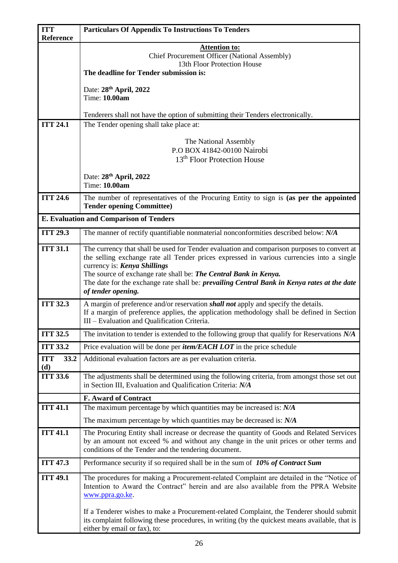| <b>ITT</b><br><b>Particulars Of Appendix To Instructions To Tenders</b> |                                                                                                                                                                                  |
|-------------------------------------------------------------------------|----------------------------------------------------------------------------------------------------------------------------------------------------------------------------------|
| Reference                                                               |                                                                                                                                                                                  |
|                                                                         | <b>Attention to:</b><br><b>Chief Procurement Officer (National Assembly)</b>                                                                                                     |
|                                                                         | 13th Floor Protection House                                                                                                                                                      |
|                                                                         | The deadline for Tender submission is:                                                                                                                                           |
|                                                                         | Date: 28th April, 2022                                                                                                                                                           |
|                                                                         | Time: 10.00am                                                                                                                                                                    |
|                                                                         | Tenderers shall not have the option of submitting their Tenders electronically.                                                                                                  |
| <b>ITT 24.1</b>                                                         | The Tender opening shall take place at:                                                                                                                                          |
|                                                                         |                                                                                                                                                                                  |
|                                                                         | The National Assembly                                                                                                                                                            |
|                                                                         | P.O BOX 41842-00100 Nairobi<br>13 <sup>th</sup> Floor Protection House                                                                                                           |
|                                                                         |                                                                                                                                                                                  |
|                                                                         | Date: 28th April, 2022                                                                                                                                                           |
|                                                                         | Time: 10.00am                                                                                                                                                                    |
| <b>ITT 24.6</b>                                                         | The number of representatives of the Procuring Entity to sign is (as per the appointed                                                                                           |
|                                                                         | <b>Tender opening Committee)</b>                                                                                                                                                 |
|                                                                         | <b>E. Evaluation and Comparison of Tenders</b>                                                                                                                                   |
| <b>ITT 29.3</b>                                                         | The manner of rectify quantifiable nonmaterial nonconformities described below: N/A                                                                                              |
| <b>ITT 31.1</b>                                                         | The currency that shall be used for Tender evaluation and comparison purposes to convert at                                                                                      |
|                                                                         | the selling exchange rate all Tender prices expressed in various currencies into a single                                                                                        |
|                                                                         | currency is: Kenya Shillings<br>The source of exchange rate shall be: The Central Bank in Kenya.                                                                                 |
|                                                                         | The date for the exchange rate shall be: prevailing Central Bank in Kenya rates at the date                                                                                      |
|                                                                         | of tender opening.                                                                                                                                                               |
| <b>ITT 32.3</b>                                                         | A margin of preference and/or reservation <i>shall not</i> apply and specify the details.                                                                                        |
|                                                                         | If a margin of preference applies, the application methodology shall be defined in Section                                                                                       |
|                                                                         | III - Evaluation and Qualification Criteria.                                                                                                                                     |
| <b>ITT 32.5</b>                                                         | The invitation to tender is extended to the following group that qualify for Reservations $N/A$                                                                                  |
| <b>ITT 33.2</b>                                                         | Price evaluation will be done per <i>item/EACH LOT</i> in the price schedule                                                                                                     |
| <b>ITT</b><br>33.2<br>(d)                                               | Additional evaluation factors are as per evaluation criteria.                                                                                                                    |
| <b>ITT 33.6</b>                                                         | The adjustments shall be determined using the following criteria, from amongst those set out                                                                                     |
|                                                                         | in Section III, Evaluation and Qualification Criteria: N/A                                                                                                                       |
|                                                                         | F. Award of Contract                                                                                                                                                             |
| <b>ITT 41.1</b>                                                         | The maximum percentage by which quantities may be increased is: $N/A$                                                                                                            |
|                                                                         | The maximum percentage by which quantities may be decreased is: $N/A$                                                                                                            |
| <b>ITT 41.1</b>                                                         | The Procuring Entity shall increase or decrease the quantity of Goods and Related Services                                                                                       |
|                                                                         | by an amount not exceed % and without any change in the unit prices or other terms and<br>conditions of the Tender and the tendering document.                                   |
| <b>ITT 47.3</b>                                                         | Performance security if so required shall be in the sum of $10\%$ of Contract Sum                                                                                                |
|                                                                         |                                                                                                                                                                                  |
| <b>ITT 49.1</b>                                                         | The procedures for making a Procurement-related Complaint are detailed in the "Notice of<br>Intention to Award the Contract" herein and are also available from the PPRA Website |
|                                                                         | www.ppra.go.ke.                                                                                                                                                                  |
|                                                                         |                                                                                                                                                                                  |
|                                                                         | If a Tenderer wishes to make a Procurement-related Complaint, the Tenderer should submit                                                                                         |
|                                                                         | its complaint following these procedures, in writing (by the quickest means available, that is<br>either by email or fax), to:                                                   |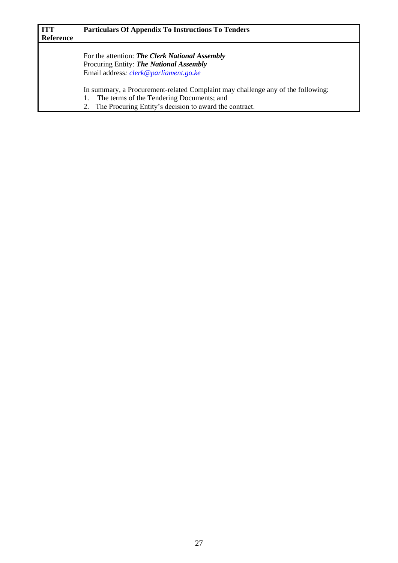| <b>ITT</b> | <b>Particulars Of Appendix To Instructions To Tenders</b>                                                                          |
|------------|------------------------------------------------------------------------------------------------------------------------------------|
| Reference  |                                                                                                                                    |
|            | For the attention: The Clerk National Assembly<br>Procuring Entity: The National Assembly<br>Email address: clerk@parliament.go.ke |
|            | In summary, a Procurement-related Complaint may challenge any of the following:<br>The terms of the Tendering Documents; and       |
|            | The Procuring Entity's decision to award the contract.                                                                             |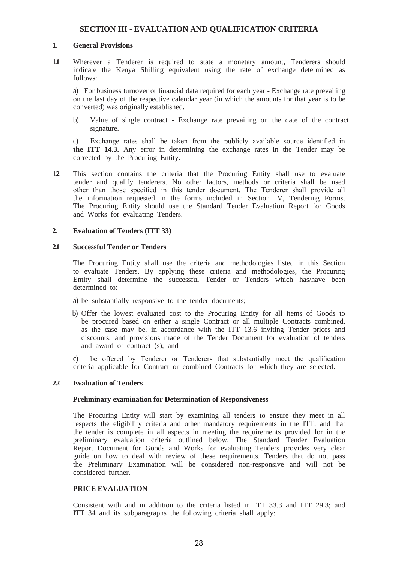#### **SECTION III - EVALUATION AND QUALIFICATION CRITERIA**

#### <span id="page-27-0"></span>**1. General Provisions**

**1.1** Wherever a Tenderer is required to state a monetary amount, Tenderers should indicate the Kenya Shilling equivalent using the rate of exchange determined as follows:

a) For business turnover or financial data required for each year - Exchange rate prevailing on the last day of the respective calendar year (in which the amounts for that year is to be converted) was originally established.

b) Value of single contract - Exchange rate prevailing on the date of the contract signature.

c) Exchange rates shall be taken from the publicly available source identified in **the ITT 14.3.** Any error in determining the exchange rates in the Tender may be corrected by the Procuring Entity.

**1.2** This section contains the criteria that the Procuring Entity shall use to evaluate tender and qualify tenderers. No other factors, methods or criteria shall be used other than those specified in this tender document. The Tenderer shall provide all the information requested in the forms included in Section IV, Tendering Forms. The Procuring Entity should use the Standard Tender Evaluation Report for Goods and Works for evaluating Tenders.

#### <span id="page-27-1"></span>**2. Evaluation of Tenders (ITT 33)**

#### **2.1 Successful Tender or Tenders**

The Procuring Entity shall use the criteria and methodologies listed in this Section to evaluate Tenders. By applying these criteria and methodologies, the Procuring Entity shall determine the successful Tender or Tenders which has/have been determined to:

- a) be substantially responsive to the tender documents;
- b) Offer the lowest evaluated cost to the Procuring Entity for all items of Goods to be procured based on either a single Contract or all multiple Contracts combined, as the case may be, in accordance with the ITT 13.6 inviting Tender prices and discounts, and provisions made of the Tender Document for evaluation of tenders and award of contract (s); and

c) be offered by Tenderer or Tenderers that substantially meet the qualification criteria applicable for Contract or combined Contracts for which they are selected.

#### **2.2 Evaluation of Tenders**

#### **Preliminary examination for Determination of Responsiveness**

The Procuring Entity will start by examining all tenders to ensure they meet in all respects the eligibility criteria and other mandatory requirements in the ITT, and that the tender is complete in all aspects in meeting the requirements provided for in the preliminary evaluation criteria outlined below. The Standard Tender Evaluation Report Document for Goods and Works for evaluating Tenders provides very clear guide on how to deal with review of these requirements. Tenders that do not pass the Preliminary Examination will be considered non-responsive and will not be considered further.

#### **PRICE EVALUATION**

Consistent with and in addition to the criteria listed in ITT 33.3 and ITT 29.3; and ITT 34 and its subparagraphs the following criteria shall apply: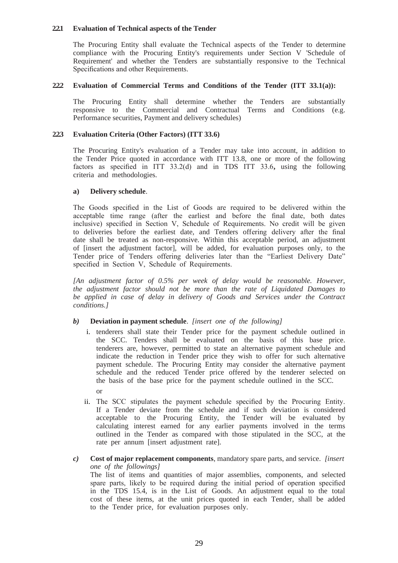#### **2.2.1 Evaluation of Technical aspects of the Tender**

The Procuring Entity shall evaluate the Technical aspects of the Tender to determine compliance with the Procuring Entity's requirements under Section V 'Schedule of Requirement' and whether the Tenders are substantially responsive to the Technical Specifications and other Requirements.

#### **2.2.2 Evaluation of Commercial Terms and Conditions of the Tender (ITT 33.1(a)):**

The Procuring Entity shall determine whether the Tenders are substantially responsive to the Commercial and Contractual Terms and Conditions (e.g. Performance securities, Payment and delivery schedules)

#### **2.2.3 Evaluation Criteria (Other Factors) (ITT 33.6)**

The Procuring Entity's evaluation of a Tender may take into account, in addition to the Tender Price quoted in accordance with ITT 13.8, one or more of the following factors as specified in ITT 33.2(d) and in TDS ITT 33.6**,** using the following criteria and methodologies.

#### **a) Delivery schedule**.

The Goods specified in the List of Goods are required to be delivered within the acceptable time range (after the earliest and before the final date, both dates inclusive) specified in Section V, Schedule of Requirements. No credit will be given to deliveries before the earliest date, and Tenders offering delivery after the final date shall be treated as non-responsive. Within this acceptable period, an adjustment of [insert the adjustment factor], will be added, for evaluation purposes only, to the Tender price of Tenders offering deliveries later than the "Earliest Delivery Date" specified in Section V, Schedule of Requirements.

*[An adjustment factor of 0.5% per week of delay would be reasonable. However, the adjustment factor should not be more than the rate of Liquidated Damages to be applied in case of delay in delivery of Goods and Services under the Contract conditions.]*

#### *b)* **Deviation in payment schedule**. *[insert one of the following]*

- i. tenderers shall state their Tender price for the payment schedule outlined in the SCC. Tenders shall be evaluated on the basis of this base price. tenderers are, however, permitted to state an alternative payment schedule and indicate the reduction in Tender price they wish to offer for such alternative payment schedule. The Procuring Entity may consider the alternative payment schedule and the reduced Tender price offered by the tenderer selected on the basis of the base price for the payment schedule outlined in the SCC. or
- ii. The SCC stipulates the payment schedule specified by the Procuring Entity. If a Tender deviate from the schedule and if such deviation is considered acceptable to the Procuring Entity, the Tender will be evaluated by calculating interest earned for any earlier payments involved in the terms outlined in the Tender as compared with those stipulated in the SCC, at the rate per annum [insert adjustment rate].
- *c)* **Cost of major replacement components**, mandatory spare parts, and service. *[insert one of the followings]*

The list of items and quantities of major assemblies, components, and selected spare parts, likely to be required during the initial period of operation specified in the TDS 15.4, is in the List of Goods. An adjustment equal to the total cost of these items, at the unit prices quoted in each Tender, shall be added to the Tender price, for evaluation purposes only.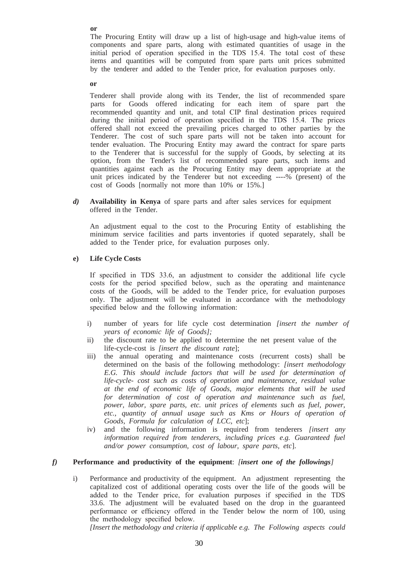The Procuring Entity will draw up a list of high-usage and high-value items of components and spare parts, along with estimated quantities of usage in the initial period of operation specified in the TDS 15.4. The total cost of these items and quantities will be computed from spare parts unit prices submitted by the tenderer and added to the Tender price, for evaluation purposes only.

**or**

Tenderer shall provide along with its Tender, the list of recommended spare parts for Goods offered indicating for each item of spare part the recommended quantity and unit, and total CIP final destination prices required during the initial period of operation specified in the TDS 15.4. The prices offered shall not exceed the prevailing prices charged to other parties by the Tenderer. The cost of such spare parts will not be taken into account for tender evaluation. The Procuring Entity may award the contract for spare parts to the Tenderer that is successful for the supply of Goods, by selecting at its option, from the Tender's list of recommended spare parts, such items and quantities against each as the Procuring Entity may deem appropriate at the unit prices indicated by the Tenderer but not exceeding ----% (present) of the cost of Goods [normally not more than 10% or 15%.]

*d)* **Availability in Kenya** of spare parts and after sales services for equipment offered in the Tender*.*

An adjustment equal to the cost to the Procuring Entity of establishing the minimum service facilities and parts inventories if quoted separately, shall be added to the Tender price, for evaluation purposes only*.*

#### **e) Life Cycle Costs**

If specified in TDS 33.6, an adjustment to consider the additional life cycle costs for the period specified below, such as the operating and maintenance costs of the Goods, will be added to the Tender price, for evaluation purposes only. The adjustment will be evaluated in accordance with the methodology specified below and the following information:

- i) number of years for life cycle cost determination *[insert the number of years of economic life of Goods];*
- ii) the discount rate to be applied to determine the net present value of the life-cycle-cost is *[insert the discount rate*];
- iii) the annual operating and maintenance costs (recurrent costs) shall be determined on the basis of the following methodology: *[insert methodology E.G. This should include factors that will be used for determination of life-cycle- cost such as costs of operation and maintenance, residual value at the end of economic life of Goods, major elements that will be used for determination of cost of operation and maintenance such as fuel, power, labor, spare parts, etc. unit prices of elements such as fuel, power, etc., quantity of annual usage such as Kms or Hours of operation of Goods, Formula for calculation of LCC, etc*];
- iv) and the following information is required from tenderers *[insert any information required from tenderers, including prices e.g. Guaranteed fuel and/or power consumption, cost of labour, spare parts, etc*].

#### *f)* **Performance and productivity of the equipment**: *[insert one of the followings]*

i) Performance and productivity of the equipment. An adjustment representing the capitalized cost of additional operating costs over the life of the goods will be added to the Tender price, for evaluation purposes if specified in the TDS 33.6. The adjustment will be evaluated based on the drop in the guaranteed performance or efficiency offered in the Tender below the norm of 100, using the methodology specified below.

*[Insert the methodology and criteria if applicable e.g. The Following aspects could* 

**or**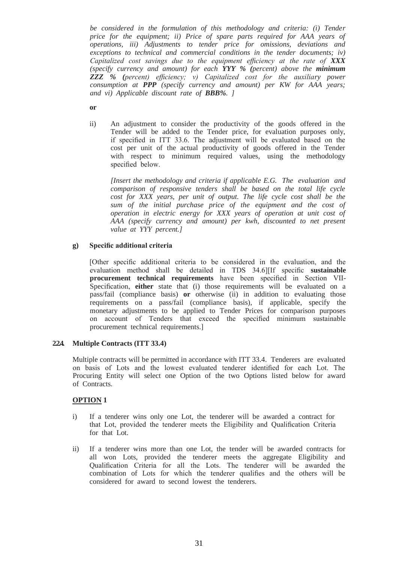*be considered in the formulation of this methodology and criteria: (i) Tender price for the equipment; ii) Price of spare parts required for AAA years of operations, iii) Adjustments to tender price for omissions, deviations and exceptions to technical and commercial conditions in the tender documents; iv) Capitalized cost savings due to the equipment efficiency at the rate of XXX (specify currency and amount) for each YYY % (percent) above the minimum ZZZ % (percent) efficiency; v) Capitalized cost for the auxiliary power consumption at PPP (specify currency and amount) per KW for AAA years; and vi) Applicable discount rate of BBB%. ]*

**or**

ii) An adjustment to consider the productivity of the goods offered in the Tender will be added to the Tender price, for evaluation purposes only, if specified in ITT 33.6. The adjustment will be evaluated based on the cost per unit of the actual productivity of goods offered in the Tender with respect to minimum required values, using the methodology specified below.

*[Insert the methodology and criteria if applicable E.G. The evaluation and comparison of responsive tenders shall be based on the total life cycle cost for XXX years, per unit of output. The life cycle cost shall be the sum of the initial purchase price of the equipment and the cost of operation in electric energy for XXX years of operation at unit cost of AAA (specify currency and amount) per kwh, discounted to net present value at YYY percent.]*

#### **g) Specific additional criteria**

[Other specific additional criteria to be considered in the evaluation, and the evaluation method shall be detailed in TDS 34.6][If specific **sustainable procurement technical requirements** have been specified in Section VII-Specification, **either** state that (i) those requirements will be evaluated on a pass/fail (compliance basis) **or** otherwise (ii) in addition to evaluating those requirements on a pass/fail (compliance basis), if applicable, specify the monetary adjustments to be applied to Tender Prices for comparison purposes on account of Tenders that exceed the specified minimum sustainable procurement technical requirements.]

## **2.2.4. Multiple Contracts (ITT 33.4)**

Multiple contracts will be permitted in accordance with ITT 33.4. Tenderers are evaluated on basis of Lots and the lowest evaluated tenderer identified for each Lot. The Procuring Entity will select one Option of the two Options listed below for award of Contracts.

## **OPTION 1**

- i) If a tenderer wins only one Lot, the tenderer will be awarded a contract for that Lot, provided the tenderer meets the Eligibility and Qualification Criteria for that Lot.
- ii) If a tenderer wins more than one Lot, the tender will be awarded contracts for all won Lots, provided the tenderer meets the aggregate Eligibility and Qualification Criteria for all the Lots. The tenderer will be awarded the combination of Lots for which the tenderer qualifies and the others will be considered for award to second lowest the tenderers.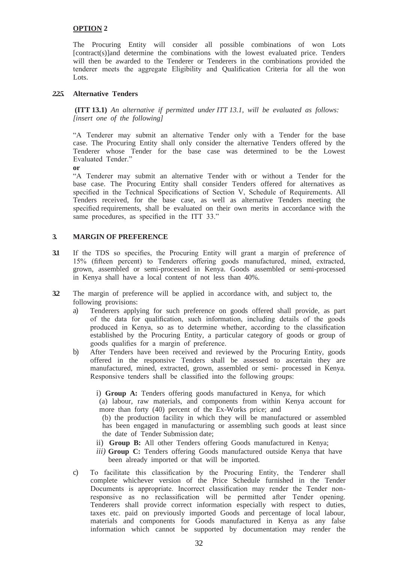#### **OPTION 2**

The Procuring Entity will consider all possible combinations of won Lots [contract(s)]and determine the combinations with the lowest evaluated price. Tenders will then be awarded to the Tenderer or Tenderers in the combinations provided the tenderer meets the aggregate Eligibility and Qualification Criteria for all the won Lots.

#### *2.2.5.* **Alternative Tenders**

**(ITT 13.1)** *An alternative if permitted under ITT 13.1, will be evaluated as follows: [insert one of the following]*

"A Tenderer may submit an alternative Tender only with a Tender for the base case. The Procuring Entity shall only consider the alternative Tenders offered by the Tenderer whose Tender for the base case was determined to be the Lowest Evaluated Tender."

**or**

"A Tenderer may submit an alternative Tender with or without a Tender for the base case. The Procuring Entity shall consider Tenders offered for alternatives as specified in the Technical Specifications of Section V, Schedule of Requirements. All Tenders received, for the base case, as well as alternative Tenders meeting the specified requirements, shall be evaluated on their own merits in accordance with the same procedures, as specified in the ITT 33."

#### **3. MARGIN OF PREFERENCE**

- **3.1** If the TDS so specifies, the Procuring Entity will grant a margin of preference of 15% (fifteen percent) to Tenderers offering goods manufactured, mined, extracted, grown, assembled or semi-processed in Kenya. Goods assembled or semi-processed in Kenya shall have a local content of not less than 40%.
- **3.2** The margin of preference will be applied in accordance with, and subject to, the following provisions:
	- a) Tenderers applying for such preference on goods offered shall provide, as part of the data for qualification, such information, including details of the goods produced in Kenya, so as to determine whether, according to the classification established by the Procuring Entity, a particular category of goods or group of goods qualifies for a margin of preference.
	- b) After Tenders have been received and reviewed by the Procuring Entity, goods offered in the responsive Tenders shall be assessed to ascertain they are manufactured, mined, extracted, grown, assembled or semi- processed in Kenya. Responsive tenders shall be classified into the following groups:
		- i) **Group A:** Tenders offering goods manufactured in Kenya, for which
		- (a) labour, raw materials, and components from within Kenya account for more than forty (40) percent of the Ex-Works price; and
		- (b) the production facility in which they will be manufactured or assembled has been engaged in manufacturing or assembling such goods at least since the date of Tender Submission date;
		- ii) **Group B:** All other Tenders offering Goods manufactured in Kenya;
		- *iii*) **Group C:** Tenders offering Goods manufactured outside Kenya that have been already imported or that will be imported*.*
	- c) To facilitate this classification by the Procuring Entity, the Tenderer shall complete whichever version of the Price Schedule furnished in the Tender Documents is appropriate. Incorrect classification may render the Tender nonresponsive as no reclassification will be permitted after Tender opening. Tenderers shall provide correct information especially with respect to duties, taxes etc. paid on previously imported Goods and percentage of local labour, materials and components for Goods manufactured in Kenya as any false information which cannot be supported by documentation may render the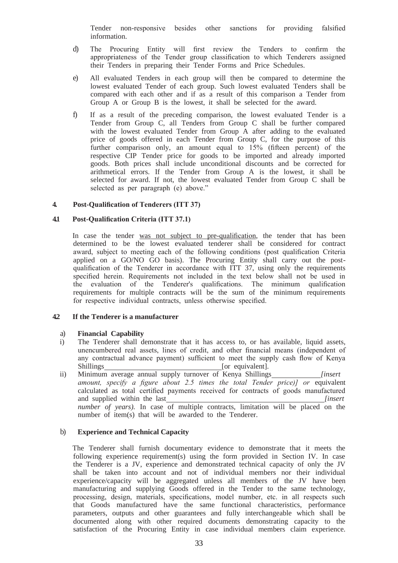Tender non-responsive besides other sanctions for providing falsified information.

- d) The Procuring Entity will first review the Tenders to confirm the appropriateness of the Tender group classification to which Tenderers assigned their Tenders in preparing their Tender Forms and Price Schedules.
- e) All evaluated Tenders in each group will then be compared to determine the lowest evaluated Tender of each group. Such lowest evaluated Tenders shall be compared with each other and if as a result of this comparison a Tender from Group A or Group B is the lowest, it shall be selected for the award.
- f) If as a result of the preceding comparison, the lowest evaluated Tender is a Tender from Group C, all Tenders from Group C shall be further compared with the lowest evaluated Tender from Group A after adding to the evaluated price of goods offered in each Tender from Group C, for the purpose of this further comparison only, an amount equal to 15% (fifteen percent) of the respective CIP Tender price for goods to be imported and already imported goods. Both prices shall include unconditional discounts and be corrected for arithmetical errors. If the Tender from Group A is the lowest, it shall be selected for award. If not, the lowest evaluated Tender from Group C shall be selected as per paragraph (e) above."

#### **4. Post-Qualification of Tenderers (ITT 37)**

#### **4.1 Post-Qualification Criteria (ITT 37.1)**

In case the tender was not subject to pre-qualification, the tender that has been determined to be the lowest evaluated tenderer shall be considered for contract award, subject to meeting each of the following conditions (post qualification Criteria applied on a GO/NO GO basis). The Procuring Entity shall carry out the postqualification of the Tenderer in accordance with ITT 37, using only the requirements specified herein. Requirements not included in the text below shall not be used in the evaluation of the Tenderer's qualifications. The minimum qualification requirements for multiple contracts will be the sum of the minimum requirements for respective individual contracts, unless otherwise specified.

#### **4.2 If the Tenderer is a manufacturer**

#### a) **Financial Capability**

- i) The Tenderer shall demonstrate that it has access to, or has available, liquid assets, unencumbered real assets, lines of credit, and other financial means (independent of any contractual advance payment) sufficient to meet the supply cash flow of Kenya Shillings [or equivalent].
- ii) Minimum average annual supply turnover of Kenya Shillings *[insert amount, specify a figure about 2.5 times the total Tender price)] or* equivalent calculated as total certified payments received for contracts of goods manufactured and supplied within the last *[insert line] number of years*). In case of multiple contracts, limitation will be placed on the number of item(s) that will be awarded to the Tenderer.

## b) **Experience and Technical Capacity**

The Tenderer shall furnish documentary evidence to demonstrate that it meets the following experience requirement(s) using the form provided in Section IV. In case the Tenderer is a JV, experience and demonstrated technical capacity of only the JV shall be taken into account and not of individual members nor their individual experience/capacity will be aggregated unless all members of the JV have been manufacturing and supplying Goods offered in the Tender to the same technology, processing, design, materials, specifications, model number, etc. in all respects such that Goods manufactured have the same functional characteristics, performance parameters, outputs and other guarantees and fully interchangeable which shall be documented along with other required documents demonstrating capacity to the satisfaction of the Procuring Entity in case individual members claim experience.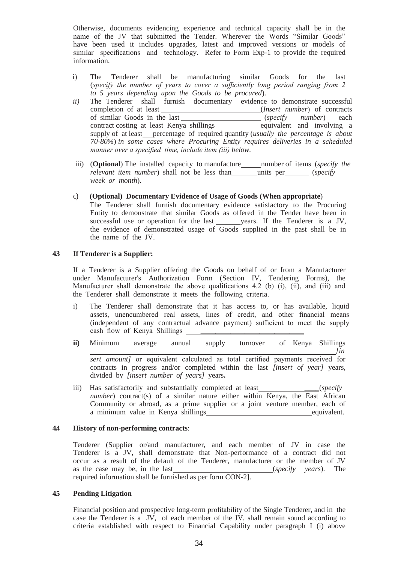Otherwise, documents evidencing experience and technical capacity shall be in the name of the JV that submitted the Tender. Wherever the Words "Similar Goods" have been used it includes upgrades, latest and improved versions or models of similar specifications and technology. Refer to Form Exp-1 to provide the required information.

- i) The Tenderer shall be manufacturing similar Goods for the last (*specify the number of years to cover a sufficiently long period ranging from 2 to 5 years depending upon the Goods to be procured*).
- *ii*) The Tenderer shall furnish documentary evidence to demonstrate successful completion of at least (*Insert number*) of contracts completion of at least (*Insert number*) of contracts of similar Goods in the last (*specify number*) each contract costing at least Kenya shillings equivalent and involving a supply of at least\_percentage of required quantity (*usually the percentage is about 70-80%*) *in some cases where Procuring Entity requires deliveries in a scheduled manner over a specified time, include item (iii) below.*
- iii) (**Optional**) The installed capacity to manufacture number of items (*specify the relevant item number*) shall not be less than units per (*specify week or month*).
- c) **(Optional) Documentary Evidence of Usage of Goods (When appropriate**) The Tenderer shall furnish documentary evidence satisfactory to the Procuring Entity to demonstrate that similar Goods as offered in the Tender have been in successful use or operation for the last \_\_\_\_\_\_ years. If the Tenderer is a JV, the evidence of demonstrated usage of Goods supplied in the past shall be in the name of the JV.

#### **4.3 If Tenderer is a Supplier:**

If a Tenderer is a Supplier offering the Goods on behalf of or from a Manufacturer under Manufacturer's Authorization Form (Section IV, Tendering Forms), the Manufacturer shall demonstrate the above qualifications 4.2 (b) (i), (ii), and (iii) and the Tenderer shall demonstrate it meets the following criteria.

- i) The Tenderer shall demonstrate that it has access to, or has available, liquid assets, unencumbered real assets, lines of credit, and other financial means (independent of any contractual advance payment) sufficient to meet the supply cash flow of Kenya Shillings (independent of any contractual advance payment) sufficient to meet the supply
- **ii)** Minimum average annual supply turnover of Kenya Shillings

*[in sert amount]* or equivalent calculated as total certified payments received for contracts in progress and/or completed within the last *[insert of year]* years, divided by *[insert number of years]* years**.**

iii) Has satisfactorily and substantially completed at least *\_\_\_\_\_\_(specify number*) contract(s) of a similar nature either within Kenya, the East African Community or abroad, as a prime supplier or a joint venture member, each of a minimum value in Kenya shillings equivalent.

#### **4.4 History of non-performing contracts**:

Tenderer (Supplier or/and manufacturer, and each member of JV in case the Tenderer is a JV, shall demonstrate that Non-performance of a contract did not occur as a result of the default of the Tenderer, manufacturer or the member of JV as the case may be, in the last (*specify years*). The required information shall be furnished as per form CON-2].

#### **4.5 Pending Litigation**

Financial position and prospective long-term profitability of the Single Tenderer, and in the case the Tenderer is a JV, of each member of the JV, shall remain sound according to criteria established with respect to Financial Capability under paragraph I (i) above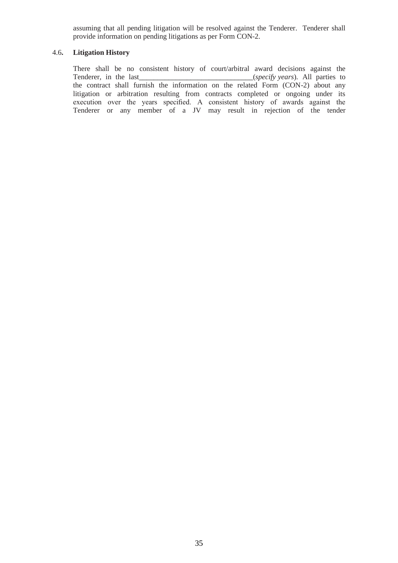assuming that all pending litigation will be resolved against the Tenderer. Tenderer shall provide information on pending litigations as per Form CON-2.

#### 4.6**. Litigation History**

There shall be no consistent history of court/arbitral award decisions against the *\_(specify years).* All parties to the contract shall furnish the information on the related Form (CON-2) about any litigation or arbitration resulting from contracts completed or ongoing under its execution over the years specified. A consistent history of awards against the Tenderer or any member of a JV may result in rejection of the tender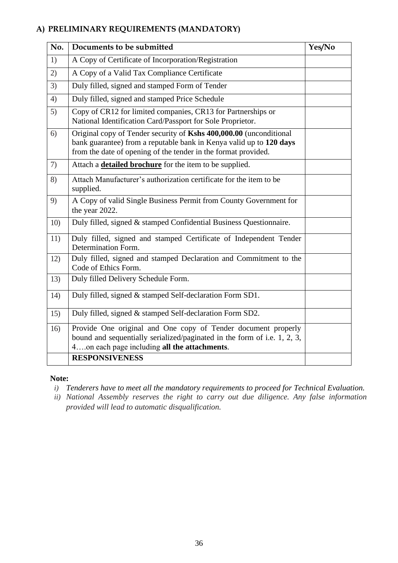# **A) PRELIMINARY REQUIREMENTS (MANDATORY)**

| No. | Documents to be submitted                                                                                                                                                                                   | Yes/No |
|-----|-------------------------------------------------------------------------------------------------------------------------------------------------------------------------------------------------------------|--------|
| 1)  | A Copy of Certificate of Incorporation/Registration                                                                                                                                                         |        |
| 2)  | A Copy of a Valid Tax Compliance Certificate                                                                                                                                                                |        |
| 3)  | Duly filled, signed and stamped Form of Tender                                                                                                                                                              |        |
| 4)  | Duly filled, signed and stamped Price Schedule                                                                                                                                                              |        |
| 5)  | Copy of CR12 for limited companies, CR13 for Partnerships or<br>National Identification Card/Passport for Sole Proprietor.                                                                                  |        |
| 6)  | Original copy of Tender security of Kshs 400,000.00 (unconditional<br>bank guarantee) from a reputable bank in Kenya valid up to 120 days<br>from the date of opening of the tender in the format provided. |        |
| 7)  | Attach a <b>detailed brochure</b> for the item to be supplied.                                                                                                                                              |        |
| 8)  | Attach Manufacturer's authorization certificate for the item to be<br>supplied.                                                                                                                             |        |
| 9)  | A Copy of valid Single Business Permit from County Government for<br>the year 2022.                                                                                                                         |        |
| 10) | Duly filled, signed & stamped Confidential Business Questionnaire.                                                                                                                                          |        |
| 11) | Duly filled, signed and stamped Certificate of Independent Tender<br>Determination Form.                                                                                                                    |        |
| 12) | Duly filled, signed and stamped Declaration and Commitment to the<br>Code of Ethics Form.                                                                                                                   |        |
| 13) | Duly filled Delivery Schedule Form.                                                                                                                                                                         |        |
| 14) | Duly filled, signed & stamped Self-declaration Form SD1.                                                                                                                                                    |        |
| 15) | Duly filled, signed & stamped Self-declaration Form SD2.                                                                                                                                                    |        |
| 16) | Provide One original and One copy of Tender document properly<br>bound and sequentially serialized/paginated in the form of i.e. 1, 2, 3,<br>4on each page including all the attachments.                   |        |
|     | <b>RESPONSIVENESS</b>                                                                                                                                                                                       |        |

# **Note:**

- *i) Tenderers have to meet all the mandatory requirements to proceed for Technical Evaluation.*
- *ii) National Assembly reserves the right to carry out due diligence. Any false information provided will lead to automatic disqualification.*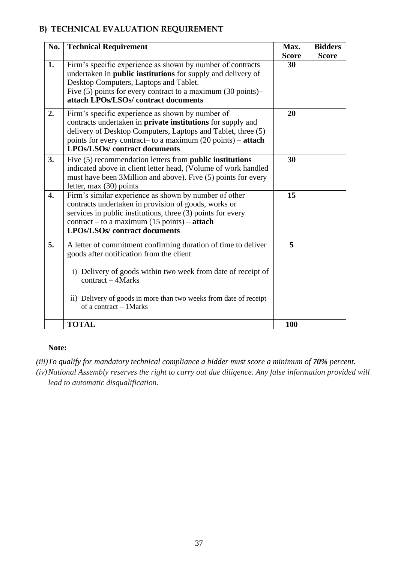## **B) TECHNICAL EVALUATION REQUIREMENT**

| No.              | <b>Technical Requirement</b>                                                                                                                                                                                                                                                                                    | Max.<br><b>Score</b> | <b>Bidders</b><br><b>Score</b> |
|------------------|-----------------------------------------------------------------------------------------------------------------------------------------------------------------------------------------------------------------------------------------------------------------------------------------------------------------|----------------------|--------------------------------|
| 1.               | Firm's specific experience as shown by number of contracts<br>undertaken in <b>public institutions</b> for supply and delivery of<br>Desktop Computers, Laptops and Tablet.<br>Five (5) points for every contract to a maximum (30 points)-<br>attach LPOs/LSOs/contract documents                              | 30                   |                                |
| 2.               | Firm's specific experience as shown by number of<br>contracts undertaken in <b>private institutions</b> for supply and<br>delivery of Desktop Computers, Laptops and Tablet, three (5)<br>points for every contract- to a maximum $(20 \text{ points}) - \text{attach}$<br><b>LPOs/LSOs/</b> contract documents | 20                   |                                |
| 3.               | Five (5) recommendation letters from <b>public institutions</b><br>indicated above in client letter head, (Volume of work handled<br>must have been 3Million and above). Five (5) points for every<br>letter, max $(30)$ points                                                                                 | 30                   |                                |
| $\overline{4}$ . | Firm's similar experience as shown by number of other<br>contracts undertaken in provision of goods, works or<br>services in public institutions, three (3) points for every<br>$contract - to a maximum (15 points) - attack$<br><b>LPOs/LSOs/</b> contract documents                                          | 15                   |                                |
| 5.               | A letter of commitment confirming duration of time to deliver<br>goods after notification from the client<br>i) Delivery of goods within two week from date of receipt of<br>$contract - 4 Marks$<br>ii) Delivery of goods in more than two weeks from date of receipt<br>of a contract - 1Marks                | 5                    |                                |
|                  | <b>TOTAL</b>                                                                                                                                                                                                                                                                                                    | 100                  |                                |

## **Note:**

*(iii)To qualify for mandatory technical compliance a bidder must score a minimum of 70% percent.*

*(iv)National Assembly reserves the right to carry out due diligence. Any false information provided will lead to automatic disqualification.*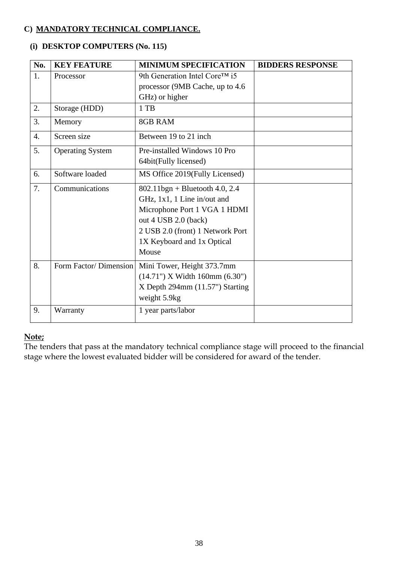## **C) MANDATORY TECHNICAL COMPLIANCE.**

## **(i) DESKTOP COMPUTERS (No. 115)**

| No.              | <b>KEY FEATURE</b>      | <b>MINIMUM SPECIFICATION</b>       | <b>BIDDERS RESPONSE</b> |
|------------------|-------------------------|------------------------------------|-------------------------|
| 1.               | Processor               | 9th Generation Intel Core™ i5      |                         |
|                  |                         | processor (9MB Cache, up to 4.6)   |                         |
|                  |                         | GHz) or higher                     |                         |
| 2.               | Storage (HDD)           | 1 TB                               |                         |
| 3.               | Memory                  | <b>8GB RAM</b>                     |                         |
| $\overline{4}$ . | Screen size             | Between 19 to 21 inch              |                         |
| 5.               | <b>Operating System</b> | Pre-installed Windows 10 Pro       |                         |
|                  |                         | 64bit(Fully licensed)              |                         |
| 6.               | Software loaded         | MS Office 2019(Fully Licensed)     |                         |
| 7.               | Communications          | $802.11$ bgn + Bluetooth 4.0, 2.4  |                         |
|                  |                         | GHz, 1x1, 1 Line in/out and        |                         |
|                  |                         | Microphone Port 1 VGA 1 HDMI       |                         |
|                  |                         | out 4 USB 2.0 (back)               |                         |
|                  |                         | 2 USB 2.0 (front) 1 Network Port   |                         |
|                  |                         | 1X Keyboard and 1x Optical         |                         |
|                  |                         | Mouse                              |                         |
| 8.               | Form Factor/Dimension   | Mini Tower, Height 373.7mm         |                         |
|                  |                         | $(14.71")$ X Width 160mm $(6.30")$ |                         |
|                  |                         | $X$ Depth 294mm $(11.57)$ Starting |                         |
|                  |                         | weight 5.9kg                       |                         |
| 9.               | Warranty                | 1 year parts/labor                 |                         |

## **Note;**

The tenders that pass at the mandatory technical compliance stage will proceed to the financial stage where the lowest evaluated bidder will be considered for award of the tender.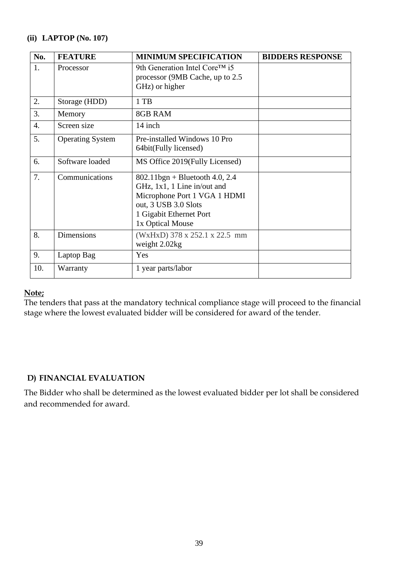## **(ii) LAPTOP (No. 107)**

| No.              | <b>FEATURE</b>          | <b>MINIMUM SPECIFICATION</b>                                                                                                                                            | <b>BIDDERS RESPONSE</b> |
|------------------|-------------------------|-------------------------------------------------------------------------------------------------------------------------------------------------------------------------|-------------------------|
| 1.               | Processor               | 9th Generation Intel Core <sup>TM</sup> i5<br>processor (9MB Cache, up to 2.5)<br>GHz) or higher                                                                        |                         |
| 2.               | Storage (HDD)           | 1 TB                                                                                                                                                                    |                         |
| 3.               | Memory                  | 8GB RAM                                                                                                                                                                 |                         |
| $\overline{4}$ . | Screen size             | 14 inch                                                                                                                                                                 |                         |
| 5.               | <b>Operating System</b> | Pre-installed Windows 10 Pro<br>64bit(Fully licensed)                                                                                                                   |                         |
| 6.               | Software loaded         | MS Office 2019 (Fully Licensed)                                                                                                                                         |                         |
| 7.               | Communications          | $802.11$ bgn + Bluetooth 4.0, 2.4<br>GHz, 1x1, 1 Line in/out and<br>Microphone Port 1 VGA 1 HDMI<br>out, 3 USB 3.0 Slots<br>1 Gigabit Ethernet Port<br>1x Optical Mouse |                         |
| 8.               | <b>Dimensions</b>       | (WxHxD) 378 x 252.1 x 22.5 mm<br>weight 2.02kg                                                                                                                          |                         |
| 9.               | Laptop Bag              | Yes                                                                                                                                                                     |                         |
| 10.              | Warranty                | 1 year parts/labor                                                                                                                                                      |                         |

## **Note;**

The tenders that pass at the mandatory technical compliance stage will proceed to the financial stage where the lowest evaluated bidder will be considered for award of the tender.

## **D) FINANCIAL EVALUATION**

The Bidder who shall be determined as the lowest evaluated bidder per lot shall be considered and recommended for award.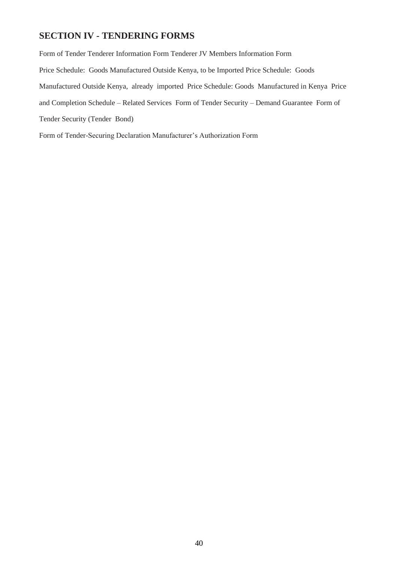## **SECTION IV - TENDERING FORMS**

Form of Tender Tenderer Information Form Tenderer JV Members Information Form Price Schedule: Goods Manufactured Outside Kenya, to be Imported Price Schedule: Goods Manufactured Outside Kenya, already imported Price Schedule: Goods Manufactured in Kenya Price and Completion Schedule – Related Services Form of Tender Security – Demand Guarantee Form of Tender Security (Tender Bond)

Form of Tender-Securing Declaration Manufacturer's Authorization Form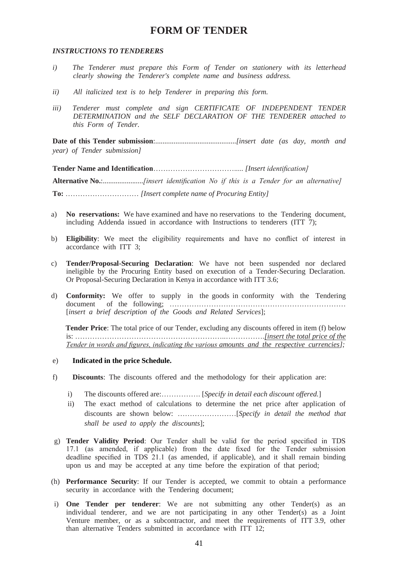## **FORM OF TENDER**

#### *INSTRUCTIONS TO TENDERERS*

- *i) The Tenderer must prepare this Form of Tender on stationery with its letterhead clearly showing the Tenderer's complete name and business address.*
- *ii) All italicized text is to help Tenderer in preparing this form.*
- *iii) Tenderer must complete and sign CERTIFICATE OF INDEPENDENT TENDER DETERMINATION and the SELF DECLARATION OF THE TENDERER attached to this Form of Tender.*

**Date of this Tender submission**:............................................*[insert date (as day, month and year) of Tender submission]* 

**Tender Name and Identification**……………………………..... *[Insert identification]* 

**Alternative No.**:......................*[insert identification No if this is a Tender for an alternative]* **To:** ………………………… *[Insert complete name of Procuring Entity]*

- a) **No reservations:** We have examined and have no reservations to the Tendering document, including Addenda issued in accordance with Instructions to tenderers (ITT 7);
- b) **Eligibility**: We meet the eligibility requirements and have no conflict of interest in accordance with ITT 3;
- c) **Tender/Proposal-Securing Declaration**: We have not been suspended nor declared ineligible by the Procuring Entity based on execution of a Tender-Securing Declaration. Or Proposal-Securing Declaration in Kenya in accordance with ITT 3.6;
- d) **Conformity:** We offer to supply in the goods in conformity with the Tendering document of the following; ……………………………………………………………… [*insert a brief description of the Goods and Related Services*];

**Tender Price**: The total price of our Tender, excluding any discounts offered in item (f) below is: ……………………………………………………..…………….*[insert the total price of the Tender in words and figures, indicating the various amounts and the respective currencies];* 

#### e) **Indicated in the price Schedule.**

- f) **Discounts**: The discounts offered and the methodology for their application are:
	- i) The discounts offered are:……………. [*Specify in detail each discount offered.*]
	- ii) The exact method of calculations to determine the net price after application of discounts are shown below: ……………………[*Specify in detail the method that shall be used to apply the discounts*];
- g) **Tender Validity Period**: Our Tender shall be valid for the period specified in TDS 17.1 (as amended, if applicable) from the date fixed for the Tender submission deadline specified in TDS 21.1 (as amended, if applicable), and it shall remain binding upon us and may be accepted at any time before the expiration of that period;
- (h) **Performance Security**: If our Tender is accepted, we commit to obtain a performance security in accordance with the Tendering document;
- i) **One Tender per tenderer**: We are not submitting any other Tender(s) as an individual tenderer, and we are not participating in any other Tender(s) as a Joint Venture member, or as a subcontractor, and meet the requirements of ITT 3.9, other than alternative Tenders submitted in accordance with ITT 12;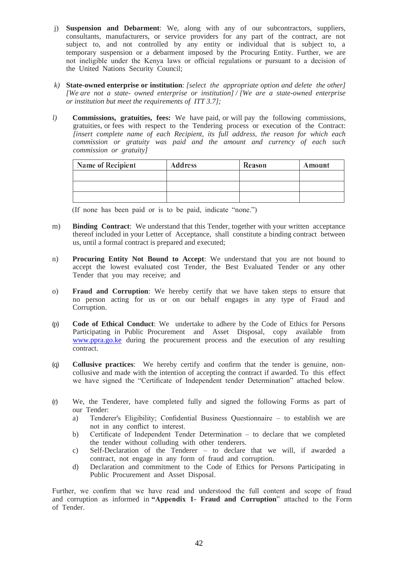- j) **Suspension and Debarment**: We, along with any of our subcontractors, suppliers, consultants, manufacturers, or service providers for any part of the contract, are not subject to, and not controlled by any entity or individual that is subject to, a temporary suspension or a debarment imposed by the Procuring Entity. Further, we are not ineligible under the Kenya laws or official regulations or pursuant to a decision of the United Nations Security Council;
- *k)* **State-owned enterprise or institution**: *[select the appropriate option and delete the other] [We are not a state- owned enterprise or institution] / [We are a state-owned enterprise or institution but meet the requirements of ITT 3.7];*
- *l)* **Commissions, gratuities, fees:** We have paid, or will pay the following commissions, gratuities, or fees with respect to the Tendering process or execution of the Contract: *[insert complete name of each Recipient, its full address, the reason for which each commission or gratuity was paid and the amount and currency of each such commission or gratuity]*

| <b>Name of Recipient</b> | <b>Address</b> | Reason | Amount |
|--------------------------|----------------|--------|--------|
|                          |                |        |        |
|                          |                |        |        |
|                          |                |        |        |

(If none has been paid or is to be paid, indicate "none.")

- m) **Binding Contract**: We understand that this Tender, together with your written acceptance thereof included in your Letter of Acceptance, shall constitute a binding contract between us, until a formal contract is prepared and executed;
- n) **Procuring Entity Not Bound to Accept**: We understand that you are not bound to accept the lowest evaluated cost Tender, the Best Evaluated Tender or any other Tender that you may receive; and
- o) **Fraud and Corruption**: We hereby certify that we have taken steps to ensure that no person acting for us or on our behalf engages in any type of Fraud and Corruption.
- (p) **Code of Ethical Conduct**: We undertake to adhere by the Code of Ethics for Persons Participating in Public Procurement and Asset Disposal, copy available from [www.ppra.go.ke](http://www.ppra.go.ke/) during the procurement process and the execution of any resulting contract.
- (q) **Collusive practices**: We hereby certify and confirm that the tender is genuine, noncollusive and made with the intention of accepting the contract if awarded. To this effect we have signed the "Certificate of Independent tender Determination" attached below.
- (r) We, the Tenderer, have completed fully and signed the following Forms as part of our Tender:
	- a) Tenderer's Eligibility; Confidential Business Questionnaire to establish we are not in any conflict to interest.
	- b) Certificate of Independent Tender Determination to declare that we completed the tender without colluding with other tenderers.
	- c) Self-Declaration of the Tenderer to declare that we will, if awarded a contract, not engage in any form of fraud and corruption.
	- d) Declaration and commitment to the Code of Ethics for Persons Participating in Public Procurement and Asset Disposal.

Further, we confirm that we have read and understood the full content and scope of fraud and corruption as informed in **"Appendix 1- Fraud and Corruption**" attached to the Form of Tender.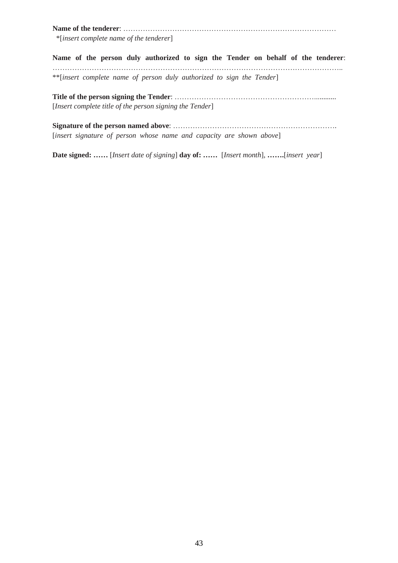**Name of the tenderer**: ……………………………………………………………………………

\*[*insert complete name of the tenderer*]

**Name of the person duly authorized to sign the Tender on behalf of the tenderer**: ……………………………………………………………………………………………………….. \*\*[*insert complete name of person duly authorized to sign the Tender*]

**Title of the person signing the Tender**: …………………………………………………............ [*Insert complete title of the person signing the Tender*]

**Signature of the person named above**: …………………………………………………………. [*insert signature of person whose name and capacity are shown above*]

**Date signed: ……** [*Insert date of signing*] **day of: ……** [*Insert month*], **…….**[*insert year*]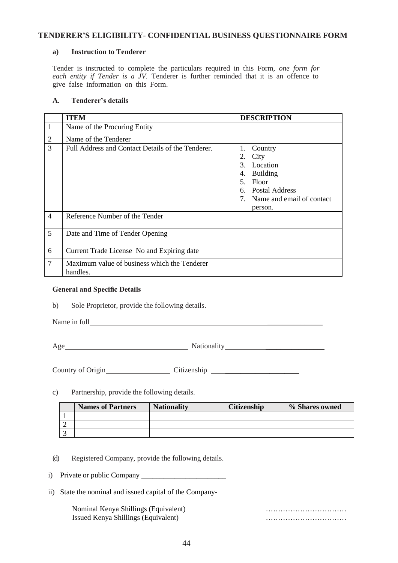#### **TENDERER'S ELIGIBILITY- CONFIDENTIAL BUSINESS QUESTIONNAIRE FORM**

#### **a) Instruction to Tenderer**

Tender is instructed to complete the particulars required in this Form, *one form for each entity if Tender is a JV.* Tenderer is further reminded that it is an offence to give false information on this Form.

#### **A. Tenderer's details**

|                | <b>ITEM</b>                                              | <b>DESCRIPTION</b>                                                                                                                                  |
|----------------|----------------------------------------------------------|-----------------------------------------------------------------------------------------------------------------------------------------------------|
| $\mathbf{1}$   | Name of the Procuring Entity                             |                                                                                                                                                     |
| $\overline{2}$ | Name of the Tenderer                                     |                                                                                                                                                     |
| 3              | Full Address and Contact Details of the Tenderer.        | 1.<br>Country<br>City<br>2.<br>Location<br>$\mathcal{E}$<br>4. Building<br>5. Floor<br>6. Postal Address<br>7. Name and email of contact<br>person. |
| $\overline{4}$ | Reference Number of the Tender                           |                                                                                                                                                     |
| 5              | Date and Time of Tender Opening                          |                                                                                                                                                     |
| 6              | Current Trade License No and Expiring date               |                                                                                                                                                     |
| $\overline{7}$ | Maximum value of business which the Tenderer<br>handles. |                                                                                                                                                     |

#### **General and Specific Details**

b) Sole Proprietor, provide the following details.

Name in full \_\_\_\_\_\_\_\_\_\_\_\_\_\_\_

Age Nationality Nationality 2008

Country of Origin Citizenship Citizenship

c) Partnership, provide the following details.

| <b>Names of Partners</b> | <b>Nationality</b> | <b>Citizenship</b> | % Shares owned |
|--------------------------|--------------------|--------------------|----------------|
|                          |                    |                    |                |
|                          |                    |                    |                |
|                          |                    |                    |                |

- (d) Registered Company, provide the following details.
- i) Private or public Company \_\_\_\_\_\_\_\_\_\_\_\_\_\_\_\_\_\_\_\_\_\_\_
- ii) State the nominal and issued capital of the Company-

Nominal Kenya Shillings (Equivalent) …………………………… Issued Kenya Shillings (Equivalent) ……………………………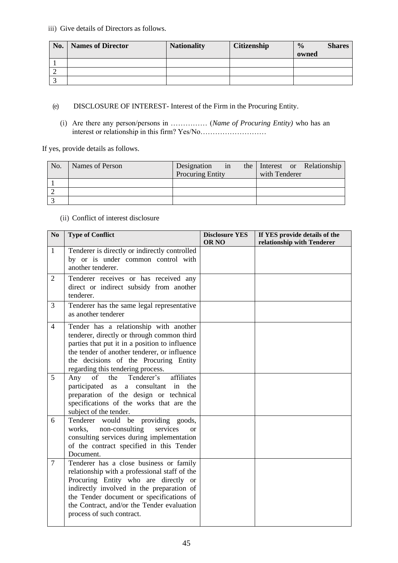iii) Give details of Directors as follows.

| No. | <b>Names of Director</b> | <b>Nationality</b> | <b>Citizenship</b> | $\frac{0}{0}$ | <b>Shares</b> |
|-----|--------------------------|--------------------|--------------------|---------------|---------------|
|     |                          |                    |                    | owned         |               |
|     |                          |                    |                    |               |               |
|     |                          |                    |                    |               |               |
|     |                          |                    |                    |               |               |

(e) DISCLOSURE OF INTEREST- Interest of the Firm in the Procuring Entity.

(i) Are there any person/persons in …………… (*Name of Procuring Entity)* who has an interest or relationship in this firm? Yes/No………………………

If yes, provide details as follows.

| No. | Names of Person | Designation             | in |               | the Interest or Relationship |
|-----|-----------------|-------------------------|----|---------------|------------------------------|
|     |                 | <b>Procuring Entity</b> |    | with Tenderer |                              |
|     |                 |                         |    |               |                              |
|     |                 |                         |    |               |                              |
|     |                 |                         |    |               |                              |

(ii) Conflict of interest disclosure

| No             | <b>Type of Conflict</b>                                                                                                                                                                                                                                                                              | <b>Disclosure YES</b><br>OR <sub>NO</sub> | If YES provide details of the<br>relationship with Tenderer |
|----------------|------------------------------------------------------------------------------------------------------------------------------------------------------------------------------------------------------------------------------------------------------------------------------------------------------|-------------------------------------------|-------------------------------------------------------------|
| $\mathbf{1}$   | Tenderer is directly or indirectly controlled<br>by or is under common control with<br>another tenderer.                                                                                                                                                                                             |                                           |                                                             |
| $\overline{2}$ | Tenderer receives or has received any<br>direct or indirect subsidy from another<br>tenderer.                                                                                                                                                                                                        |                                           |                                                             |
| 3              | Tenderer has the same legal representative<br>as another tenderer                                                                                                                                                                                                                                    |                                           |                                                             |
| $\overline{4}$ | Tender has a relationship with another<br>tenderer, directly or through common third<br>parties that put it in a position to influence<br>the tender of another tenderer, or influence<br>the decisions of the Procuring Entity<br>regarding this tendering process.                                 |                                           |                                                             |
| 5              | of<br>Tenderer's<br>affiliates<br>Any<br>the<br>participated as a consultant in the<br>preparation of the design or technical<br>specifications of the works that are the<br>subject of the tender.                                                                                                  |                                           |                                                             |
| 6              | Tenderer would be providing goods,<br>non-consulting<br>works.<br>services<br><sub>or</sub><br>consulting services during implementation<br>of the contract specified in this Tender<br>Document.                                                                                                    |                                           |                                                             |
| $\overline{7}$ | Tenderer has a close business or family<br>relationship with a professional staff of the<br>Procuring Entity who are directly or<br>indirectly involved in the preparation of<br>the Tender document or specifications of<br>the Contract, and/or the Tender evaluation<br>process of such contract. |                                           |                                                             |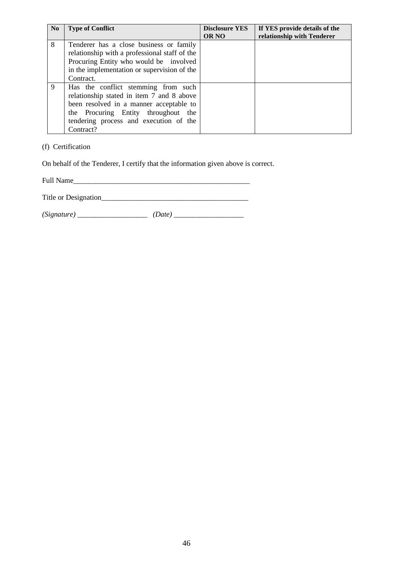| N <sub>0</sub> | <b>Type of Conflict</b>                                                                                                                                                                                                   | <b>Disclosure YES</b><br><b>OR NO</b> | If YES provide details of the<br>relationship with Tenderer |
|----------------|---------------------------------------------------------------------------------------------------------------------------------------------------------------------------------------------------------------------------|---------------------------------------|-------------------------------------------------------------|
| 8              | Tenderer has a close business or family<br>relationship with a professional staff of the<br>Procuring Entity who would be involved<br>in the implementation or supervision of the<br>Contract.                            |                                       |                                                             |
| 9              | Has the conflict stemming from such<br>relationship stated in item 7 and 8 above<br>been resolved in a manner acceptable to<br>the Procuring Entity throughout the<br>tendering process and execution of the<br>Contract? |                                       |                                                             |

#### (f) Certification

On behalf of the Tenderer, I certify that the information given above is correct.

Full Name\_\_\_\_\_\_\_\_\_\_\_\_\_\_\_\_\_\_\_\_\_\_\_\_\_\_\_\_\_\_\_\_\_\_\_\_\_\_\_\_\_\_\_\_\_\_\_\_

Title or Designation\_\_\_\_\_\_\_\_\_\_\_\_\_\_\_\_\_\_\_\_\_\_\_\_\_\_\_\_\_\_\_\_\_\_\_\_\_\_\_\_

*(Signature)* \_\_\_\_\_\_\_\_\_\_\_\_\_\_\_\_\_\_\_ *(Date)* \_\_\_\_\_\_\_\_\_\_\_\_\_\_\_\_\_\_\_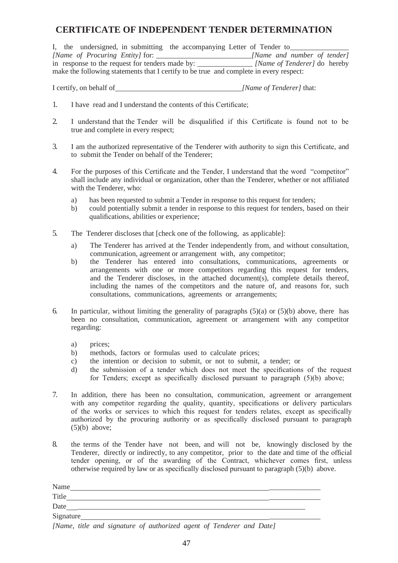## **CERTIFICATE OF INDEPENDENT TENDER DETERMINATION**

|  |                                                 | I, the undersigned, in submitting the accompanying Letter of Tender to                 |                              |  |
|--|-------------------------------------------------|----------------------------------------------------------------------------------------|------------------------------|--|
|  | [Name of Procuring Entity] for: _____           |                                                                                        | [Name and number of tender]  |  |
|  | in response to the request for tenders made by: |                                                                                        | [Name of Tenderer] do hereby |  |
|  |                                                 | make the following statements that I certify to be true and complete in every respect: |                              |  |

I certify, on behalf of *[Name of Tenderer]* that:

- 1. I have read and I understand the contents of this Certificate;
- 2. I understand that the Tender will be disqualified if this Certificate is found not to be true and complete in every respect;
- 3. I am the authorized representative of the Tenderer with authority to sign this Certificate, and to submit the Tender on behalf of the Tenderer;
- 4. For the purposes of this Certificate and the Tender, I understand that the word "competitor" shall include any individual or organization, other than the Tenderer, whether or not affiliated with the Tenderer, who:
	- a) has been requested to submit a Tender in response to this request for tenders;
	- b) could potentially submit a tender in response to this request for tenders, based on their qualifications, abilities or experience;
- 5. The Tenderer discloses that [check one of the following, as applicable]:
	- a) The Tenderer has arrived at the Tender independently from, and without consultation, communication, agreement or arrangement with, any competitor;
	- b) the Tenderer has entered into consultations, communications, agreements or arrangements with one or more competitors regarding this request for tenders, and the Tenderer discloses, in the attached document(s), complete details thereof, including the names of the competitors and the nature of, and reasons for, such consultations, communications, agreements or arrangements;
- 6. In particular, without limiting the generality of paragraphs  $(5)(a)$  or  $(5)(b)$  above, there has been no consultation, communication, agreement or arrangement with any competitor regarding:
	- a) prices;
	- b) methods, factors or formulas used to calculate prices;
	- c) the intention or decision to submit, or not to submit, a tender; or
	- d) the submission of a tender which does not meet the specifications of the request for Tenders; except as specifically disclosed pursuant to paragraph (5)(b) above;
- 7. In addition, there has been no consultation, communication, agreement or arrangement with any competitor regarding the quality, quantity, specifications or delivery particulars of the works or services to which this request for tenders relates, except as specifically authorized by the procuring authority or as specifically disclosed pursuant to paragraph  $(5)(b)$  above;
- 8. the terms of the Tender have not been, and will not be, knowingly disclosed by the Tenderer, directly or indirectly, to any competitor, prior to the date and time of the official tender opening, or of the awarding of the Contract, whichever comes first, unless otherwise required by law or as specifically disclosed pursuant to paragraph (5)(b) above.

| Name                                                                                                                                           |  |
|------------------------------------------------------------------------------------------------------------------------------------------------|--|
| Title                                                                                                                                          |  |
| Date                                                                                                                                           |  |
| Signature                                                                                                                                      |  |
| $\mathbf{r}$<br>$\mathbf{y}$ , and $\mathbf{y}$ , and $\mathbf{y}$ , and $\mathbf{y}$ , and $\mathbf{y}$ , and $\mathbf{y}$ , and $\mathbf{y}$ |  |

*[Name, title and signature of authorized agent of Tenderer and Date]*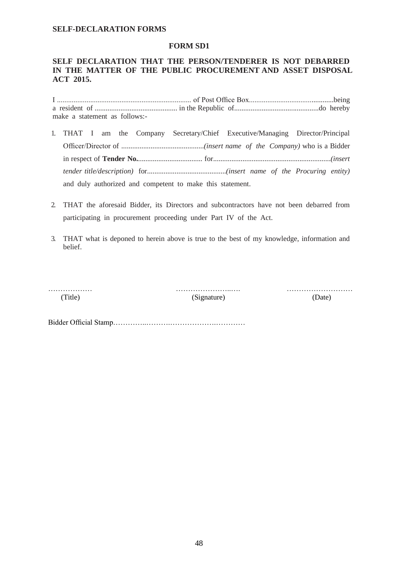#### **SELF-DECLARATION FORMS**

#### **FORM SD1**

#### **SELF DECLARATION THAT THE PERSON/TENDERER IS NOT DEBARRED IN THE MATTER OF THE PUBLIC PROCUREMENT AND ASSET DISPOSAL ACT 2015.**

I ......................................................................... of Post Office Box..............................................being a resident of ............................................. in the Republic of..............................................do hereby make a statement as follows:-

- 1. THAT I am the Company Secretary/Chief Executive/Managing Director/Principal Officer/Director of .............................................*(insert name of the Company)* who is a Bidder in respect of **Tender No.**................................... for................................................................*(insert tender title/description)* for...........................................*(insert name of the Procuring entity)*  and duly authorized and competent to make this statement.
- 2. THAT the aforesaid Bidder, its Directors and subcontractors have not been debarred from participating in procurement proceeding under Part IV of the Act.
- 3. THAT what is deponed to herein above is true to the best of my knowledge, information and belief.

……………… …………………..…. ………………………

(Title) (Signature) (Date)

Bidder Official Stamp…………..……….……………….…………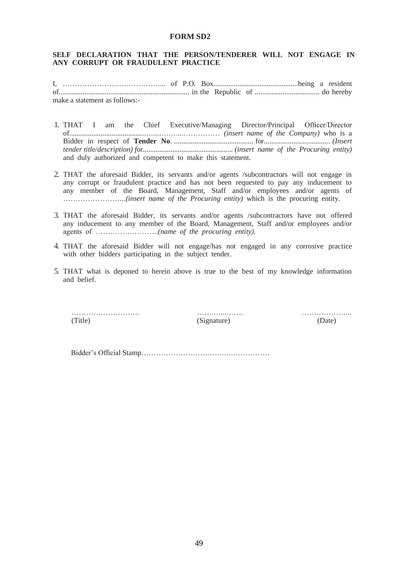#### **FORM SD2**

#### **SELF DECLARATION THAT THE PERSON/TENDERER WILL NOT ENGAGE IN ANY CORRUPT OR FRAUDULENT PRACTICE**

I, ………………………………….... of P.O. Box..............................................being a resident of....................................................................... in the Republic of ................................... do hereby make a statement as follows:-

- 1. THAT I am the Chief Executive/Managing Director/Principal Officer/Director of..................................................……....…………… *(insert name of the Company)* who is a Bidder in respect of **Tender No**. ........................................... for.................................... *(Insert tender title/description) f*or................................................. *(insert name of the Procuring entity)*  and duly authorized and competent to make this statement.
- 2. THAT the aforesaid Bidder, its servants and/or agents /subcontractors will not engage in any corrupt or fraudulent practice and has not been requested to pay any inducement to any member of the Board, Management, Staff and/or employees and/or agents of ……………………..*(insert name of the Procuring entity)* which is the procuring entity.
- 3. THAT the aforesaid Bidder, its servants and/or agents /subcontractors have not offered any inducement to any member of the Board, Management, Staff and/or employees and/or agents of ……………………..*(name of the procuring entity).*
- 4. THAT the aforesaid Bidder will not engage/has not engaged in any corrosive practice with other bidders participating in the subject tender.
- 5. THAT what is deponed to herein above is true to the best of my knowledge information and belief.

………………………. …….…...……. ………………... (Title) (Signature) (Date)

Bidder's Official Stamp……………………………..………………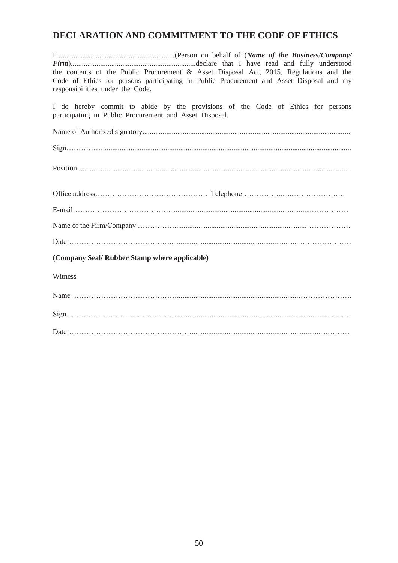## **DECLARATION AND COMMITMENT TO THE CODE OF ETHICS**

| the contents of the Public Procurement & Asset Disposal Act, 2015, Regulations and the   |
|------------------------------------------------------------------------------------------|
| Code of Ethics for persons participating in Public Procurement and Asset Disposal and my |
| responsibilities under the Code.                                                         |
| I do hereby commit to abide by the provisions of the Code of Ethics for persons          |
| participating in Public Procurement and Asset Disposal.                                  |
|                                                                                          |
|                                                                                          |
|                                                                                          |
|                                                                                          |
|                                                                                          |
|                                                                                          |
|                                                                                          |
|                                                                                          |
|                                                                                          |
|                                                                                          |
|                                                                                          |
|                                                                                          |
| (Company Seal/ Rubber Stamp where applicable)                                            |
| Witness                                                                                  |
|                                                                                          |
|                                                                                          |
|                                                                                          |
|                                                                                          |
|                                                                                          |
|                                                                                          |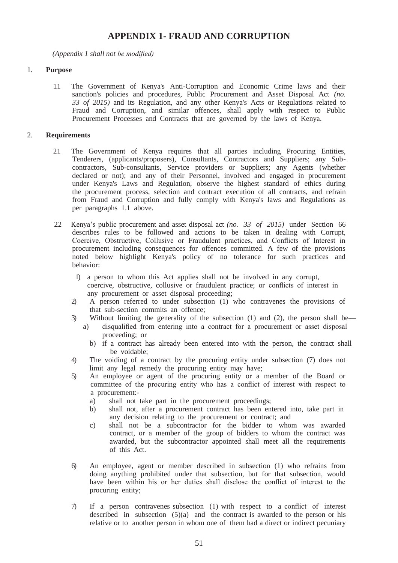## **APPENDIX 1- FRAUD AND CORRUPTION**

*(Appendix 1 shall not be modified)*

#### 1. **Purpose**

1.1 The Government of Kenya's Anti-Corruption and Economic Crime laws and their sanction's policies and procedures, Public Procurement and Asset Disposal Act *(no. 33 of 2015)* and its Regulation, and any other Kenya's Acts or Regulations related to Fraud and Corruption, and similar offences, shall apply with respect to Public Procurement Processes and Contracts that are governed by the laws of Kenya.

#### 2. **Requirements**

- 2.1 The Government of Kenya requires that all parties including Procuring Entities, Tenderers, (applicants/proposers), Consultants, Contractors and Suppliers; any Subcontractors, Sub-consultants, Service providers or Suppliers; any Agents (whether declared or not); and any of their Personnel, involved and engaged in procurement under Kenya's Laws and Regulation, observe the highest standard of ethics during the procurement process, selection and contract execution of all contracts, and refrain from Fraud and Corruption and fully comply with Kenya's laws and Regulations as per paragraphs 1.1 above.
- 2.2 Kenya's public procurement and asset disposal act *(no. 33 of 2015)* under Section 66 describes rules to be followed and actions to be taken in dealing with Corrupt, Coercive, Obstructive, Collusive or Fraudulent practices, and Conflicts of Interest in procurement including consequences for offences committed. A few of the provisions noted below highlight Kenya's policy of no tolerance for such practices and behavior:
	- 1) a person to whom this Act applies shall not be involved in any corrupt, coercive, obstructive, collusive or fraudulent practice; or conflicts of interest in any procurement or asset disposal proceeding;
	- 2) A person referred to under subsection (1) who contravenes the provisions of that sub-section commits an offence;
	- 3) Without limiting the generality of the subsection (1) and (2), the person shall be
		- a) disqualified from entering into a contract for a procurement or asset disposal proceeding; or
			- b) if a contract has already been entered into with the person, the contract shall be voidable;
	- 4) The voiding of a contract by the procuring entity under subsection (7) does not limit any legal remedy the procuring entity may have;
	- 5) An employee or agent of the procuring entity or a member of the Board or committee of the procuring entity who has a conflict of interest with respect to a procurement:
		- a) shall not take part in the procurement proceedings;
		- b) shall not, after a procurement contract has been entered into, take part in any decision relating to the procurement or contract; and
		- c) shall not be a subcontractor for the bidder to whom was awarded contract, or a member of the group of bidders to whom the contract was awarded, but the subcontractor appointed shall meet all the requirements of this Act.
	- 6) An employee, agent or member described in subsection (1) who refrains from doing anything prohibited under that subsection, but for that subsection, would have been within his or her duties shall disclose the conflict of interest to the procuring entity;
	- 7) If a person contravenes subsection (1) with respect to a conflict of interest described in subsection  $(5)(a)$  and the contract is awarded to the person or his relative or to another person in whom one of them had a direct or indirect pecuniary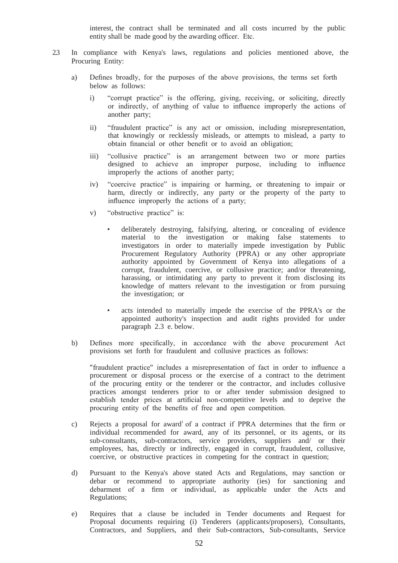interest, the contract shall be terminated and all costs incurred by the public entity shall be made good by the awarding officer. Etc.

- 2.3 In compliance with Kenya's laws, regulations and policies mentioned above, the Procuring Entity:
	- a) Defines broadly, for the purposes of the above provisions, the terms set forth below as follows:
		- i) "corrupt practice" is the offering, giving, receiving, or soliciting, directly or indirectly, of anything of value to influence improperly the actions of another party;
		- ii) "fraudulent practice" is any act or omission, including misrepresentation, that knowingly or recklessly misleads, or attempts to mislead, a party to obtain financial or other benefit or to avoid an obligation;
		- iii) "collusive practice" is an arrangement between two or more parties designed to achieve an improper purpose, including to influence improperly the actions of another party;
		- iv) "coercive practice" is impairing or harming, or threatening to impair or harm, directly or indirectly, any party or the property of the party to influence improperly the actions of a party;
		- v) "obstructive practice" is:
			- deliberately destroying, falsifying, altering, or concealing of evidence material to the investigation or making false statements to investigators in order to materially impede investigation by Public Procurement Regulatory Authority (PPRA) or any other appropriate authority appointed by Government of Kenya into allegations of a corrupt, fraudulent, coercive, or collusive practice; and/or threatening, harassing, or intimidating any party to prevent it from disclosing its knowledge of matters relevant to the investigation or from pursuing the investigation; or
			- acts intended to materially impede the exercise of the PPRA's or the appointed authority's inspection and audit rights provided for under paragraph 2.3 e. below.
	- b) Defines more specifically, in accordance with the above procurement Act provisions set forth for fraudulent and collusive practices as follows:

"fraudulent practice" includes a misrepresentation of fact in order to influence a procurement or disposal process or the exercise of a contract to the detriment of the procuring entity or the tenderer or the contractor, and includes collusive practices amongst tenderers prior to or after tender submission designed to establish tender prices at artificial non-competitive levels and to deprive the procuring entity of the benefits of free and open competition.

- c) Rejects a proposal for award of a contract if PPRA determines that the firm or individual recommended for award, any of its personnel, or its agents, or its sub-consultants, sub-contractors, service providers, suppliers and/ or their employees, has, directly or indirectly, engaged in corrupt, fraudulent, collusive, coercive, or obstructive practices in competing for the contract in question;
- d) Pursuant to the Kenya's above stated Acts and Regulations, may sanction or debar or recommend to appropriate authority (ies) for sanctioning and debarment of a firm or individual, as applicable under the Acts and Regulations;
- e) Requires that a clause be included in Tender documents and Request for Proposal documents requiring (i) Tenderers (applicants/proposers), Consultants, Contractors, and Suppliers, and their Sub-contractors, Sub-consultants, Service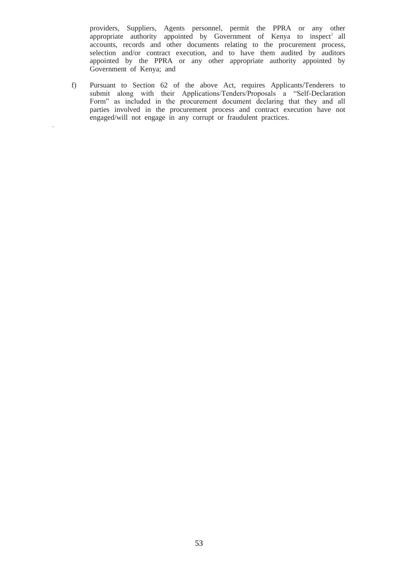providers, Suppliers, Agents personnel, permit the PPRA or any other appropriate authority appointed by Government of Kenya to inspect<sup>2</sup> all accounts, records and other documents relating to the procurement process, selection and/or contract execution, and to have them audited by auditors appointed by the PPRA or any other appropriate authority appointed by Government of Kenya; and

f) Pursuant to Section 62 of the above Act, requires Applicants/Tenderers to submit along with their Applications/Tenders/Proposals a "Self-Declaration Form" as included in the procurement document declaring that they and all parties involved in the procurement process and contract execution have not engaged/will not engage in any corrupt or fraudulent practices.

*.*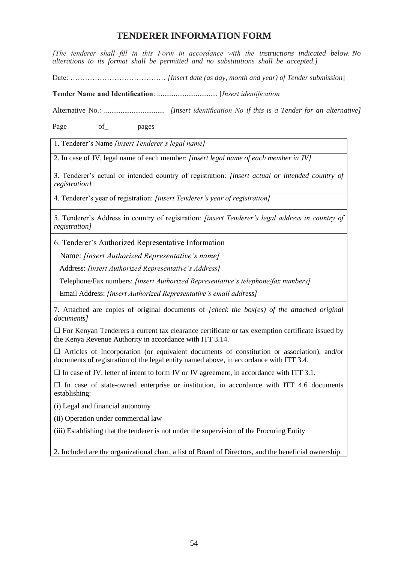## **TENDERER INFORMATION FORM**

*[The tenderer shall fill in this Form in accordance with the instructions indicated below. No alterations to its format shall be permitted and no substitutions shall be accepted.]*

Date: ………………………………… *[Insert date (as day, month and year) of Tender submission*]

**Tender Name and Identification**: ................................. [*Insert identification*

Alternative No.: ................................. *[Insert identification No if this is a Tender for an alternative]* 

Page of pages

1. Tenderer's Name *[insert Tenderer's legal name]*

2. In case of JV, legal name of each member: *[insert legal name of each member in JV]*

3. Tenderer's actual or intended country of registration: *[insert actual or intended country of registration]*

4. Tenderer's year of registration: *[insert Tenderer's year of registration]*

5. Tenderer's Address in country of registration: *[insert Tenderer's legal address in country of registration]*

6. Tenderer's Authorized Representative Information

Name: *[insert Authorized Representative's name]*

Address: *[insert Authorized Representative's Address]*

Telephone/Fax numbers: *[insert Authorized Representative's telephone/fax numbers]*

Email Address: *[insert Authorized Representative's email address]*

7. Attached are copies of original documents of *[check the box(es) of the attached original documents]*

 $\Box$  For Kenyan Tenderers a current tax clearance certificate or tax exemption certificate issued by the Kenya Revenue Authority in accordance with ITT 3.14.

 $\Box$  Articles of Incorporation (or equivalent documents of constitution or association), and/or documents of registration of the legal entity named above, in accordance with ITT 3.4.

 $\square$  In case of JV, letter of intent to form JV or JV agreement, in accordance with ITT 3.1.

 $\Box$  In case of state-owned enterprise or institution, in accordance with ITT 4.6 documents establishing:

(i) Legal and financial autonomy

(ii) Operation under commercial law

(iii) Establishing that the tenderer is not under the supervision of the Procuring Entity

2. Included are the organizational chart, a list of Board of Directors, and the beneficial ownership.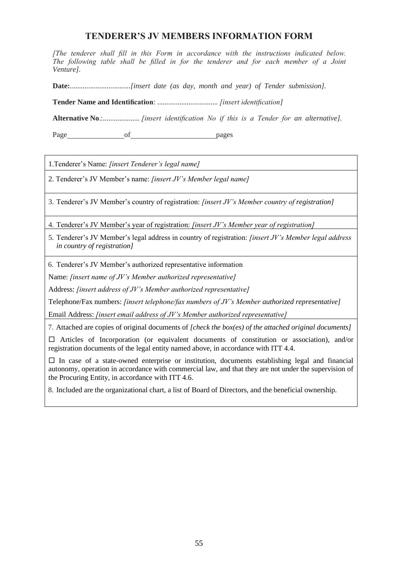## **TENDERER'S JV MEMBERS INFORMATION FORM**

*[The tenderer shall fill in this Form in accordance with the instructions indicated below. The following table shall be filled in for the tenderer and for each member of a Joint Venture].*

**Date:**.................................*[insert date (as day, month and year) of Tender submission].*

**Tender Name and Identification**: ................................. *[insert identification]* 

**Alternative No**.:.................... *[insert identification No if this is a Tender for an alternative].*

Page of pages

1.Tenderer's Name: *[insert Tenderer's legal name]*

2. Tenderer's JV Member's name: *[insert JV's Member legal name]*

3. Tenderer's JV Member's country of registration: *[insert JV's Member country of registration]*

4. Tenderer's JV Member's year of registration: *[insert JV's Member year of registration]*

5. Tenderer's JV Member's legal address in country of registration: *[insert JV's Member legal address in country of registration]*

6. Tenderer's JV Member's authorized representative information

Name: *[insert name of JV's Member authorized representative]*

Address: *[insert address of JV's Member authorized representative]*

Telephone/Fax numbers: *[insert telephone/fax numbers of JV's Member authorized representative]*

Email Address: *[insert email address of JV's Member authorized representative]*

7. Attached are copies of original documents of *[check the box(es) of the attached original documents]*

 Articles of Incorporation (or equivalent documents of constitution or association), and/or registration documents of the legal entity named above, in accordance with ITT 4.4.

 $\Box$  In case of a state-owned enterprise or institution, documents establishing legal and financial autonomy, operation in accordance with commercial law, and that they are not under the supervision of the Procuring Entity, in accordance with ITT 4.6.

8. Included are the organizational chart, a list of Board of Directors, and the beneficial ownership.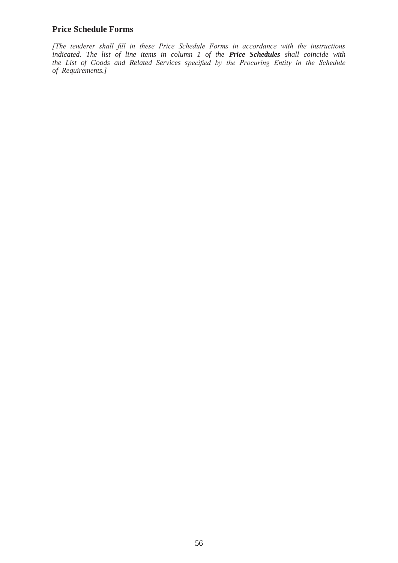#### **Price Schedule Forms**

*[The tenderer shall fill in these Price Schedule Forms in accordance with the instructions indicated. The list of line items in column 1 of the Price Schedules shall coincide with the List of Goods and Related Services specified by the Procuring Entity in the Schedule of Requirements.]*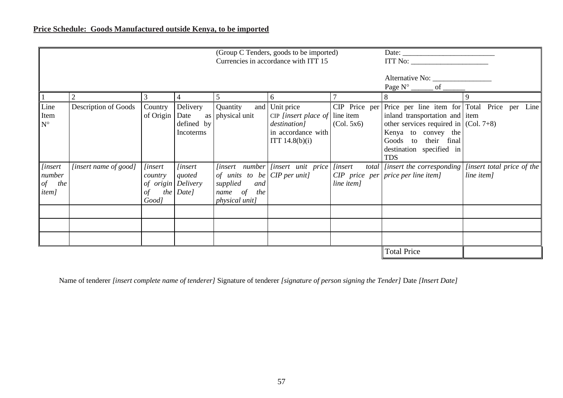|                                                            |                                      |                                                                |                                                   |                                                                                    | (Group C Tenders, goods to be imported)                                                                            |            |                                                                                                                                                                                                                                    |                                           |
|------------------------------------------------------------|--------------------------------------|----------------------------------------------------------------|---------------------------------------------------|------------------------------------------------------------------------------------|--------------------------------------------------------------------------------------------------------------------|------------|------------------------------------------------------------------------------------------------------------------------------------------------------------------------------------------------------------------------------------|-------------------------------------------|
|                                                            | Currencies in accordance with ITT 15 |                                                                |                                                   |                                                                                    |                                                                                                                    |            |                                                                                                                                                                                                                                    | ITT No:                                   |
|                                                            |                                      |                                                                |                                                   |                                                                                    |                                                                                                                    |            | Page $N^{\circ}$ _______ of ______                                                                                                                                                                                                 |                                           |
|                                                            |                                      |                                                                |                                                   |                                                                                    | <sub>0</sub>                                                                                                       |            | 8                                                                                                                                                                                                                                  |                                           |
| Line<br>Item<br>$N^{\circ}$                                | Description of Goods                 | Country<br>of Origin                                           | Delivery<br>Date<br>as<br>defined by<br>Incoterms | Quantity<br>physical unit                                                          | and Unit price<br>CIP [insert place of $\vert$ line item<br>destination]<br>in accordance with<br>ITT $14.8(b)(i)$ | (Col. 5x6) | CIP Price per Price per line item for Total Price per Line<br>inland transportation and item<br>other services required in $ $ (Col. 7+8)<br>Kenya to convey the<br>Goods to their final<br>destination specified in<br><b>TDS</b> |                                           |
| [insert<br>number<br>the<br>$\mathit{of}$<br><i>item</i> ] | [insert name of good]                | <i>linsert</i><br>country<br>of origin Delivery<br>οf<br>Good] | <i>linsert</i><br>quoted<br>the Date]             | of units to be $CIP$ per unit]<br>supplied<br>and<br>name of the<br>physical unit] | $[insert \ number]$ $[insert \ unit \ price]$ $[insert \ unit \ price]$                                            | line item] | total <i>linsert</i> the corresponding<br>$CIP$ price per price per line item]                                                                                                                                                     | [insert total price of the]<br>line item] |
|                                                            |                                      |                                                                |                                                   |                                                                                    |                                                                                                                    |            | <b>Total Price</b>                                                                                                                                                                                                                 |                                           |

Name of tenderer *[insert complete name of tenderer]* Signature of tenderer *[signature of person signing the Tender]* Date *[Insert Date]*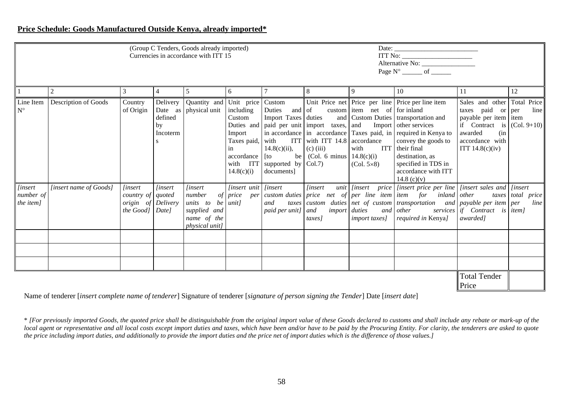#### **Price Schedule: Goods Manufactured Outside Kenya, already imported\***

|                                          | (Group C Tenders, Goods already imported)<br>Currencies in accordance with ITT 15 |                                                                                     |                                                  |                                                                                                |                                                          |                                                                                            |                                                                                                       | $\begin{tabular}{ c c } \hline \text{ITT No: } \quad \quad \quad & \quad \quad \quad \\ \hline \end{tabular}$                   |                                                                                                                                                                                                                                                                                                                       |                                                                                                                                                                         |                           |
|------------------------------------------|-----------------------------------------------------------------------------------|-------------------------------------------------------------------------------------|--------------------------------------------------|------------------------------------------------------------------------------------------------|----------------------------------------------------------|--------------------------------------------------------------------------------------------|-------------------------------------------------------------------------------------------------------|---------------------------------------------------------------------------------------------------------------------------------|-----------------------------------------------------------------------------------------------------------------------------------------------------------------------------------------------------------------------------------------------------------------------------------------------------------------------|-------------------------------------------------------------------------------------------------------------------------------------------------------------------------|---------------------------|
|                                          | $\overline{c}$                                                                    | 3                                                                                   | 4                                                | 5                                                                                              | 6                                                        |                                                                                            | 8                                                                                                     |                                                                                                                                 | 10                                                                                                                                                                                                                                                                                                                    | 11                                                                                                                                                                      | 12                        |
| Line Item<br>$N^{\circ}$                 | Description of Goods                                                              | Country<br>of Origin                                                                | Delivery<br>Date as<br>defined<br>by<br>Incoterm | Quantity and Unit price Custom<br>physical unit including                                      | Custom<br>Import<br>in<br>$accordance$ [to<br>14.8(c)(i) | Duties<br>and of<br>$14.8(c)(ii)$ ,<br>with ITT supported by $ Col.7\rangle$<br>documents] | Taxes paid, with ITT with ITT $14.8$ accordance<br>$(c)$ (iii)<br>be   (Col. 6 minus   $14.8(c)(i)$ ) | custom item net of for inland<br>Duties and paid per unit import taxes, and Import other services<br>with<br>$(Col. 5\times 8)$ | Unit Price net Price per line Price per line item<br>Import Taxes duties and Custom Duties transportation and<br>in accordance in $\alpha$ accordance Taxes paid, in required in Kenya to<br>convey the goods to<br>ITT their final<br>destination, as<br>specified in TDS in<br>accordance with ITT<br>14.8 $(c)(v)$ | Sales and other Total Price<br>taxes paid or $per$<br>payable per item item<br>if Contract is $ $ (Col. 9+10)<br>awarded<br>(in<br>accordance with<br>ITT $14.8(c)(iv)$ | line                      |
| <i>linsert</i><br>number of<br>the item] | [insert name of Goods]                                                            | <i>linsert</i><br>country of quoted<br><i>origin</i> of Delivery<br>the Good] Date] | <i>linsert</i>                                   | <i>linsert</i><br>number<br>units to be unit]<br>supplied and<br>name of the<br>physical unit] | <i>linsert unit linsert</i>                              | and<br>paid per unit] and                                                                  | <i>linsert</i><br><i>import</i> duties<br>taxes]                                                      | <i>import taxes]</i>                                                                                                            | of price per custom duties price net of per line item item for inland other<br>$\frac{1}{1}$ taxes custom duties net of custom transportation and payable per item per<br>and other<br><i>required in Kenya]</i>                                                                                                      | services if Contract is item]<br>awarded]                                                                                                                               | taxes total price<br>line |
|                                          |                                                                                   |                                                                                     |                                                  |                                                                                                |                                                          |                                                                                            |                                                                                                       |                                                                                                                                 |                                                                                                                                                                                                                                                                                                                       | <b>Total Tender</b><br>Price                                                                                                                                            |                           |

Name of tenderer [*insert complete name of tenderer*] Signature of tenderer [*signature of person signing the Tender*] Date [*insert date*]

\* *[For previously imported Goods, the quoted price shall be distinguishable from the original import value of these Goods declared to customs and shall include any rebate or mark-up of the*  local agent or representative and all local costs except import duties and taxes, which have been and/or have to be paid by the Procuring Entity. For clarity, the tenderers are asked to quote *the price including import duties, and additionally to provide the import duties and the price net of import duties which is the difference of those values.]*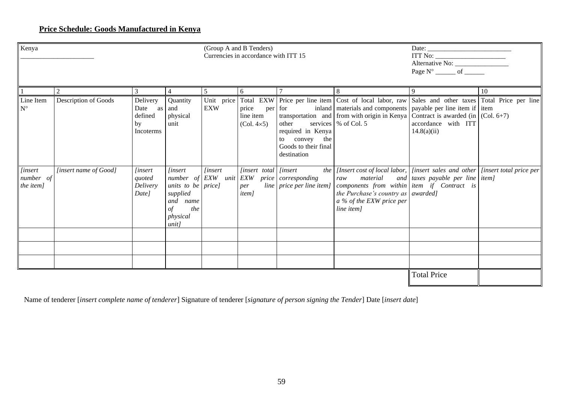## **Price Schedule: Goods Manufactured in Kenya**

| Kenya                                    | (Group A and B Tenders)<br>Currencies in accordance with ITT 15 |                                                   |                                                                                                                                   |                          |                                                           |                                                                                               | Alternative No: $\frac{1}{\text{Page N}^{\circ} \text{ of } \_\_\_\_\_\_\_\_ \text{off} \_\_\_\_\_\_\_\_\_\_\_\_\_\_}}$                                                                                                                                                                  |                                    |    |
|------------------------------------------|-----------------------------------------------------------------|---------------------------------------------------|-----------------------------------------------------------------------------------------------------------------------------------|--------------------------|-----------------------------------------------------------|-----------------------------------------------------------------------------------------------|------------------------------------------------------------------------------------------------------------------------------------------------------------------------------------------------------------------------------------------------------------------------------------------|------------------------------------|----|
|                                          | 2                                                               | 3                                                 | 4                                                                                                                                 | 5 <sup>5</sup>           | 6                                                         |                                                                                               | 8                                                                                                                                                                                                                                                                                        | 9                                  | 10 |
| Line Item<br>$N^{\circ}$                 | Description of Goods                                            | Delivery<br>Date as<br>defined<br>by<br>Incoterms | Quantity<br>and<br>physical<br>unit                                                                                               | Unit price<br><b>EXW</b> | price<br>line item<br>$(Col. 4\times 5)$                  | per for<br>other<br>required in Kenya<br>to convey the<br>Goods to their final<br>destination | Total EXW Price per line item Cost of local labor, raw Sales and other taxes Total Price per line<br>inland   materials and components   payable per line item if   item<br>transportation and from with origin in Kenya Contract is awarded (in $ $ (Col. 6+7)<br>services \% of Col. 5 | accordance with ITT<br>14.8(a)(ii) |    |
| <i>[insert</i><br>number of<br>the item] | [insert name of Good]                                           | <i>linsert</i><br>quoted<br>Delivery<br>Date]     | <i>linsert</i><br>$number \ of$ <i>EXW</i><br>units to be $price$<br>supplied<br>and<br>name<br>the<br>οf<br>physical<br>$unit$ ] | <i>linsert</i>           | [insert total [insert<br>unit EXW<br>per<br><i>item</i> ] | price corresponding<br>line price per line item]                                              | the   [Insert cost of local labor, $ $ [insert sales and other $ $ [insert total price per $ $<br>raw<br>material<br>components from within item if Contract is<br>the Purchase's country as $\vert$ awarded]<br>a % of the EXW price per<br>line item]                                  | and taxes payable per line item]   |    |
|                                          |                                                                 |                                                   |                                                                                                                                   |                          |                                                           |                                                                                               |                                                                                                                                                                                                                                                                                          |                                    |    |
|                                          |                                                                 |                                                   |                                                                                                                                   |                          |                                                           |                                                                                               |                                                                                                                                                                                                                                                                                          |                                    |    |
|                                          |                                                                 |                                                   |                                                                                                                                   |                          |                                                           |                                                                                               |                                                                                                                                                                                                                                                                                          | <b>Total Price</b>                 |    |

Name of tenderer [*insert complete name of tenderer*] Signature of tenderer [*signature of person signing the Tender*] Date [*insert date*]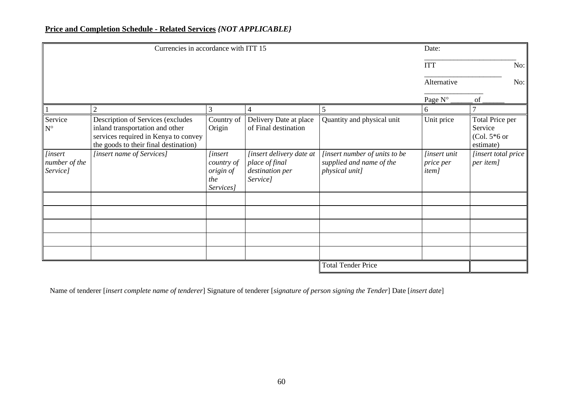## **Price and Completion Schedule - Related Services** *{NOT APPLICABLE}*

|                                             | Currencies in accordance with ITT 15                                                                                                                  | Date:                                                         |                                                                           |                                                                             |                                                          |                                                           |
|---------------------------------------------|-------------------------------------------------------------------------------------------------------------------------------------------------------|---------------------------------------------------------------|---------------------------------------------------------------------------|-----------------------------------------------------------------------------|----------------------------------------------------------|-----------------------------------------------------------|
|                                             |                                                                                                                                                       |                                                               |                                                                           |                                                                             | <b>ITT</b>                                               | No:                                                       |
|                                             |                                                                                                                                                       |                                                               |                                                                           |                                                                             | Alternative                                              | No:                                                       |
|                                             |                                                                                                                                                       |                                                               |                                                                           |                                                                             | Page N°                                                  | of                                                        |
|                                             | $\overline{2}$                                                                                                                                        | 3                                                             | 4                                                                         | 5                                                                           | 6                                                        |                                                           |
| Service<br>$\mathbf{N}^{\circ}$             | Description of Services (excludes<br>inland transportation and other<br>services required in Kenya to convey<br>the goods to their final destination) | Country of<br>Origin                                          | Delivery Date at place<br>of Final destination                            | Quantity and physical unit                                                  | Unit price                                               | Total Price per<br>Service<br>$(Col. 5*6$ or<br>estimate) |
| <i>[insert</i><br>number of the<br>Service] | [insert name of Services]                                                                                                                             | <i>linsert</i><br>country of<br>origin of<br>the<br>Services] | [insert delivery date at<br>place of final<br>destination per<br>Service] | [insert number of units to be<br>supplied and name of the<br>physical unit] | <i>linsert unit</i><br><i>price per</i><br><i>item</i> ] | [insert total price<br>per item]                          |
|                                             |                                                                                                                                                       |                                                               |                                                                           |                                                                             |                                                          |                                                           |
|                                             |                                                                                                                                                       |                                                               |                                                                           |                                                                             |                                                          |                                                           |
|                                             |                                                                                                                                                       |                                                               |                                                                           |                                                                             |                                                          |                                                           |
|                                             |                                                                                                                                                       |                                                               |                                                                           |                                                                             |                                                          |                                                           |
|                                             |                                                                                                                                                       |                                                               |                                                                           | <b>Total Tender Price</b>                                                   |                                                          |                                                           |

Name of tenderer [*insert complete name of tenderer*] Signature of tenderer [*signature of person signing the Tender*] Date [*insert date*]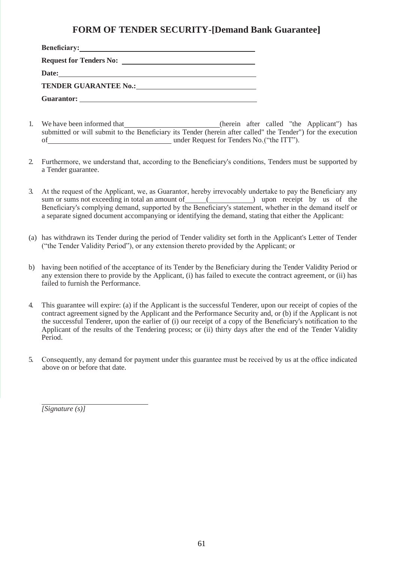## **FORM OF TENDER SECURITY-[Demand Bank Guarantee]**

| <b>Beneficiary:</b>                                                                                                            |  |
|--------------------------------------------------------------------------------------------------------------------------------|--|
|                                                                                                                                |  |
| Date:<br><u> 1980 - Jan Sterling von Berling von Berling von Berling von Berling von Berling von Berling von Berling von B</u> |  |
|                                                                                                                                |  |
| Guarantor:                                                                                                                     |  |

- 1. We have been informed that 1. The subset of the Applicant of the Applicant and the Applicant of the Applicant of the Applicant of the Applicant of the Applicant of the Applicant of the Applicant of the Applicant of the submitted or will submit to the Beneficiary its Tender (herein after called" the Tender") for the execution of under Request for Tenders No.("the ITT").
- 2. Furthermore, we understand that, according to the Beneficiary's conditions, Tenders must be supported by a Tender guarantee.
- 3. At the request of the Applicant, we, as Guarantor, hereby irrevocably undertake to pay the Beneficiary any sum or sums not exceeding in total an amount of ( ) upon receipt by us of the Beneficiary's complying demand, supported by the Beneficiary's statement, whether in the demand itself or a separate signed document accompanying or identifying the demand, stating that either the Applicant:
- (a) has withdrawn its Tender during the period of Tender validity set forth in the Applicant's Letter of Tender ("the Tender Validity Period"), or any extension thereto provided by the Applicant; or
- b) having been notified of the acceptance of its Tender by the Beneficiary during the Tender Validity Period or any extension there to provide by the Applicant, (i) has failed to execute the contract agreement, or (ii) has failed to furnish the Performance.
- 4. This guarantee will expire: (a) if the Applicant is the successful Tenderer, upon our receipt of copies of the contract agreement signed by the Applicant and the Performance Security and, or (b) if the Applicant is not the successful Tenderer, upon the earlier of (i) our receipt of a copy of the Beneficiary's notification to the Applicant of the results of the Tendering process; or (ii) thirty days after the end of the Tender Validity Period.
- 5. Consequently, any demand for payment under this guarantee must be received by us at the office indicated above on or before that date.

*[Signature (s)]*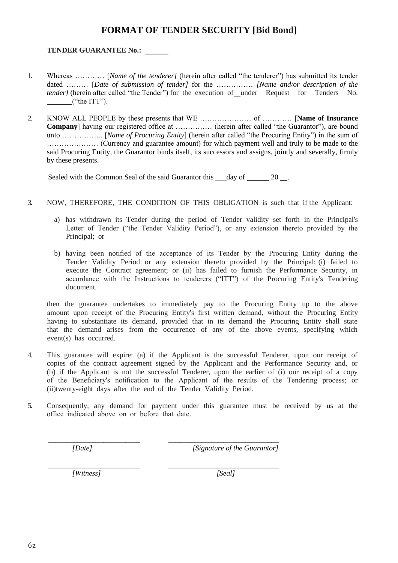## **FORMAT OF TENDER SECURITY [Bid Bond]**

#### **TENDER GUARANTEE No.:**

- 1. Whereas ………… [*Name of the tenderer]* (herein after called "the tenderer") has submitted its tender dated ……… [*Date of submission of tender]* for the …………… *[Name and/or description of the tender]* (herein after called "the Tender") for the execution of under Request for Tenders No.  $($ "the ITT").
- 2. KNOW ALL PEOPLE by these presents that WE ………………… of ………… [**Name of Insurance Company**] having our registered office at …………… (herein after called "the Guarantor"), are bound unto …………….. [*Name of Procuring Entity*] (herein after called "the Procuring Entity") in the sum of ………………… (Currency and guarantee amount) for which payment well and truly to be made to the said Procuring Entity, the Guarantor binds itself, its successors and assigns, jointly and severally, firmly by these presents.

Sealed with the Common Seal of the said Guarantor this  $\_\_day$  of  $\_\_2\_\_2$ .

- 3. NOW, THEREFORE, THE CONDITION OF THIS OBLIGATION is such that if the Applicant:
	- a) has withdrawn its Tender during the period of Tender validity set forth in the Principal's Letter of Tender ("the Tender Validity Period"), or any extension thereto provided by the Principal; or
	- b) having been notified of the acceptance of its Tender by the Procuring Entity during the Tender Validity Period or any extension thereto provided by the Principal; (i) failed to execute the Contract agreement; or (ii) has failed to furnish the Performance Security, in accordance with the Instructions to tenderers ("ITT") of the Procuring Entity's Tendering document.

then the guarantee undertakes to immediately pay to the Procuring Entity up to the above amount upon receipt of the Procuring Entity's first written demand, without the Procuring Entity having to substantiate its demand, provided that in its demand the Procuring Entity shall state that the demand arises from the occurrence of any of the above events, specifying which event(s) has occurred.

- 4. This guarantee will expire: (a) if the Applicant is the successful Tenderer, upon our receipt of copies of the contract agreement signed by the Applicant and the Performance Security and, or (b) if the Applicant is not the successful Tenderer, upon the earlier of (i) our receipt of a copy of the Beneficiary's notification to the Applicant of the results of the Tendering process; or (ii)twenty-eight days after the end of the Tender Validity Period.
- 5. Consequently, any demand for payment under this guarantee must be received by us at the office indicated above on or before that date.

\_\_\_\_\_\_\_\_\_\_\_\_\_\_\_\_\_\_\_\_\_\_\_\_\_ \_\_\_\_\_\_\_\_\_\_\_\_\_\_\_\_\_\_\_\_\_\_\_\_\_\_\_\_\_\_ *[Date] [Signature of the Guarantor]*

*[Witness] [Seal]*

*\_\_\_\_\_\_\_\_\_\_\_\_\_\_\_\_\_\_\_\_\_\_\_\_\_ \_\_\_\_\_\_\_\_\_\_\_\_\_\_\_\_\_\_\_\_\_\_\_\_\_\_\_\_\_\_*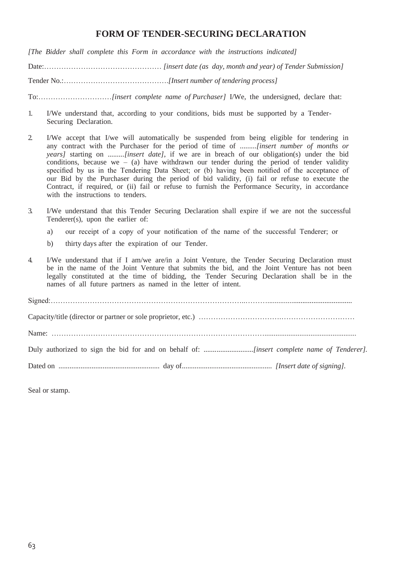## **FORM OF TENDER-SECURING DECLARATION**

*[The Bidder shall complete this Form in accordance with the instructions indicated]*

Date:………………………………………… *[insert date (as day, month and year) of Tender Submission]*

Tender No.:…………………………………….*[Insert number of tendering process]*

To:…………………………*[insert complete name of Purchaser]* I/We, the undersigned, declare that:

- 1. I/We understand that, according to your conditions, bids must be supported by a Tender-Securing Declaration.
- 2. I/We accept that I/we will automatically be suspended from being eligible for tendering in any contract with the Purchaser for the period of time of *.........[insert number of months or years]* starting on *.........[insert date]*, if we are in breach of our obligation(s) under the bid conditions, because we – (a) have withdrawn our tender during the period of tender validity specified by us in the Tendering Data Sheet; or (b) having been notified of the acceptance of our Bid by the Purchaser during the period of bid validity, (i) fail or refuse to execute the Contract, if required, or (ii) fail or refuse to furnish the Performance Security, in accordance with the instructions to tenders.
- 3. I/We understand that this Tender Securing Declaration shall expire if we are not the successful Tenderer(s), upon the earlier of:
	- a) our receipt of a copy of your notification of the name of the successful Tenderer; or
	- b) thirty days after the expiration of our Tender.
- 4. I/We understand that if I am/we are/in a Joint Venture, the Tender Securing Declaration must be in the name of the Joint Venture that submits the bid, and the Joint Venture has not been legally constituted at the time of bidding, the Tender Securing Declaration shall be in the names of all future partners as named in the letter of intent.

| ${\bf Signed:}.$ |
|------------------|
|                  |
|                  |
|                  |
|                  |

Seal or stamp.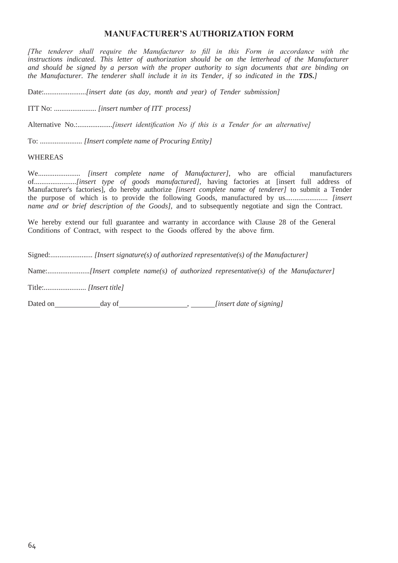#### **MANUFACTURER'S AUTHORIZATION FORM**

*[The tenderer shall require the Manufacturer to fill in this Form in accordance with the instructions indicated. This letter of authorization should be on the letterhead of the Manufacturer and should be signed by a person with the proper authority to sign documents that are binding on the Manufacturer. The tenderer shall include it in its Tender, if so indicated in the TDS.]*

Date:.......................*[insert date (as day, month and year) of Tender submission]*

ITT No: ....................... *[insert number of ITT process]* 

Alternative No.:...................*[insert identification No if this is a Tender for an alternative]*

To: ....................... *[Insert complete name of Procuring Entity]* 

#### WHEREAS

We....................... *[insert complete name of Manufacturer],* who are official manufacturers of.......................*[insert type of goods manufactured],* having factories at [insert full address of Manufacturer's factories], do hereby authorize *[insert complete name of tenderer]* to submit a Tender the purpose of which is to provide the following Goods, manufactured by us....................... *[insert name and or brief description of the Goods],* and to subsequently negotiate and sign the Contract.

We hereby extend our full guarantee and warranty in accordance with Clause 28 of the General Conditions of Contract, with respect to the Goods offered by the above firm.

Signed:....................... *[Insert signature(s) of authorized representative(s) of the Manufacturer]*

Name:.......................*[Insert complete name(s) of authorized representative(s) of the Manufacturer]*

Title:....................... *[Insert title]*

Dated on day of *day of <i>f date of signing*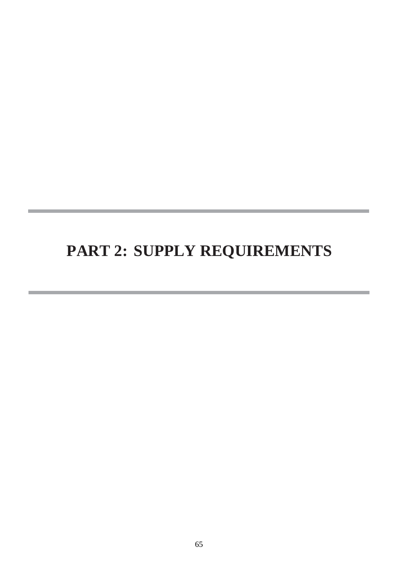# **PART 2: SUPPLY REQUIREMENTS**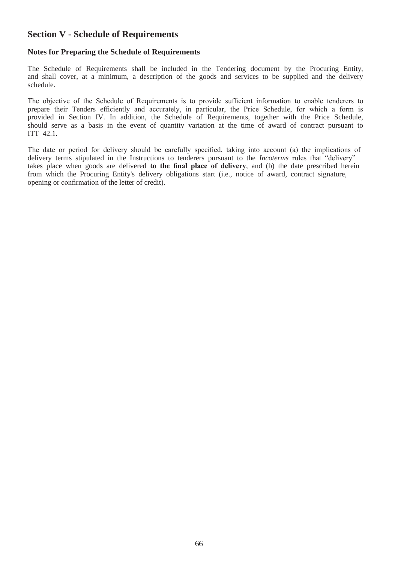## **Section V - Schedule of Requirements**

#### **Notes for Preparing the Schedule of Requirements**

The Schedule of Requirements shall be included in the Tendering document by the Procuring Entity, and shall cover, at a minimum, a description of the goods and services to be supplied and the delivery schedule.

The objective of the Schedule of Requirements is to provide sufficient information to enable tenderers to prepare their Tenders efficiently and accurately, in particular, the Price Schedule, for which a form is provided in Section IV. In addition, the Schedule of Requirements, together with the Price Schedule, should serve as a basis in the event of quantity variation at the time of award of contract pursuant to ITT 42.1.

The date or period for delivery should be carefully specified, taking into account (a) the implications of delivery terms stipulated in the Instructions to tenderers pursuant to the *Incoterms* rules that "delivery" takes place when goods are delivered **to the final place of delivery**, and (b) the date prescribed herein from which the Procuring Entity's delivery obligations start (i.e., notice of award, contract signature, opening or confirmation of the letter of credit).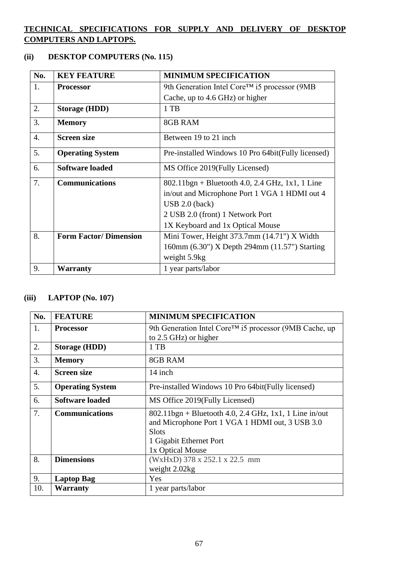## **TECHNICAL SPECIFICATIONS FOR SUPPLY AND DELIVERY OF DESKTOP COMPUTERS AND LAPTOPS.**

## **(ii) DESKTOP COMPUTERS (No. 115)**

| No.              | <b>KEY FEATURE</b>           | <b>MINIMUM SPECIFICATION</b>                       |
|------------------|------------------------------|----------------------------------------------------|
| 1.               | <b>Processor</b>             | 9th Generation Intel Core™ i5 processor (9MB       |
|                  |                              | Cache, up to 4.6 GHz) or higher                    |
| 2.               | <b>Storage (HDD)</b>         | 1 TB                                               |
| 3.               | <b>Memory</b>                | 8GB RAM                                            |
| $\overline{4}$ . | <b>Screen size</b>           | Between 19 to 21 inch                              |
| 5.               | <b>Operating System</b>      | Pre-installed Windows 10 Pro 64bit(Fully licensed) |
| 6.               | <b>Software loaded</b>       | MS Office 2019 (Fully Licensed)                    |
| 7.               | <b>Communications</b>        | $802.11$ bgn + Bluetooth 4.0, 2.4 GHz, 1x1, 1 Line |
|                  |                              | in/out and Microphone Port 1 VGA 1 HDMI out 4      |
|                  |                              | $\text{USB } 2.0 \text{ (back)}$                   |
|                  |                              | 2 USB 2.0 (front) 1 Network Port                   |
|                  |                              | 1X Keyboard and 1x Optical Mouse                   |
| 8.               | <b>Form Factor/Dimension</b> | Mini Tower, Height 373.7mm (14.71") X Width        |
|                  |                              | 160mm (6.30") X Depth 294mm (11.57") Starting      |
|                  |                              | weight 5.9kg                                       |
| 9.               | Warranty                     | 1 year parts/labor                                 |

## **(iii) LAPTOP (No. 107)**

| No.              | <b>FEATURE</b>          | <b>MINIMUM SPECIFICATION</b>                                        |
|------------------|-------------------------|---------------------------------------------------------------------|
| 1.               | <b>Processor</b>        | 9th Generation Intel Core <sup>TM</sup> i5 processor (9MB Cache, up |
|                  |                         | to 2.5 GHz) or higher                                               |
| 2.               | <b>Storage (HDD)</b>    | $1$ TB                                                              |
| 3.               | <b>Memory</b>           | 8GB RAM                                                             |
| $\overline{4}$ . | <b>Screen size</b>      | 14 inch                                                             |
| 5.               | <b>Operating System</b> | Pre-installed Windows 10 Pro 64bit (Fully licensed)                 |
| 6.               | Software loaded         | MS Office 2019 (Fully Licensed)                                     |
| 7.               | <b>Communications</b>   | $802.11$ bgn + Bluetooth 4.0, 2.4 GHz, 1x1, 1 Line in/out           |
|                  |                         | and Microphone Port 1 VGA 1 HDMI out, 3 USB 3.0                     |
|                  |                         | <b>Slots</b>                                                        |
|                  |                         | 1 Gigabit Ethernet Port                                             |
|                  |                         | 1x Optical Mouse                                                    |
| 8.               | <b>Dimensions</b>       | (WxHxD) 378 x 252.1 x 22.5 mm                                       |
|                  |                         | weight 2.02kg                                                       |
| 9.               | <b>Laptop Bag</b>       | Yes                                                                 |
| 10.              | <b>Warranty</b>         | 1 year parts/labor                                                  |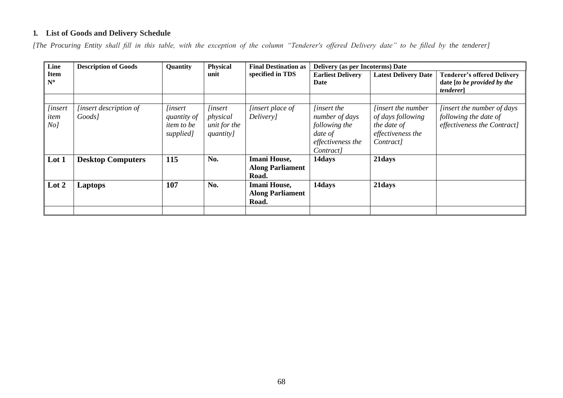## **1. List of Goods and Delivery Schedule**

*[The Procuring Entity shall fill in this table, with the exception of the column "Tenderer's offered Delivery date" to be filled by the tenderer]*

| Line                                      | <b>Description of Goods</b><br><b>Physical</b><br>Quantity |                                                                 | <b>Final Destination as</b>                             | Delivery (as per Incoterms) Date                        |                                                                                                    |                                                                                                 |                                                                                           |
|-------------------------------------------|------------------------------------------------------------|-----------------------------------------------------------------|---------------------------------------------------------|---------------------------------------------------------|----------------------------------------------------------------------------------------------------|-------------------------------------------------------------------------------------------------|-------------------------------------------------------------------------------------------|
| <b>Item</b><br>$N^{\circ}$                |                                                            |                                                                 | unit                                                    | specified in TDS                                        | <b>Earliest Delivery</b><br>Date                                                                   | <b>Latest Delivery Date</b>                                                                     | <b>Tenderer's offered Delivery</b><br>date [to be provided by the<br><i>tenderer</i>      |
|                                           |                                                            |                                                                 |                                                         |                                                         |                                                                                                    |                                                                                                 |                                                                                           |
| <i>linsert</i><br>item<br>No <sub>l</sub> | [insert description of<br>Goods]                           | <i>linsert</i><br>quantity of<br><i>item to be</i><br>supplied] | <i>linsert</i><br>physical<br>unit for the<br>quantity] | <i>linsert place of</i><br>Delivery]                    | <i>linsert the</i><br>number of days<br>following the<br>date of<br>effectiveness the<br>Contract] | <i>linsert the number</i><br>of days following<br>the date of<br>effectiveness the<br>Contract] | <i>linsert the number of days</i><br>following the date of<br>effectiveness the Contract] |
| Lot 1                                     | <b>Desktop Computers</b>                                   | 115                                                             | No.                                                     | <b>Imani House,</b><br><b>Along Parliament</b><br>Road. | 14days                                                                                             | 21days                                                                                          |                                                                                           |
| Lot 2                                     | Laptops                                                    | 107                                                             | No.                                                     | <b>Imani House,</b><br><b>Along Parliament</b><br>Road. | 14days                                                                                             | 21days                                                                                          |                                                                                           |
|                                           |                                                            |                                                                 |                                                         |                                                         |                                                                                                    |                                                                                                 |                                                                                           |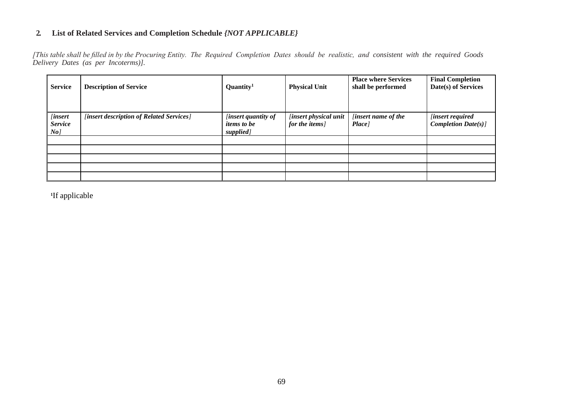#### **2. List of Related Services and Completion Schedule** *{NOT APPLICABLE}*

*[This table shall be filled in by the Procuring Entity. The Required Completion Dates should be realistic, and consistent with the required Goods Delivery Dates (as per Incoterms)].*

| <b>Service</b>                        | <b>Description of Service</b>            | Quantity <sup>1</sup>                                         | <b>Physical Unit</b>                     | <b>Place where Services</b><br>shall be performed | <b>Final Completion</b><br>Date(s) of Services        |
|---------------------------------------|------------------------------------------|---------------------------------------------------------------|------------------------------------------|---------------------------------------------------|-------------------------------------------------------|
| [insert]<br><b>Service</b><br>$N$ o ] | [insert description of Related Services] | <i>linsert quantity of</i><br><i>items to be</i><br>supplied] | [insert physical unit<br>for the items ] | <i>linsert name of the</i><br>Place ]             | <i>linsert required</i><br><b>Completion Date(s)]</b> |
|                                       |                                          |                                                               |                                          |                                                   |                                                       |
|                                       |                                          |                                                               |                                          |                                                   |                                                       |
|                                       |                                          |                                                               |                                          |                                                   |                                                       |
|                                       |                                          |                                                               |                                          |                                                   |                                                       |
|                                       |                                          |                                                               |                                          |                                                   |                                                       |

**1** If applicable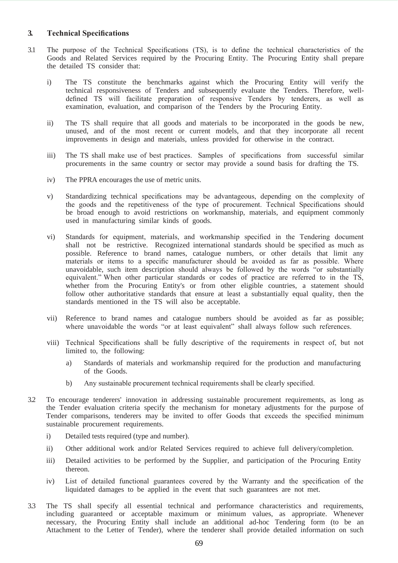#### **3. Technical Specifications**

- 3.1 The purpose of the Technical Specifications (TS), is to define the technical characteristics of the Goods and Related Services required by the Procuring Entity. The Procuring Entity shall prepare the detailed TS consider that:
	- i) The TS constitute the benchmarks against which the Procuring Entity will verify the technical responsiveness of Tenders and subsequently evaluate the Tenders. Therefore, welldefined TS will facilitate preparation of responsive Tenders by tenderers, as well as examination, evaluation, and comparison of the Tenders by the Procuring Entity.
	- ii) The TS shall require that all goods and materials to be incorporated in the goods be new, unused, and of the most recent or current models, and that they incorporate all recent improvements in design and materials, unless provided for otherwise in the contract.
	- iii) The TS shall make use of best practices. Samples of specifications from successful similar procurements in the same country or sector may provide a sound basis for drafting the TS.
	- iv) The PPRA encourages the use of metric units.
	- v) Standardizing technical specifications may be advantageous, depending on the complexity of the goods and the repetitiveness of the type of procurement. Technical Specifications should be broad enough to avoid restrictions on workmanship, materials, and equipment commonly used in manufacturing similar kinds of goods.
	- vi) Standards for equipment, materials, and workmanship specified in the Tendering document shall not be restrictive. Recognized international standards should be specified as much as possible. Reference to brand names, catalogue numbers, or other details that limit any materials or items to a specific manufacturer should be avoided as far as possible. Where unavoidable, such item description should always be followed by the words "or substantially equivalent." When other particular standards or codes of practice are referred to in the TS, whether from the Procuring Entity's or from other eligible countries, a statement should follow other authoritative standards that ensure at least a substantially equal quality, then the standards mentioned in the TS will also be acceptable.
	- vii) Reference to brand names and catalogue numbers should be avoided as far as possible; where unavoidable the words "or at least equivalent" shall always follow such references.
	- viii) Technical Specifications shall be fully descriptive of the requirements in respect of, but not limited to, the following:
		- a) Standards of materials and workmanship required for the production and manufacturing of the Goods.
		- b) Any sustainable procurement technical requirements shall be clearly specified.
- 3.2 To encourage tenderers' innovation in addressing sustainable procurement requirements, as long as the Tender evaluation criteria specify the mechanism for monetary adjustments for the purpose of Tender comparisons, tenderers may be invited to offer Goods that exceeds the specified minimum sustainable procurement requirements.
	- i) Detailed tests required (type and number).
	- ii) Other additional work and/or Related Services required to achieve full delivery/completion.
	- iii) Detailed activities to be performed by the Supplier, and participation of the Procuring Entity thereon.
	- iv) List of detailed functional guarantees covered by the Warranty and the specification of the liquidated damages to be applied in the event that such guarantees are not met.
- 3.3 The TS shall specify all essential technical and performance characteristics and requirements, including guaranteed or acceptable maximum or minimum values, as appropriate. Whenever necessary, the Procuring Entity shall include an additional ad-hoc Tendering form (to be an Attachment to the Letter of Tender), where the tenderer shall provide detailed information on such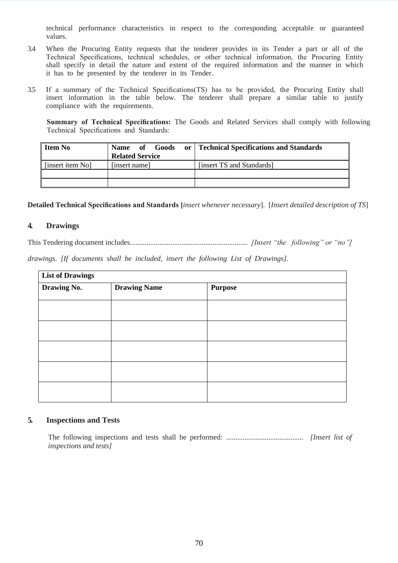technical performance characteristics in respect to the corresponding acceptable or guaranteed values.

- 3.4 When the Procuring Entity requests that the tenderer provides in its Tender a part or all of the Technical Specifications, technical schedules, or other technical information, the Procuring Entity shall specify in detail the nature and extent of the required information and the manner in which it has to be presented by the tenderer in its Tender.
- 3.5 If a summary of the Technical Specifications(TS) has to be provided, the Procuring Entity shall insert information in the table below. The tenderer shall prepare a similar table to justify compliance with the requirements.

**Summary of Technical Specifications:** The Goods and Related Services shall comply with following Technical Specifications and Standards:

| <b>Item No</b>   | Goods<br>$\overline{\text{of}}$ of $\overline{\text{of}}$<br><b>Name</b><br><b>Related Service</b> | or   Technical Specifications and Standards |
|------------------|----------------------------------------------------------------------------------------------------|---------------------------------------------|
| [insert item No] | [insert name]                                                                                      | [insert TS and Standards]                   |
|                  |                                                                                                    |                                             |
|                  |                                                                                                    |                                             |

**Detailed Technical Specifications and Standards [***insert whenever necessary*]. [*Insert detailed description of TS*]

#### **4. Drawings**

This Tendering document includes................................................................ *[Insert "the following" or "no"]* 

*drawings*. *[If documents shall be included, insert the following List of Drawings].*

| <b>List of Drawings</b> |                     |                |
|-------------------------|---------------------|----------------|
| Drawing No.             | <b>Drawing Name</b> | <b>Purpose</b> |
|                         |                     |                |
|                         |                     |                |
|                         |                     |                |
|                         |                     |                |
|                         |                     |                |
|                         |                     |                |
|                         |                     |                |
|                         |                     |                |
|                         |                     |                |

#### **5. Inspections and Tests**

The following inspections and tests shall be performed: .......................................... *[Insert list of inspections and tests]*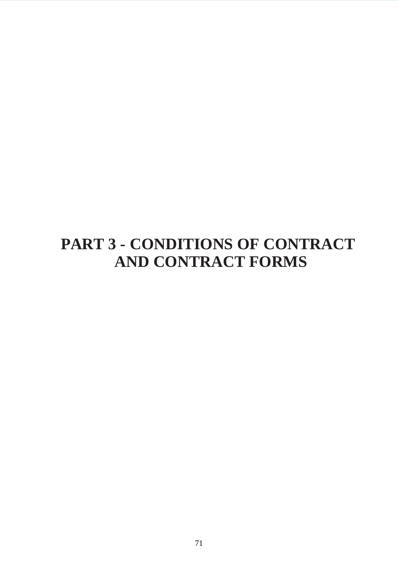# **PART 3 - CONDITIONS OF CONTRACT AND CONTRACT FORMS**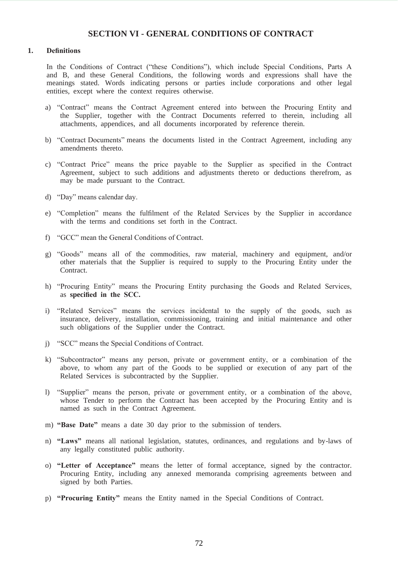## **SECTION VI - GENERAL CONDITIONS OF CONTRACT**

#### **1. Definitions**

In the Conditions of Contract ("these Conditions"), which include Special Conditions, Parts A and B, and these General Conditions, the following words and expressions shall have the meanings stated. Words indicating persons or parties include corporations and other legal entities, except where the context requires otherwise.

- a) "Contract" means the Contract Agreement entered into between the Procuring Entity and the Supplier, together with the Contract Documents referred to therein, including all attachments, appendices, and all documents incorporated by reference therein.
- b) "Contract Documents" means the documents listed in the Contract Agreement, including any amendments thereto.
- c) "Contract Price" means the price payable to the Supplier as specified in the Contract Agreement, subject to such additions and adjustments thereto or deductions therefrom, as may be made pursuant to the Contract.
- d) "Day" means calendar day.
- e) "Completion" means the fulfilment of the Related Services by the Supplier in accordance with the terms and conditions set forth in the Contract.
- f) "GCC" mean the General Conditions of Contract.
- g) "Goods" means all of the commodities, raw material, machinery and equipment, and/or other materials that the Supplier is required to supply to the Procuring Entity under the Contract.
- h) "Procuring Entity" means the Procuring Entity purchasing the Goods and Related Services, as **specified in the SCC.**
- i) "Related Services" means the services incidental to the supply of the goods, such as insurance, delivery, installation, commissioning, training and initial maintenance and other such obligations of the Supplier under the Contract.
- j) "SCC" means the Special Conditions of Contract.
- k) "Subcontractor" means any person, private or government entity, or a combination of the above, to whom any part of the Goods to be supplied or execution of any part of the Related Services is subcontracted by the Supplier.
- l) "Supplier" means the person, private or government entity, or a combination of the above, whose Tender to perform the Contract has been accepted by the Procuring Entity and is named as such in the Contract Agreement.
- m) **"Base Date"** means a date 30 day prior to the submission of tenders.
- n) **"Laws"** means all national legislation, statutes, ordinances, and regulations and by-laws of any legally constituted public authority.
- o) **"Letter of Acceptance"** means the letter of formal acceptance, signed by the contractor. Procuring Entity, including any annexed memoranda comprising agreements between and signed by both Parties.
- p) **"Procuring Entity"** means the Entity named in the Special Conditions of Contract.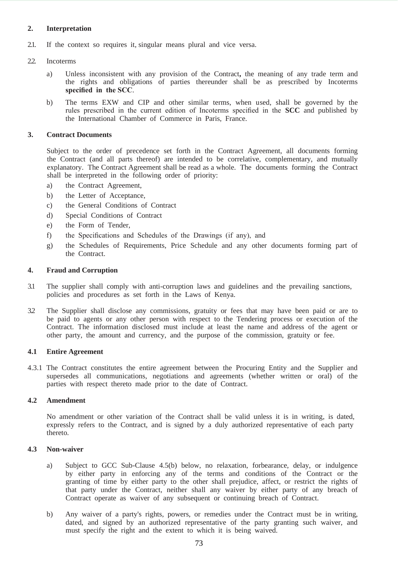### **2. Interpretation**

2.1. If the context so requires it, singular means plural and vice versa.

#### 2.2. Incoterms

- a) Unless inconsistent with any provision of the Contract**,** the meaning of any trade term and the rights and obligations of parties thereunder shall be as prescribed by Incoterms **specified in the SCC**.
- b) The terms EXW and CIP and other similar terms, when used, shall be governed by the rules prescribed in the current edition of Incoterms specified in the **SCC** and published by the International Chamber of Commerce in Paris, France.

#### **3. Contract Documents**

Subject to the order of precedence set forth in the Contract Agreement, all documents forming the Contract (and all parts thereof) are intended to be correlative, complementary, and mutually explanatory. The Contract Agreement shall be read as a whole. The documents forming the Contract shall be interpreted in the following order of priority:

- a) the Contract Agreement,
- b) the Letter of Acceptance,
- c) the General Conditions of Contract
- d) Special Conditions of Contract
- e) the Form of Tender,
- f) the Specifications and Schedules of the Drawings (if any), and
- g) the Schedules of Requirements, Price Schedule and any other documents forming part of the Contract.

#### **4. Fraud and Corruption**

- 3.1 The supplier shall comply with anti-corruption laws and guidelines and the prevailing sanctions, policies and procedures as set forth in the Laws of Kenya.
- 3.2 The Supplier shall disclose any commissions, gratuity or fees that may have been paid or are to be paid to agents or any other person with respect to the Tendering process or execution of the Contract. The information disclosed must include at least the name and address of the agent or other party, the amount and currency, and the purpose of the commission, gratuity or fee.

#### **4.1 Entire Agreement**

4.3.1 The Contract constitutes the entire agreement between the Procuring Entity and the Supplier and supersedes all communications, negotiations and agreements (whether written or oral) of the parties with respect thereto made prior to the date of Contract.

#### **4.2 Amendment**

No amendment or other variation of the Contract shall be valid unless it is in writing, is dated, expressly refers to the Contract, and is signed by a duly authorized representative of each party thereto.

#### **4.3 Non-waiver**

- a) Subject to GCC Sub-Clause 4.5(b) below, no relaxation, forbearance, delay, or indulgence by either party in enforcing any of the terms and conditions of the Contract or the granting of time by either party to the other shall prejudice, affect, or restrict the rights of that party under the Contract, neither shall any waiver by either party of any breach of Contract operate as waiver of any subsequent or continuing breach of Contract.
- b) Any waiver of a party's rights, powers, or remedies under the Contract must be in writing, dated, and signed by an authorized representative of the party granting such waiver, and must specify the right and the extent to which it is being waived.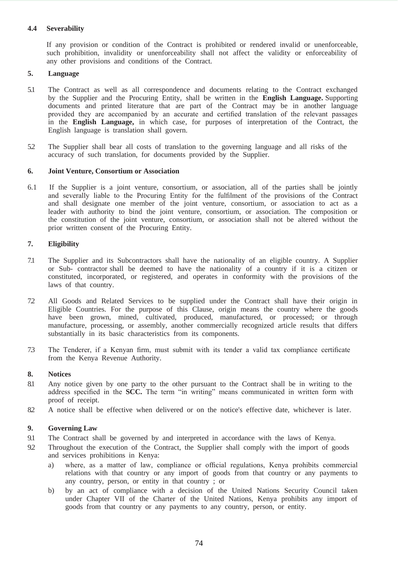## **4.4 Severability**

If any provision or condition of the Contract is prohibited or rendered invalid or unenforceable, such prohibition, invalidity or unenforceability shall not affect the validity or enforceability of any other provisions and conditions of the Contract.

### **5. Language**

- 5.1 The Contract as well as all correspondence and documents relating to the Contract exchanged by the Supplier and the Procuring Entity, shall be written in the **English Language.** Supporting documents and printed literature that are part of the Contract may be in another language provided they are accompanied by an accurate and certified translation of the relevant passages in the **English Language,** in which case, for purposes of interpretation of the Contract, the English language is translation shall govern.
- 5.2 The Supplier shall bear all costs of translation to the governing language and all risks of the accuracy of such translation, for documents provided by the Supplier.

#### **6. Joint Venture, Consortium or Association**

6.1 If the Supplier is a joint venture, consortium, or association, all of the parties shall be jointly and severally liable to the Procuring Entity for the fulfilment of the provisions of the Contract and shall designate one member of the joint venture, consortium, or association to act as a leader with authority to bind the joint venture, consortium, or association. The composition or the constitution of the joint venture, consortium, or association shall not be altered without the prior written consent of the Procuring Entity.

### **7. Eligibility**

- 7.1 The Supplier and its Subcontractors shall have the nationality of an eligible country. A Supplier or Sub- contractor shall be deemed to have the nationality of a country if it is a citizen or constituted, incorporated, or registered, and operates in conformity with the provisions of the laws of that country.
- 7.2 All Goods and Related Services to be supplied under the Contract shall have their origin in Eligible Countries. For the purpose of this Clause, origin means the country where the goods have been grown, mined, cultivated, produced, manufactured, or processed; or through manufacture, processing, or assembly, another commercially recognized article results that differs substantially in its basic characteristics from its components.
- 7.3 The Tenderer, if a Kenyan firm, must submit with its tender a valid tax compliance certificate from the Kenya Revenue Authority.

#### **8. Notices**

- 8.1 Any notice given by one party to the other pursuant to the Contract shall be in writing to the address specified in the **SCC.** The term "in writing" means communicated in written form with proof of receipt.
- 8.2 A notice shall be effective when delivered or on the notice's effective date, whichever is later.

## **9. Governing Law**

- 9.1 The Contract shall be governed by and interpreted in accordance with the laws of Kenya.
- 9.2 Throughout the execution of the Contract, the Supplier shall comply with the import of goods and services prohibitions in Kenya:
	- a) where, as a matter of law, compliance or official regulations, Kenya prohibits commercial relations with that country or any import of goods from that country or any payments to any country, person, or entity in that country ; or
	- b) by an act of compliance with a decision of the United Nations Security Council taken under Chapter VII of the Charter of the United Nations, Kenya prohibits any import of goods from that country or any payments to any country, person, or entity.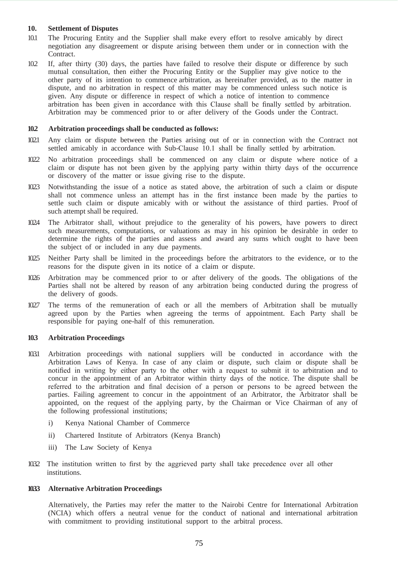#### **10. Settlement of Disputes**

- 10.1 The Procuring Entity and the Supplier shall make every effort to resolve amicably by direct negotiation any disagreement or dispute arising between them under or in connection with the Contract.
- 10.2 If, after thirty (30) days, the parties have failed to resolve their dispute or difference by such mutual consultation, then either the Procuring Entity or the Supplier may give notice to the other party of its intention to commence arbitration, as hereinafter provided, as to the matter in dispute, and no arbitration in respect of this matter may be commenced unless such notice is given. Any dispute or difference in respect of which a notice of intention to commence arbitration has been given in accordance with this Clause shall be finally settled by arbitration. Arbitration may be commenced prior to or after delivery of the Goods under the Contract.

#### **10.2 Arbitration proceedings shall be conducted as follows:**

- 10.2.1 Any claim or dispute between the Parties arising out of or in connection with the Contract not settled amicably in accordance with Sub-Clause 10.1 shall be finally settled by arbitration.
- 10.2.2 No arbitration proceedings shall be commenced on any claim or dispute where notice of a claim or dispute has not been given by the applying party within thirty days of the occurrence or discovery of the matter or issue giving rise to the dispute.
- 10.2.3 Notwithstanding the issue of a notice as stated above, the arbitration of such a claim or dispute shall not commence unless an attempt has in the first instance been made by the parties to settle such claim or dispute amicably with or without the assistance of third parties. Proof of such attempt shall be required.
- 10.2.4 The Arbitrator shall, without prejudice to the generality of his powers, have powers to direct such measurements, computations, or valuations as may in his opinion be desirable in order to determine the rights of the parties and assess and award any sums which ought to have been the subject of or included in any due payments.
- 10.2.5 Neither Party shall be limited in the proceedings before the arbitrators to the evidence, or to the reasons for the dispute given in its notice of a claim or dispute.
- 10.2.6 Arbitration may be commenced prior to or after delivery of the goods. The obligations of the Parties shall not be altered by reason of any arbitration being conducted during the progress of the delivery of goods.
- 10.2.7 The terms of the remuneration of each or all the members of Arbitration shall be mutually agreed upon by the Parties when agreeing the terms of appointment. Each Party shall be responsible for paying one-half of this remuneration.

#### **10.3 Arbitration Proceedings**

- 10.3.1 Arbitration proceedings with national suppliers will be conducted in accordance with the Arbitration Laws of Kenya. In case of any claim or dispute, such claim or dispute shall be notified in writing by either party to the other with a request to submit it to arbitration and to concur in the appointment of an Arbitrator within thirty days of the notice. The dispute shall be referred to the arbitration and final decision of a person or persons to be agreed between the parties. Failing agreement to concur in the appointment of an Arbitrator, the Arbitrator shall be appointed, on the request of the applying party, by the Chairman or Vice Chairman of any of the following professional institutions;
	- i) Kenya National Chamber of Commerce
	- ii) Chartered Institute of Arbitrators (Kenya Branch)
	- iii) The Law Society of Kenya
- 1032 The institution written to first by the aggrieved party shall take precedence over all other institutions.

#### **10.3.3 Alternative Arbitration Proceedings**

Alternatively, the Parties may refer the matter to the Nairobi Centre for International Arbitration (NCIA) which offers a neutral venue for the conduct of national and international arbitration with commitment to providing institutional support to the arbitral process.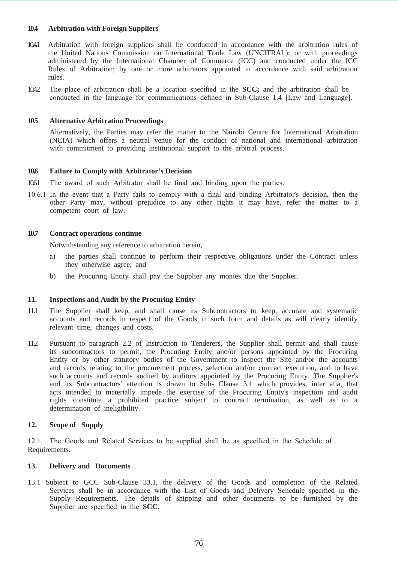#### **10.4 Arbitration with Foreign Suppliers**

- 10.4.1 Arbitration with foreign suppliers shall be conducted in accordance with the arbitration rules of the United Nations Commission on International Trade Law (UNCITRAL); or with proceedings administered by the International Chamber of Commerce (ICC) and conducted under the ICC Rules of Arbitration; by one or more arbitrators appointed in accordance with said arbitration rules.
- 10.4.2 The place of arbitration shall be a location specified in the **SCC;** and the arbitration shall be conducted in the language for communications defined in Sub-Clause 1.4 [Law and Language].

#### **10.5 Alternative Arbitration Proceedings**

Alternatively, the Parties may refer the matter to the Nairobi Centre for International Arbitration (NCIA) which offers a neutral venue for the conduct of national and international arbitration with commitment to providing institutional support to the arbitral process.

#### **10.6 Failure to Comply with Arbitrator's Decision**

- 10.6.1 The award of such Arbitrator shall be final and binding upon the parties.
- 10.6.1 In the event that a Party fails to comply with a final and binding Arbitrator's decision, then the other Party may, without prejudice to any other rights it may have, refer the matter to a competent court of law.

#### **10.7 Contract operations continue**

Notwithstanding any reference to arbitration herein,

- a) the parties shall continue to perform their respective obligations under the Contract unless they otherwise agree; and
- b) the Procuring Entity shall pay the Supplier any monies due the Supplier.

#### **11. Inspections and Audit by the Procuring Entity**

- 11.1 The Supplier shall keep, and shall cause its Subcontractors to keep, accurate and systematic accounts and records in respect of the Goods in such form and details as will clearly identify relevant time, changes and costs.
- 11.2 Pursuant to paragraph 2.2 of Instruction to Tenderers, the Supplier shall permit and shall cause its subcontractors to permit, the Procuring Entity and/or persons appointed by the Procuring Entity or by other statutory bodies of the Government to inspect the Site and/or the accounts and records relating to the procurement process, selection and/or contract execution, and to have such accounts and records audited by auditors appointed by the Procuring Entity. The Supplier's and its Subcontractors' attention is drawn to Sub- Clause 3.1 which provides, inter alia, that acts intended to materially impede the exercise of the Procuring Entity's inspection and audit rights constitute a prohibited practice subject to contract termination, as well as to a determination of ineligibility.

#### **12. Scope of Supply**

12.1 The Goods and Related Services to be supplied shall be as specified in the Schedule of Requirements.

#### **13. Delivery and Documents**

13.1 Subject to GCC Sub-Clause 33.1, the delivery of the Goods and completion of the Related Services shall be in accordance with the List of Goods and Delivery Schedule specified in the Supply Requirements. The details of shipping and other documents to be furnished by the Supplier are specified in the **SCC.**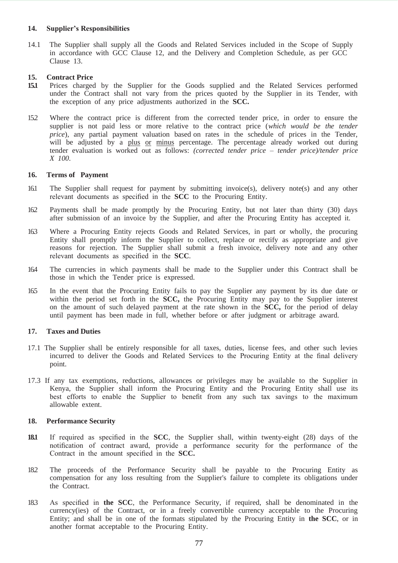#### **14. Supplier's Responsibilities**

14.1 The Supplier shall supply all the Goods and Related Services included in the Scope of Supply in accordance with GCC Clause 12, and the Delivery and Completion Schedule, as per GCC Clause 13.

# **15. Contract Price**

- **15.1** Prices charged by the Supplier for the Goods supplied and the Related Services performed under the Contract shall not vary from the prices quoted by the Supplier in its Tender, with the exception of any price adjustments authorized in the **SCC.**
- 15.2 Where the contract price is different from the corrected tender price, in order to ensure the supplier is not paid less or more relative to the contract price (*which would be the tender price*), any partial payment valuation based on rates in the schedule of prices in the Tender, will be adjusted by a plus or minus percentage. The percentage already worked out during tender evaluation is worked out as follows: *(corrected tender price – tender price)/tender price X 100*.

#### **16. Terms of Payment**

- 16.1 The Supplier shall request for payment by submitting invoice(s), delivery note(s) and any other relevant documents as specified in the **SCC** to the Procuring Entity.
- 16.2 Payments shall be made promptly by the Procuring Entity, but not later than thirty (30) days after submission of an invoice by the Supplier, and after the Procuring Entity has accepted it.
- 16.3 Where a Procuring Entity rejects Goods and Related Services, in part or wholly, the procuring Entity shall promptly inform the Supplier to collect, replace or rectify as appropriate and give reasons for rejection. The Supplier shall submit a fresh invoice, delivery note and any other relevant documents as specified in the **SCC**.
- 16.4 The currencies in which payments shall be made to the Supplier under this Contract shall be those in which the Tender price is expressed.
- 16.5 In the event that the Procuring Entity fails to pay the Supplier any payment by its due date or within the period set forth in the **SCC,** the Procuring Entity may pay to the Supplier interest on the amount of such delayed payment at the rate shown in the **SCC,** for the period of delay until payment has been made in full, whether before or after judgment or arbitrage award.

#### **17. Taxes and Duties**

- 17.1 The Supplier shall be entirely responsible for all taxes, duties, license fees, and other such levies incurred to deliver the Goods and Related Services to the Procuring Entity at the final delivery point.
- 17.3 If any tax exemptions, reductions, allowances or privileges may be available to the Supplier in Kenya, the Supplier shall inform the Procuring Entity and the Procuring Entity shall use its best efforts to enable the Supplier to benefit from any such tax savings to the maximum allowable extent.

#### **18. Performance Security**

- **18.1** If required as specified in the **SCC**, the Supplier shall, within twenty-eight (28) days of the notification of contract award, provide a performance security for the performance of the Contract in the amount specified in the **SCC.**
- 18.2 The proceeds of the Performance Security shall be payable to the Procuring Entity as compensation for any loss resulting from the Supplier's failure to complete its obligations under the Contract.
- 18.3 As specified in **the SCC**, the Performance Security, if required, shall be denominated in the currency(ies) of the Contract, or in a freely convertible currency acceptable to the Procuring Entity; and shall be in one of the formats stipulated by the Procuring Entity in **the SCC**, or in another format acceptable to the Procuring Entity.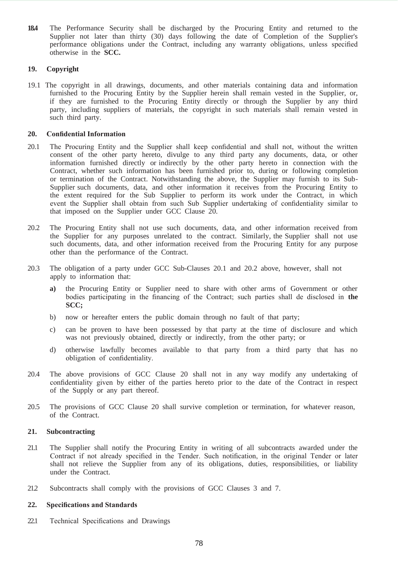**18.4** The Performance Security shall be discharged by the Procuring Entity and returned to the Supplier not later than thirty (30) days following the date of Completion of the Supplier's performance obligations under the Contract, including any warranty obligations, unless specified otherwise in the **SCC.**

### **19. Copyright**

19.1 The copyright in all drawings, documents, and other materials containing data and information furnished to the Procuring Entity by the Supplier herein shall remain vested in the Supplier, or, if they are furnished to the Procuring Entity directly or through the Supplier by any third party, including suppliers of materials, the copyright in such materials shall remain vested in such third party.

#### **20. Confidential Information**

- 20.1 The Procuring Entity and the Supplier shall keep confidential and shall not, without the written consent of the other party hereto, divulge to any third party any documents, data, or other information furnished directly or indirectly by the other party hereto in connection with the Contract, whether such information has been furnished prior to, during or following completion or termination of the Contract. Notwithstanding the above, the Supplier may furnish to its Sub-Supplier such documents, data, and other information it receives from the Procuring Entity to the extent required for the Sub Supplier to perform its work under the Contract, in which event the Supplier shall obtain from such Sub Supplier undertaking of confidentiality similar to that imposed on the Supplier under GCC Clause 20.
- 20.2 The Procuring Entity shall not use such documents, data, and other information received from the Supplier for any purposes unrelated to the contract. Similarly, the Supplier shall not use such documents, data, and other information received from the Procuring Entity for any purpose other than the performance of the Contract.
- 20.3 The obligation of a party under GCC Sub-Clauses 20.1 and 20.2 above, however, shall not apply to information that:
	- **a)** the Procuring Entity or Supplier need to share with other arms of Government or other bodies participating in the financing of the Contract; such parties shall de disclosed in **the SCC;**
	- b) now or hereafter enters the public domain through no fault of that party;
	- c) can be proven to have been possessed by that party at the time of disclosure and which was not previously obtained, directly or indirectly, from the other party; or
	- d) otherwise lawfully becomes available to that party from a third party that has no obligation of confidentiality.
- 20.4 The above provisions of GCC Clause 20 shall not in any way modify any undertaking of confidentiality given by either of the parties hereto prior to the date of the Contract in respect of the Supply or any part thereof.
- 20.5 The provisions of GCC Clause 20 shall survive completion or termination, for whatever reason, of the Contract.

#### **21. Subcontracting**

- 21.1 The Supplier shall notify the Procuring Entity in writing of all subcontracts awarded under the Contract if not already specified in the Tender. Such notification, in the original Tender or later shall not relieve the Supplier from any of its obligations, duties, responsibilities, or liability under the Contract.
- 21.2 Subcontracts shall comply with the provisions of GCC Clauses 3 and 7.

#### **22. Specifications and Standards**

22.1 Technical Specifications and Drawings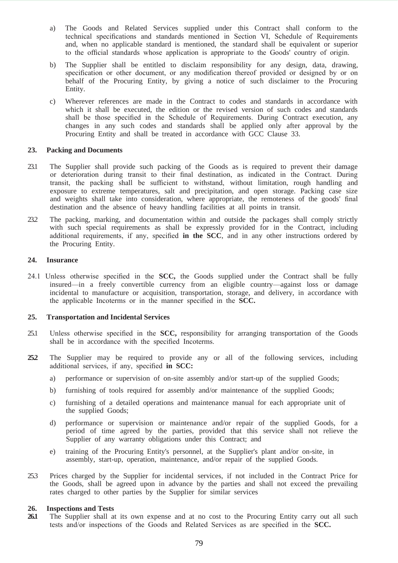- a) The Goods and Related Services supplied under this Contract shall conform to the technical specifications and standards mentioned in Section VI, Schedule of Requirements and, when no applicable standard is mentioned, the standard shall be equivalent or superior to the official standards whose application is appropriate to the Goods' country of origin.
- b) The Supplier shall be entitled to disclaim responsibility for any design, data, drawing, specification or other document, or any modification thereof provided or designed by or on behalf of the Procuring Entity, by giving a notice of such disclaimer to the Procuring Entity.
- c) Wherever references are made in the Contract to codes and standards in accordance with which it shall be executed, the edition or the revised version of such codes and standards shall be those specified in the Schedule of Requirements. During Contract execution, any changes in any such codes and standards shall be applied only after approval by the Procuring Entity and shall be treated in accordance with GCC Clause 33.

#### **23. Packing and Documents**

- 23.1 The Supplier shall provide such packing of the Goods as is required to prevent their damage or deterioration during transit to their final destination, as indicated in the Contract. During transit, the packing shall be sufficient to withstand, without limitation, rough handling and exposure to extreme temperatures, salt and precipitation, and open storage. Packing case size and weights shall take into consideration, where appropriate, the remoteness of the goods' final destination and the absence of heavy handling facilities at all points in transit.
- 23.2 The packing, marking, and documentation within and outside the packages shall comply strictly with such special requirements as shall be expressly provided for in the Contract, including additional requirements, if any, specified **in the SCC**, and in any other instructions ordered by the Procuring Entity.

#### **24. Insurance**

24.1 Unless otherwise specified in the **SCC,** the Goods supplied under the Contract shall be fully insured—in a freely convertible currency from an eligible country—against loss or damage incidental to manufacture or acquisition, transportation, storage, and delivery, in accordance with the applicable Incoterms or in the manner specified in the **SCC.**

#### **25. Transportation and Incidental Services**

- 25.1 Unless otherwise specified in the **SCC,** responsibility for arranging transportation of the Goods shall be in accordance with the specified Incoterms.
- **25.2** The Supplier may be required to provide any or all of the following services, including additional services, if any, specified **in SCC:**
	- a) performance or supervision of on-site assembly and/or start-up of the supplied Goods;
	- b) furnishing of tools required for assembly and/or maintenance of the supplied Goods;
	- c) furnishing of a detailed operations and maintenance manual for each appropriate unit of the supplied Goods;
	- d) performance or supervision or maintenance and/or repair of the supplied Goods, for a period of time agreed by the parties, provided that this service shall not relieve the Supplier of any warranty obligations under this Contract; and
	- e) training of the Procuring Entity's personnel, at the Supplier's plant and/or on-site, in assembly, start-up, operation, maintenance, and/or repair of the supplied Goods.
- 25.3 Prices charged by the Supplier for incidental services, if not included in the Contract Price for the Goods, shall be agreed upon in advance by the parties and shall not exceed the prevailing rates charged to other parties by the Supplier for similar services

#### **26. Inspections and Tests**

26.1 The Supplier shall at its own expense and at no cost to the Procuring Entity carry out all such tests and/or inspections of the Goods and Related Services as are specified in the **SCC.**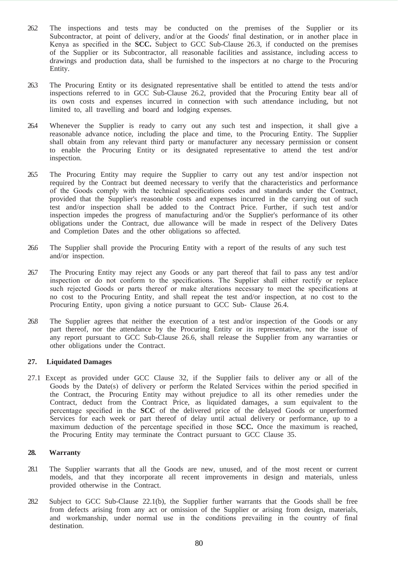- 26.2 The inspections and tests may be conducted on the premises of the Supplier or its Subcontractor, at point of delivery, and/or at the Goods' final destination, or in another place in Kenya as specified in the **SCC.** Subject to GCC Sub-Clause 26.3, if conducted on the premises of the Supplier or its Subcontractor, all reasonable facilities and assistance, including access to drawings and production data, shall be furnished to the inspectors at no charge to the Procuring Entity.
- 26.3 The Procuring Entity or its designated representative shall be entitled to attend the tests and/or inspections referred to in GCC Sub-Clause 26.2, provided that the Procuring Entity bear all of its own costs and expenses incurred in connection with such attendance including, but not limited to, all travelling and board and lodging expenses.
- 26.4 Whenever the Supplier is ready to carry out any such test and inspection, it shall give a reasonable advance notice, including the place and time, to the Procuring Entity. The Supplier shall obtain from any relevant third party or manufacturer any necessary permission or consent to enable the Procuring Entity or its designated representative to attend the test and/or inspection.
- 26.5 The Procuring Entity may require the Supplier to carry out any test and/or inspection not required by the Contract but deemed necessary to verify that the characteristics and performance of the Goods comply with the technical specifications codes and standards under the Contract, provided that the Supplier's reasonable costs and expenses incurred in the carrying out of such test and/or inspection shall be added to the Contract Price. Further, if such test and/or inspection impedes the progress of manufacturing and/or the Supplier's performance of its other obligations under the Contract, due allowance will be made in respect of the Delivery Dates and Completion Dates and the other obligations so affected.
- 26.6 The Supplier shall provide the Procuring Entity with a report of the results of any such test and/or inspection.
- 26.7 The Procuring Entity may reject any Goods or any part thereof that fail to pass any test and/or inspection or do not conform to the specifications. The Supplier shall either rectify or replace such rejected Goods or parts thereof or make alterations necessary to meet the specifications at no cost to the Procuring Entity, and shall repeat the test and/or inspection, at no cost to the Procuring Entity, upon giving a notice pursuant to GCC Sub- Clause 26.4.
- 26.8 The Supplier agrees that neither the execution of a test and/or inspection of the Goods or any part thereof, nor the attendance by the Procuring Entity or its representative, nor the issue of any report pursuant to GCC Sub-Clause 26.6, shall release the Supplier from any warranties or other obligations under the Contract.

#### **27. Liquidated Damages**

27.1 Except as provided under GCC Clause 32, if the Supplier fails to deliver any or all of the Goods by the Date(s) of delivery or perform the Related Services within the period specified in the Contract, the Procuring Entity may without prejudice to all its other remedies under the Contract, deduct from the Contract Price, as liquidated damages, a sum equivalent to the percentage specified in the **SCC** of the delivered price of the delayed Goods or unperformed Services for each week or part thereof of delay until actual delivery or performance, up to a maximum deduction of the percentage specified in those **SCC.** Once the maximum is reached, the Procuring Entity may terminate the Contract pursuant to GCC Clause 35.

#### **28. Warranty**

- 28.1 The Supplier warrants that all the Goods are new, unused, and of the most recent or current models, and that they incorporate all recent improvements in design and materials, unless provided otherwise in the Contract.
- 28.2 Subject to GCC Sub-Clause 22.1(b), the Supplier further warrants that the Goods shall be free from defects arising from any act or omission of the Supplier or arising from design, materials, and workmanship, under normal use in the conditions prevailing in the country of final destination.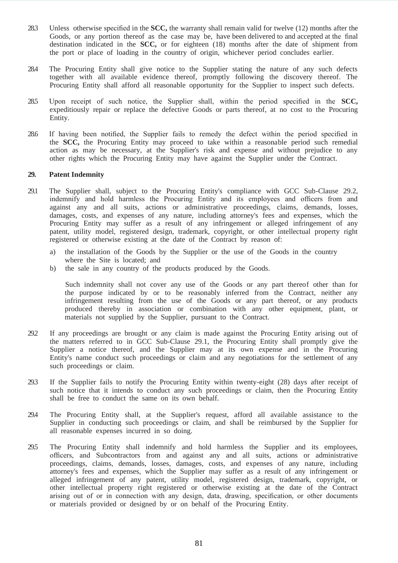- 28.3 Unless otherwise specified in the **SCC,** the warranty shall remain valid for twelve (12) months after the Goods, or any portion thereof as the case may be, have been delivered to and accepted at the final destination indicated in the **SCC,** or for eighteen (18) months after the date of shipment from the port or place of loading in the country of origin, whichever period concludes earlier.
- 28.4 The Procuring Entity shall give notice to the Supplier stating the nature of any such defects together with all available evidence thereof, promptly following the discovery thereof. The Procuring Entity shall afford all reasonable opportunity for the Supplier to inspect such defects.
- 28.5 Upon receipt of such notice, the Supplier shall, within the period specified in the **SCC,**  expeditiously repair or replace the defective Goods or parts thereof, at no cost to the Procuring Entity.
- 28.6 If having been notified, the Supplier fails to remedy the defect within the period specified in the **SCC,** the Procuring Entity may proceed to take within a reasonable period such remedial action as may be necessary, at the Supplier's risk and expense and without prejudice to any other rights which the Procuring Entity may have against the Supplier under the Contract.

#### **29. Patent Indemnity**

- 29.1 The Supplier shall, subject to the Procuring Entity's compliance with GCC Sub-Clause 29.2, indemnify and hold harmless the Procuring Entity and its employees and officers from and against any and all suits, actions or administrative proceedings, claims, demands, losses, damages, costs, and expenses of any nature, including attorney's fees and expenses, which the Procuring Entity may suffer as a result of any infringement or alleged infringement of any patent, utility model, registered design, trademark, copyright, or other intellectual property right registered or otherwise existing at the date of the Contract by reason of:
	- a) the installation of the Goods by the Supplier or the use of the Goods in the country where the Site is located; and
	- b) the sale in any country of the products produced by the Goods.

Such indemnity shall not cover any use of the Goods or any part thereof other than for the purpose indicated by or to be reasonably inferred from the Contract, neither any infringement resulting from the use of the Goods or any part thereof, or any products produced thereby in association or combination with any other equipment, plant, or materials not supplied by the Supplier, pursuant to the Contract.

- 29.2 If any proceedings are brought or any claim is made against the Procuring Entity arising out of the matters referred to in GCC Sub-Clause 29.1, the Procuring Entity shall promptly give the Supplier a notice thereof, and the Supplier may at its own expense and in the Procuring Entity's name conduct such proceedings or claim and any negotiations for the settlement of any such proceedings or claim.
- 29.3 If the Supplier fails to notify the Procuring Entity within twenty-eight (28) days after receipt of such notice that it intends to conduct any such proceedings or claim, then the Procuring Entity shall be free to conduct the same on its own behalf.
- 29.4 The Procuring Entity shall, at the Supplier's request, afford all available assistance to the Supplier in conducting such proceedings or claim, and shall be reimbursed by the Supplier for all reasonable expenses incurred in so doing.
- 29.5 The Procuring Entity shall indemnify and hold harmless the Supplier and its employees, officers, and Subcontractors from and against any and all suits, actions or administrative proceedings, claims, demands, losses, damages, costs, and expenses of any nature, including attorney's fees and expenses, which the Supplier may suffer as a result of any infringement or alleged infringement of any patent, utility model, registered design, trademark, copyright, or other intellectual property right registered or otherwise existing at the date of the Contract arising out of or in connection with any design, data, drawing, specification, or other documents or materials provided or designed by or on behalf of the Procuring Entity.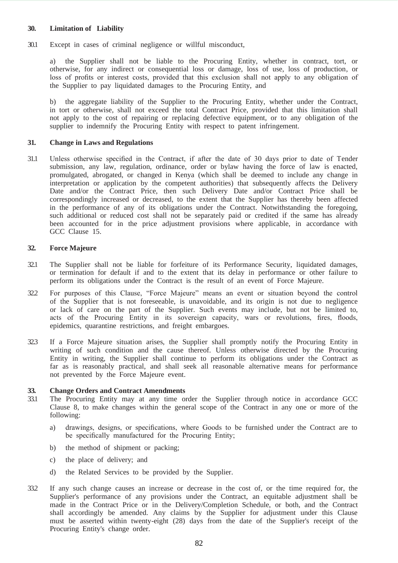#### **30. Limitation of Liability**

30.1 Except in cases of criminal negligence or willful misconduct,

a) the Supplier shall not be liable to the Procuring Entity, whether in contract, tort, or otherwise, for any indirect or consequential loss or damage, loss of use, loss of production, or loss of profits or interest costs, provided that this exclusion shall not apply to any obligation of the Supplier to pay liquidated damages to the Procuring Entity, and

b) the aggregate liability of the Supplier to the Procuring Entity, whether under the Contract, in tort or otherwise, shall not exceed the total Contract Price, provided that this limitation shall not apply to the cost of repairing or replacing defective equipment, or to any obligation of the supplier to indemnify the Procuring Entity with respect to patent infringement.

#### **31. Change in Laws and Regulations**

31.1 Unless otherwise specified in the Contract, if after the date of 30 days prior to date of Tender submission, any law, regulation, ordinance, order or bylaw having the force of law is enacted, promulgated, abrogated, or changed in Kenya (which shall be deemed to include any change in interpretation or application by the competent authorities) that subsequently affects the Delivery Date and/or the Contract Price, then such Delivery Date and/or Contract Price shall be correspondingly increased or decreased, to the extent that the Supplier has thereby been affected in the performance of any of its obligations under the Contract. Notwithstanding the foregoing, such additional or reduced cost shall not be separately paid or credited if the same has already been accounted for in the price adjustment provisions where applicable, in accordance with GCC Clause 15.

#### **32. Force Majeure**

- 32.1 The Supplier shall not be liable for forfeiture of its Performance Security, liquidated damages, or termination for default if and to the extent that its delay in performance or other failure to perform its obligations under the Contract is the result of an event of Force Majeure.
- 32.2 For purposes of this Clause, "Force Majeure" means an event or situation beyond the control of the Supplier that is not foreseeable, is unavoidable, and its origin is not due to negligence or lack of care on the part of the Supplier. Such events may include, but not be limited to, acts of the Procuring Entity in its sovereign capacity, wars or revolutions, fires, floods, epidemics, quarantine restrictions, and freight embargoes.
- 32.3 If a Force Majeure situation arises, the Supplier shall promptly notify the Procuring Entity in writing of such condition and the cause thereof. Unless otherwise directed by the Procuring Entity in writing, the Supplier shall continue to perform its obligations under the Contract as far as is reasonably practical, and shall seek all reasonable alternative means for performance not prevented by the Force Majeure event.

#### **33. Change Orders and Contract Amendments**

- 33.1 The Procuring Entity may at any time order the Supplier through notice in accordance GCC Clause 8, to make changes within the general scope of the Contract in any one or more of the following:
	- a) drawings, designs, or specifications, where Goods to be furnished under the Contract are to be specifically manufactured for the Procuring Entity;
	- b) the method of shipment or packing;
	- c) the place of delivery; and
	- d) the Related Services to be provided by the Supplier.
- 33.2 If any such change causes an increase or decrease in the cost of, or the time required for, the Supplier's performance of any provisions under the Contract, an equitable adjustment shall be made in the Contract Price or in the Delivery/Completion Schedule, or both, and the Contract shall accordingly be amended. Any claims by the Supplier for adjustment under this Clause must be asserted within twenty-eight (28) days from the date of the Supplier's receipt of the Procuring Entity's change order.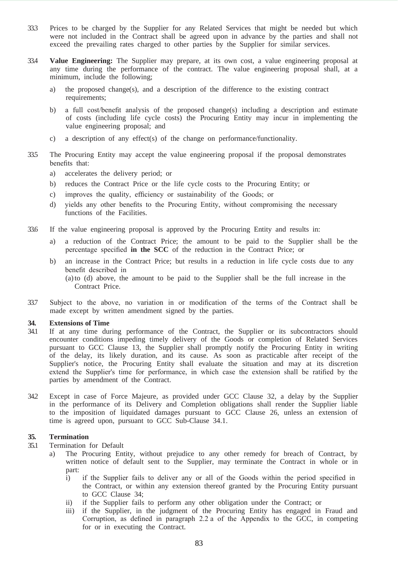- 33.3 Prices to be charged by the Supplier for any Related Services that might be needed but which were not included in the Contract shall be agreed upon in advance by the parties and shall not exceed the prevailing rates charged to other parties by the Supplier for similar services.
- 33.4 **Value Engineering:** The Supplier may prepare, at its own cost, a value engineering proposal at any time during the performance of the contract. The value engineering proposal shall, at a minimum, include the following;
	- a) the proposed change(s), and a description of the difference to the existing contract requirements;
	- b) a full cost/benefit analysis of the proposed change(s) including a description and estimate of costs (including life cycle costs) the Procuring Entity may incur in implementing the value engineering proposal; and
	- c) a description of any effect(s) of the change on performance/functionality.
- 33.5 The Procuring Entity may accept the value engineering proposal if the proposal demonstrates benefits that:
	- a) accelerates the delivery period; or
	- b) reduces the Contract Price or the life cycle costs to the Procuring Entity; or
	- c) improves the quality, efficiency or sustainability of the Goods; or
	- d) yields any other benefits to the Procuring Entity, without compromising the necessary functions of the Facilities.
- 33.6 If the value engineering proposal is approved by the Procuring Entity and results in:
	- a) a reduction of the Contract Price; the amount to be paid to the Supplier shall be the percentage specified **in the SCC** of the reduction in the Contract Price; or
	- b) an increase in the Contract Price; but results in a reduction in life cycle costs due to any benefit described in (a)to (d) above, the amount to be paid to the Supplier shall be the full increase in the Contract Price.
- 33.7 Subject to the above, no variation in or modification of the terms of the Contract shall be made except by written amendment signed by the parties.

#### **34. Extensions of Time**

- 34.1 If at any time during performance of the Contract, the Supplier or its subcontractors should encounter conditions impeding timely delivery of the Goods or completion of Related Services pursuant to GCC Clause 13, the Supplier shall promptly notify the Procuring Entity in writing of the delay, its likely duration, and its cause. As soon as practicable after receipt of the Supplier's notice, the Procuring Entity shall evaluate the situation and may at its discretion extend the Supplier's time for performance, in which case the extension shall be ratified by the parties by amendment of the Contract.
- 34.2 Except in case of Force Majeure, as provided under GCC Clause 32, a delay by the Supplier in the performance of its Delivery and Completion obligations shall render the Supplier liable to the imposition of liquidated damages pursuant to GCC Clause 26, unless an extension of time is agreed upon, pursuant to GCC Sub-Clause 34.1.

#### **35. Termination**

- 35.1 Termination for Default
	- a) The Procuring Entity, without prejudice to any other remedy for breach of Contract, by written notice of default sent to the Supplier, may terminate the Contract in whole or in part:
		- i) if the Supplier fails to deliver any or all of the Goods within the period specified in the Contract, or within any extension thereof granted by the Procuring Entity pursuant to GCC Clause 34;
		- ii) if the Supplier fails to perform any other obligation under the Contract; or
		- iii) if the Supplier, in the judgment of the Procuring Entity has engaged in Fraud and Corruption, as defined in paragraph 2.2 a of the Appendix to the GCC, in competing for or in executing the Contract.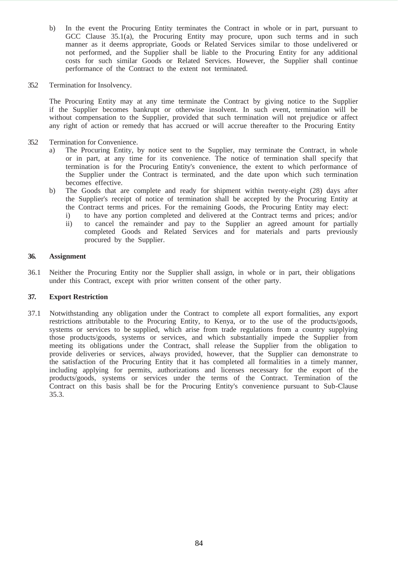- b) In the event the Procuring Entity terminates the Contract in whole or in part, pursuant to GCC Clause 35.1(a), the Procuring Entity may procure, upon such terms and in such manner as it deems appropriate, Goods or Related Services similar to those undelivered or not performed, and the Supplier shall be liable to the Procuring Entity for any additional costs for such similar Goods or Related Services. However, the Supplier shall continue performance of the Contract to the extent not terminated.
- 35.2 Termination for Insolvency.

The Procuring Entity may at any time terminate the Contract by giving notice to the Supplier if the Supplier becomes bankrupt or otherwise insolvent. In such event, termination will be without compensation to the Supplier, provided that such termination will not prejudice or affect any right of action or remedy that has accrued or will accrue thereafter to the Procuring Entity

- 35.2 Termination for Convenience.
	- a) The Procuring Entity, by notice sent to the Supplier, may terminate the Contract, in whole or in part, at any time for its convenience. The notice of termination shall specify that termination is for the Procuring Entity's convenience, the extent to which performance of the Supplier under the Contract is terminated, and the date upon which such termination becomes effective.
	- b) The Goods that are complete and ready for shipment within twenty-eight (28) days after the Supplier's receipt of notice of termination shall be accepted by the Procuring Entity at the Contract terms and prices. For the remaining Goods, the Procuring Entity may elect:
		- i) to have any portion completed and delivered at the Contract terms and prices; and/or ii) to cancel the remainder and pay to the Supplier an agreed amount for partially completed Goods and Related Services and for materials and parts previously procured by the Supplier.

### **36. Assignment**

36.1 Neither the Procuring Entity nor the Supplier shall assign, in whole or in part, their obligations under this Contract, except with prior written consent of the other party.

## **37. Export Restriction**

37.1 Notwithstanding any obligation under the Contract to complete all export formalities, any export restrictions attributable to the Procuring Entity, to Kenya, or to the use of the products/goods, systems or services to be supplied, which arise from trade regulations from a country supplying those products/goods, systems or services, and which substantially impede the Supplier from meeting its obligations under the Contract, shall release the Supplier from the obligation to provide deliveries or services, always provided, however, that the Supplier can demonstrate to the satisfaction of the Procuring Entity that it has completed all formalities in a timely manner, including applying for permits, authorizations and licenses necessary for the export of the products/goods, systems or services under the terms of the Contract. Termination of the Contract on this basis shall be for the Procuring Entity's convenience pursuant to Sub-Clause 35.3.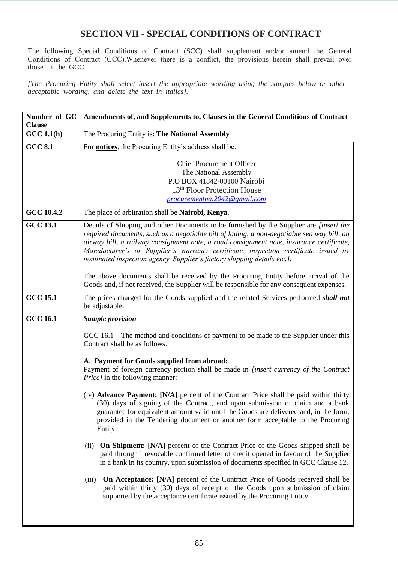## **SECTION VII - SPECIAL CONDITIONS OF CONTRACT**

The following Special Conditions of Contract (SCC) shall supplement and/or amend the General Conditions of Contract (GCC).Whenever there is a conflict, the provisions herein shall prevail over those in the GCC*.*

*[The Procuring Entity shall select insert the appropriate wording using the samples below or other acceptable wording, and delete the text in italics].*

| Number of GC<br><b>Clause</b> | Amendments of, and Supplements to, Clauses in the General Conditions of Contract                                                                                                                                                                                                                                                                                                                                                                                                                                                                  |  |  |
|-------------------------------|---------------------------------------------------------------------------------------------------------------------------------------------------------------------------------------------------------------------------------------------------------------------------------------------------------------------------------------------------------------------------------------------------------------------------------------------------------------------------------------------------------------------------------------------------|--|--|
| GCC 1.1(h)                    | The Procuring Entity is: The National Assembly                                                                                                                                                                                                                                                                                                                                                                                                                                                                                                    |  |  |
| $CCC$ 8.1                     | For <b>notices</b> , the Procuring Entity's address shall be:                                                                                                                                                                                                                                                                                                                                                                                                                                                                                     |  |  |
|                               | <b>Chief Procurement Officer</b><br>The National Assembly<br>P.O BOX 41842-00100 Nairobi<br>13 <sup>th</sup> Floor Protection House<br>procurementna.2042@gmail.com                                                                                                                                                                                                                                                                                                                                                                               |  |  |
| GCC 10.4.2                    | The place of arbitration shall be Nairobi, Kenya.                                                                                                                                                                                                                                                                                                                                                                                                                                                                                                 |  |  |
| <b>GCC 13.1</b>               | Details of Shipping and other Documents to be furnished by the Supplier are <i>[insert the</i><br>required documents, such as a negotiable bill of lading, a non-negotiable sea way bill, an<br>airway bill, a railway consignment note, a road consignment note, insurance certificate,<br>Manufacturer's or Supplier's warranty certificate, inspection certificate issued by<br>nominated inspection agency, Supplier's factory shipping details etc.].<br>The above documents shall be received by the Procuring Entity before arrival of the |  |  |
|                               | Goods and, if not received, the Supplier will be responsible for any consequent expenses.                                                                                                                                                                                                                                                                                                                                                                                                                                                         |  |  |
| <b>GCC 15.1</b>               | The prices charged for the Goods supplied and the related Services performed <i>shall not</i><br>be adjustable.                                                                                                                                                                                                                                                                                                                                                                                                                                   |  |  |
| <b>GCC 16.1</b>               | <b>Sample provision</b>                                                                                                                                                                                                                                                                                                                                                                                                                                                                                                                           |  |  |
|                               | GCC 16.1—The method and conditions of payment to be made to the Supplier under this<br>Contract shall be as follows:                                                                                                                                                                                                                                                                                                                                                                                                                              |  |  |
|                               | A. Payment for Goods supplied from abroad:<br>Payment of foreign currency portion shall be made in [insert currency of the Contract<br><i>Price]</i> in the following manner:                                                                                                                                                                                                                                                                                                                                                                     |  |  |
|                               | (iv) <b>Advance Payment:</b> [N/A] percent of the Contract Price shall be paid within thirty<br>(30) days of signing of the Contract, and upon submission of claim and a bank<br>guarantee for equivalent amount valid until the Goods are delivered and, in the form,<br>provided in the Tendering document or another form acceptable to the Procuring<br>Entity.                                                                                                                                                                               |  |  |
|                               | <b>On Shipment:</b> [N/A] percent of the Contract Price of the Goods shipped shall be<br>(ii)<br>paid through irrevocable confirmed letter of credit opened in favour of the Supplier<br>in a bank in its country, upon submission of documents specified in GCC Clause 12.                                                                                                                                                                                                                                                                       |  |  |
|                               | <b>On Acceptance:</b> [N/A] percent of the Contract Price of Goods received shall be<br>(iii)<br>paid within thirty (30) days of receipt of the Goods upon submission of claim<br>supported by the acceptance certificate issued by the Procuring Entity.                                                                                                                                                                                                                                                                                         |  |  |
|                               |                                                                                                                                                                                                                                                                                                                                                                                                                                                                                                                                                   |  |  |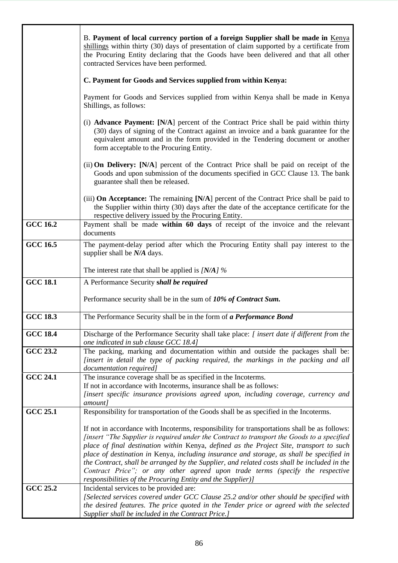|                 | B. Payment of local currency portion of a foreign Supplier shall be made in Kenya<br>shillings within thirty (30) days of presentation of claim supported by a certificate from<br>the Procuring Entity declaring that the Goods have been delivered and that all other<br>contracted Services have been performed.                                                                                                                                                                                                                                                                                                              |  |  |  |  |
|-----------------|----------------------------------------------------------------------------------------------------------------------------------------------------------------------------------------------------------------------------------------------------------------------------------------------------------------------------------------------------------------------------------------------------------------------------------------------------------------------------------------------------------------------------------------------------------------------------------------------------------------------------------|--|--|--|--|
|                 | C. Payment for Goods and Services supplied from within Kenya:                                                                                                                                                                                                                                                                                                                                                                                                                                                                                                                                                                    |  |  |  |  |
|                 | Payment for Goods and Services supplied from within Kenya shall be made in Kenya<br>Shillings, as follows:                                                                                                                                                                                                                                                                                                                                                                                                                                                                                                                       |  |  |  |  |
|                 | (i) <b>Advance Payment:</b> [N/A] percent of the Contract Price shall be paid within thirty<br>(30) days of signing of the Contract against an invoice and a bank guarantee for the<br>equivalent amount and in the form provided in the Tendering document or another<br>form acceptable to the Procuring Entity.                                                                                                                                                                                                                                                                                                               |  |  |  |  |
|                 | (ii) <b>On Delivery:</b> [N/A] percent of the Contract Price shall be paid on receipt of the<br>Goods and upon submission of the documents specified in GCC Clause 13. The bank<br>guarantee shall then be released.                                                                                                                                                                                                                                                                                                                                                                                                             |  |  |  |  |
|                 | (iii) <b>On Acceptance:</b> The remaining [N/A] percent of the Contract Price shall be paid to<br>the Supplier within thirty (30) days after the date of the acceptance certificate for the<br>respective delivery issued by the Procuring Entity.                                                                                                                                                                                                                                                                                                                                                                               |  |  |  |  |
| <b>GCC 16.2</b> | Payment shall be made within 60 days of receipt of the invoice and the relevant<br>documents                                                                                                                                                                                                                                                                                                                                                                                                                                                                                                                                     |  |  |  |  |
| <b>GCC 16.5</b> | The payment-delay period after which the Procuring Entity shall pay interest to the<br>supplier shall be N/A days.                                                                                                                                                                                                                                                                                                                                                                                                                                                                                                               |  |  |  |  |
|                 | The interest rate that shall be applied is $[N/A]$ %                                                                                                                                                                                                                                                                                                                                                                                                                                                                                                                                                                             |  |  |  |  |
| <b>GCC 18.1</b> | A Performance Security shall be required                                                                                                                                                                                                                                                                                                                                                                                                                                                                                                                                                                                         |  |  |  |  |
|                 | Performance security shall be in the sum of 10% of Contract Sum.                                                                                                                                                                                                                                                                                                                                                                                                                                                                                                                                                                 |  |  |  |  |
| <b>GCC 18.3</b> | The Performance Security shall be in the form of a Performance Bond                                                                                                                                                                                                                                                                                                                                                                                                                                                                                                                                                              |  |  |  |  |
| <b>GCC 18.4</b> | Discharge of the Performance Security shall take place: [ insert date if different from the<br>one indicated in sub clause GCC 18.4]                                                                                                                                                                                                                                                                                                                                                                                                                                                                                             |  |  |  |  |
| <b>GCC 23.2</b> | The packing, marking and documentation within and outside the packages shall be:<br><i>linsert in detail the type of packing required, the markings in the packing and all</i><br>documentation required]                                                                                                                                                                                                                                                                                                                                                                                                                        |  |  |  |  |
| <b>GCC 24.1</b> | The insurance coverage shall be as specified in the Incoterms.<br>If not in accordance with Incoterms, insurance shall be as follows:<br>[insert specific insurance provisions agreed upon, including coverage, currency and<br>amount]                                                                                                                                                                                                                                                                                                                                                                                          |  |  |  |  |
| <b>GCC 25.1</b> | Responsibility for transportation of the Goods shall be as specified in the Incoterms.                                                                                                                                                                                                                                                                                                                                                                                                                                                                                                                                           |  |  |  |  |
|                 | If not in accordance with Incoterms, responsibility for transportations shall be as follows:<br>[insert "The Supplier is required under the Contract to transport the Goods to a specified<br>place of final destination within Kenya, defined as the Project Site, transport to such<br>place of destination in Kenya, including insurance and storage, as shall be specified in<br>the Contract, shall be arranged by the Supplier, and related costs shall be included in the<br>Contract Price"; or any other agreed upon trade terms (specify the respective<br>responsibilities of the Procuring Entity and the Supplier)] |  |  |  |  |
| <b>GCC 25.2</b> | Incidental services to be provided are:<br>[Selected services covered under GCC Clause 25.2 and/or other should be specified with<br>the desired features. The price quoted in the Tender price or agreed with the selected<br>Supplier shall be included in the Contract Price.]                                                                                                                                                                                                                                                                                                                                                |  |  |  |  |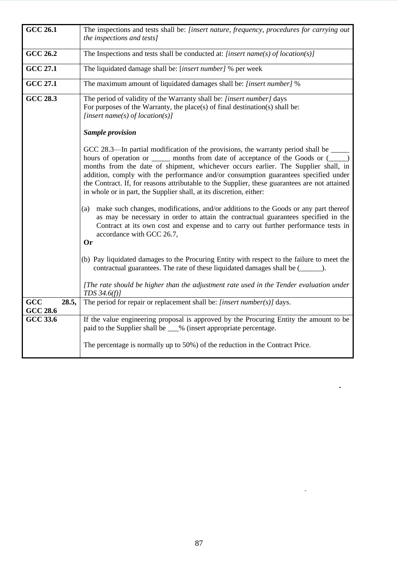| <b>GCC 26.1</b> | The inspections and tests shall be: [insert nature, frequency, procedures for carrying out    |  |  |  |  |
|-----------------|-----------------------------------------------------------------------------------------------|--|--|--|--|
|                 | the inspections and tests]                                                                    |  |  |  |  |
|                 |                                                                                               |  |  |  |  |
| <b>GCC 26.2</b> | The Inspections and tests shall be conducted at: [insert name(s) of $location(s)$ ]           |  |  |  |  |
|                 |                                                                                               |  |  |  |  |
| <b>GCC 27.1</b> | The liquidated damage shall be: [insert number] % per week                                    |  |  |  |  |
| <b>GCC 27.1</b> | The maximum amount of liquidated damages shall be: [insert number] %                          |  |  |  |  |
| <b>GCC 28.3</b> | The period of validity of the Warranty shall be: [insert number] days                         |  |  |  |  |
|                 | For purposes of the Warranty, the place(s) of final destination(s) shall be:                  |  |  |  |  |
|                 | [insert name(s) of location(s)]                                                               |  |  |  |  |
|                 |                                                                                               |  |  |  |  |
|                 | <b>Sample provision</b>                                                                       |  |  |  |  |
|                 | GCC 28.3—In partial modification of the provisions, the warranty period shall be              |  |  |  |  |
|                 | hours of operation or _______ months from date of acceptance of the Goods or (_____)          |  |  |  |  |
|                 | months from the date of shipment, whichever occurs earlier. The Supplier shall, in            |  |  |  |  |
|                 | addition, comply with the performance and/or consumption guarantees specified under           |  |  |  |  |
|                 | the Contract. If, for reasons attributable to the Supplier, these guarantees are not attained |  |  |  |  |
|                 | in whole or in part, the Supplier shall, at its discretion, either:                           |  |  |  |  |
|                 |                                                                                               |  |  |  |  |
|                 | make such changes, modifications, and/or additions to the Goods or any part thereof<br>(a)    |  |  |  |  |
|                 | as may be necessary in order to attain the contractual guarantees specified in the            |  |  |  |  |
|                 | Contract at its own cost and expense and to carry out further performance tests in            |  |  |  |  |
|                 | accordance with GCC 26.7,                                                                     |  |  |  |  |
|                 | <b>Or</b>                                                                                     |  |  |  |  |
|                 |                                                                                               |  |  |  |  |
|                 | (b) Pay liquidated damages to the Procuring Entity with respect to the failure to meet the    |  |  |  |  |
|                 | contractual guarantees. The rate of these liquidated damages shall be (                       |  |  |  |  |
|                 | [The rate should be higher than the adjustment rate used in the Tender evaluation under       |  |  |  |  |
|                 | TDS $34.6(f)$                                                                                 |  |  |  |  |
| GCC<br>28.5,    | The period for repair or replacement shall be: [insert number(s)] days.                       |  |  |  |  |
| <b>GCC 28.6</b> |                                                                                               |  |  |  |  |
| <b>GCC 33.6</b> | If the value engineering proposal is approved by the Procuring Entity the amount to be        |  |  |  |  |
|                 | paid to the Supplier shall be __% (insert appropriate percentage.                             |  |  |  |  |
|                 |                                                                                               |  |  |  |  |
|                 | The percentage is normally up to 50%) of the reduction in the Contract Price.                 |  |  |  |  |
|                 |                                                                                               |  |  |  |  |

 $\overline{\phantom{a}}$ 

 $\frac{1}{2} \left( \frac{1}{2} \right)$  .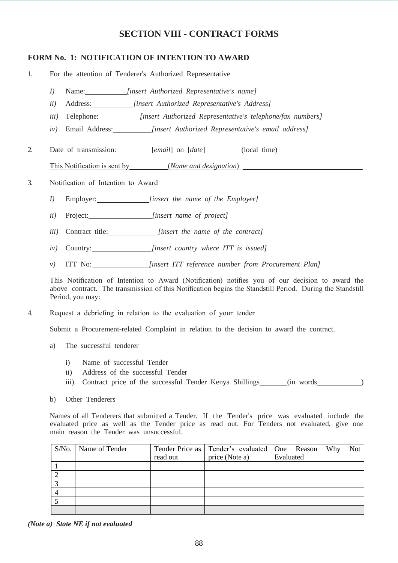## **SECTION VIII - CONTRACT FORMS**

## **FORM No. 1: NOTIFICATION OF INTENTION TO AWARD**

1. For the attention of Tenderer's Authorized Representative

- *I)* Name: *[insert Authorized Representative's name]*
- *ii)* Address: *[insert Authorized Representative's Address]*
- *iii)* Telephone: *[insert Authorized Representative's telephone/fax numbers]*
- *iv)* Email Address: *[insert Authorized Representative's email address]*
- 2 Date of transmission: *[email]* on [*date*] (local time)

This Notification is sent by (*Name and designation*)

- 3. Notification of Intention to Award
	- *I)* Employer: *[insert the name of the Employer]*
	- *ii)* Project: *[insert name of project]*
	- *iii)* Contract title: *[insert the name of the contract]*
	- *iv)* Country: *[insert country where ITT is issued]*
	- *v)* ITT No: *[insert ITT reference number from Procurement Plan]*

This Notification of Intention to Award (Notification) notifies you of our decision to award the above contract. The transmission of this Notification begins the Standstill Period. During the Standstill Period, you may:

4. Request a debriefing in relation to the evaluation of your tender

Submit a Procurement-related Complaint in relation to the decision to award the contract.

- a) The successful tenderer
	- i) Name of successful Tender<br>ii) Address of the successful T
	- Address of the successful Tender
	- iii) Contract price of the successful Tender Kenya Shillings (in words )
- b) Other Tenderers

Names of all Tenderers that submitted a Tender. If the Tender's price was evaluated include the evaluated price as well as the Tender price as read out. For Tenders not evaluated, give one main reason the Tender was unsuccessful.

| S/No.   Name of Tender |          | Tender Price as   Tender's evaluated   One Reason Why |           | Not |
|------------------------|----------|-------------------------------------------------------|-----------|-----|
|                        | read out | price (Note a)                                        | Evaluated |     |
|                        |          |                                                       |           |     |
|                        |          |                                                       |           |     |
|                        |          |                                                       |           |     |
|                        |          |                                                       |           |     |
|                        |          |                                                       |           |     |
|                        |          |                                                       |           |     |

*(Note a) State NE if not evaluated*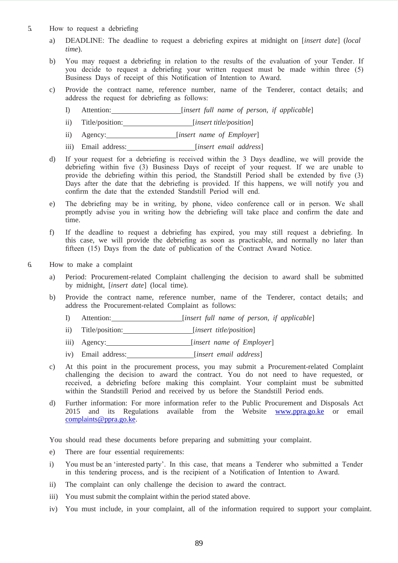- 5. How to request a debriefing
	- a) DEADLINE: The deadline to request a debriefing expires at midnight on [*insert date*] (*local time*).
	- b) You may request a debriefing in relation to the results of the evaluation of your Tender. If you decide to request a debriefing your written request must be made within three (5) Business Days of receipt of this Notification of Intention to Award.
	- c) Provide the contract name, reference number, name of the Tenderer, contact details; and address the request for debriefing as follows:
		- I) Attention: [*insert full name of person, if applicable*]
		- ii) Title/position: [*insert title/position*]
		- ii) Agency: [*insert name of Employer*]
		- iii) Email address: *[insert email address]*
	- d) If your request for a debriefing is received within the 3 Days deadline, we will provide the debriefing within five (3) Business Days of receipt of your request. If we are unable to provide the debriefing within this period, the Standstill Period shall be extended by five (3) Days after the date that the debriefing is provided. If this happens, we will notify you and confirm the date that the extended Standstill Period will end.
	- e) The debriefing may be in writing, by phone, video conference call or in person. We shall promptly advise you in writing how the debriefing will take place and confirm the date and time.
	- f) If the deadline to request a debriefing has expired, you may still request a debriefing. In this case, we will provide the debriefing as soon as practicable, and normally no later than fifteen (15) Days from the date of publication of the Contract Award Notice.
- 6. How to make a complaint
	- a) Period: Procurement-related Complaint challenging the decision to award shall be submitted by midnight, [*insert date*] (local time).
	- b) Provide the contract name, reference number, name of the Tenderer, contact details; and address the Procurement-related Complaint as follows:
		- I) Attention: [*insert full name of person, if applicable*]
		- ii) Title/position: [*insert title/position*]
		- iii) Agency: [*insert name of Employer*]
		- iv) Email address: *[insert email address]*
	- c) At this point in the procurement process, you may submit a Procurement-related Complaint challenging the decision to award the contract. You do not need to have requested, or received, a debriefing before making this complaint. Your complaint must be submitted within the Standstill Period and received by us before the Standstill Period ends.
	- d) Further information: For more information refer to the Public Procurement and Disposals Act 2015 and its Regulations available from the Website [www.ppra.go.ke o](http://www.ppra.go.ke/)r emai[l](mailto:complaints@ppra.go.ke)  [complaints@ppra.go.ke.](mailto:complaints@ppra.go.ke)

You should read these documents before preparing and submitting your complaint.

- e) There are four essential requirements:
- i) You must be an 'interested party'. In this case, that means a Tenderer who submitted a Tender in this tendering process, and is the recipient of a Notification of Intention to Award.
- ii) The complaint can only challenge the decision to award the contract.
- iii) You must submit the complaint within the period stated above.
- iv) You must include, in your complaint, all of the information required to support your complaint.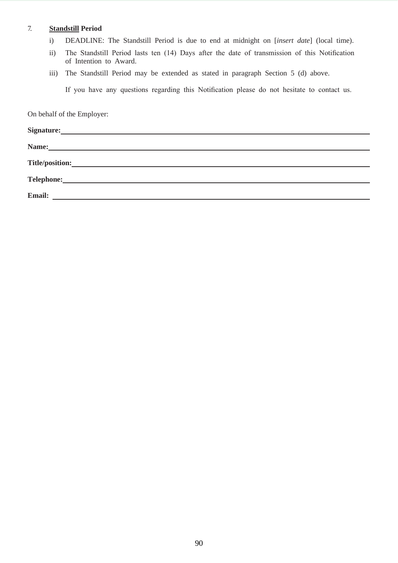## 7. **Standstill Period**

- i) DEADLINE: The Standstill Period is due to end at midnight on [*insert date*] (local time).
- ii) The Standstill Period lasts ten (14) Days after the date of transmission of this Notification of Intention to Award.
- iii) The Standstill Period may be extended as stated in paragraph Section 5 (d) above.

If you have any questions regarding this Notification please do not hesitate to contact us.

On behalf of the Employer:

| <b>Email:</b><br><u> 1989 - Johann Barnett, fransk politiker (d. 1989)</u> |
|----------------------------------------------------------------------------|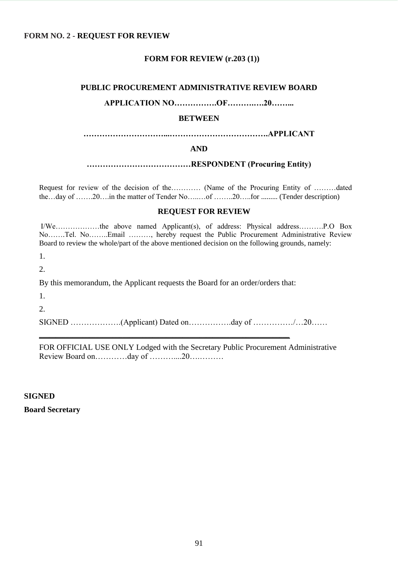## **FORM NO. 2 - REQUEST FOR REVIEW**

## **FORM FOR REVIEW (r.203 (1))**

#### **PUBLIC PROCUREMENT ADMINISTRATIVE REVIEW BOARD**

## **APPLICATION NO…………….OF……….….20……...**

#### **BETWEEN**

**…………………………...……………………………….APPLICANT** 

#### **AND**

**…………………………………RESPONDENT (Procuring Entity)**

Request for review of the decision of the………… (Name of the Procuring Entity of ………dated the…day of …….20….in the matter of Tender No……..of ……..20…..for ………. (Tender description)

## **REQUEST FOR REVIEW**

I/We………………the above named Applicant(s), of address: Physical address……….P.O Box No…….Tel. No……..Email ………, hereby request the Public Procurement Administrative Review Board to review the whole/part of the above mentioned decision on the following grounds, namely:

1.

2.

By this memorandum, the Applicant requests the Board for an order/orders that:

**\_\_\_\_\_\_\_\_\_\_\_\_\_\_\_\_\_\_\_\_\_\_\_\_\_\_\_\_\_\_\_\_\_\_\_\_\_\_\_\_\_\_\_\_\_\_\_\_\_\_\_\_\_\_\_\_\_\_\_\_\_\_\_\_\_\_\_\_\_\_\_\_\_\_\_**

1.

2.

SIGNED ………………..(Applicant) Dated on……………day of ……………/…20……

FOR OFFICIAL USE ONLY Lodged with the Secretary Public Procurement Administrative Review Board on…………day of ………....20….………

#### **SIGNED**

#### **Board Secretary**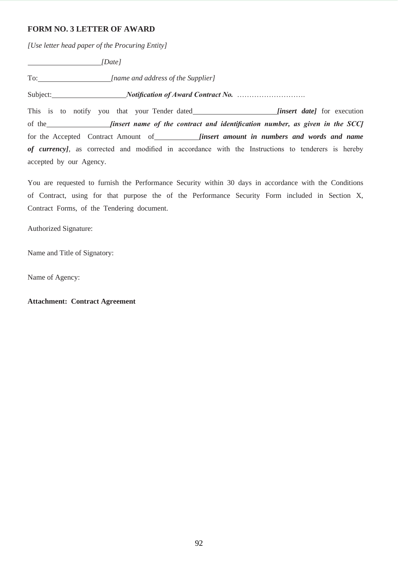## **FORM NO. 3 LETTER OF AWARD**

*[Use letter head paper of the Procuring Entity]*

 *[Date]* To: *[name and address of the Supplier]* Subject: *Notification of Award Contract No.* ………………………. This is to notify you that your Tender dated *[insert date]* for execution of the *<i>[insert name of the contract and identification number, as given in the SCC]* for the Accepted Contract Amount of *[insert amount in numbers and words and name of currency]*, as corrected and modified in accordance with the Instructions to tenderers is hereby accepted by our Agency.

You are requested to furnish the Performance Security within 30 days in accordance with the Conditions of Contract, using for that purpose the of the Performance Security Form included in Section X, Contract Forms, of the Tendering document.

Authorized Signature:

Name and Title of Signatory:

Name of Agency:

**Attachment: Contract Agreement**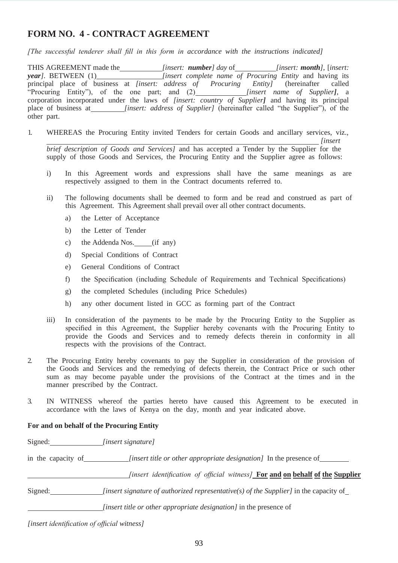## **FORM NO. 4 - CONTRACT AGREEMENT**

*[The successful tenderer shall fill in this form in accordance with the instructions indicated]*

THIS AGREEMENT made the *[insert: number] day* of *[insert: <i>nonth*], [insert: *year]*. BETWEEN (1) *[insert complete name of Procuring Entity* and having its principal place of business at *[insert: address of Procuring Entity]* (hereinafter called "Procuring Entity"), of the one part; and (2) *[insert name of Supplier]*, a corporation incorporated under the laws of *[insert: country of Supplier*] and having its principal place of business at *[insert: address of Supplier]* (hereinafter called "the Supplier"), of the other part.

1. WHEREAS the Procuring Entity invited Tenders for certain Goods and ancillary services, viz., *[insert* 

*brief description of Goods and Services]* and has accepted a Tender by the Supplier for the supply of those Goods and Services, the Procuring Entity and the Supplier agree as follows:

- i) In this Agreement words and expressions shall have the same meanings as are respectively assigned to them in the Contract documents referred to.
- ii) The following documents shall be deemed to form and be read and construed as part of this Agreement. This Agreement shall prevail over all other contract documents.
	- a) the Letter of Acceptance
	- b) the Letter of Tender
	- c) the Addenda Nos.  $(if \text{ any})$
	- d) Special Conditions of Contract
	- e) General Conditions of Contract
	- f) the Specification (including Schedule of Requirements and Technical Specifications)
	- g) the completed Schedules (including Price Schedules)
	- h) any other document listed in GCC as forming part of the Contract
- iii) In consideration of the payments to be made by the Procuring Entity to the Supplier as specified in this Agreement, the Supplier hereby covenants with the Procuring Entity to provide the Goods and Services and to remedy defects therein in conformity in all respects with the provisions of the Contract.
- 2. The Procuring Entity hereby covenants to pay the Supplier in consideration of the provision of the Goods and Services and the remedying of defects therein, the Contract Price or such other sum as may become payable under the provisions of the Contract at the times and in the manner prescribed by the Contract.
- 3. IN WITNESS whereof the parties hereto have caused this Agreement to be executed in accordance with the laws of Kenya on the day, month and year indicated above.

#### **For and on behalf of the Procuring Entity**

Signed: *[insert signature]*

in the capacity of *[insert title or other appropriate designation]* In the presence of

*<u><i>finsert identification of official witness]* **For and on behalf of the Supplier**</u>

Signed: *[insert signature of authorized representative(s) of the Supplier]* in the capacity of

*[insert title or other appropriate designation]* in the presence of

*[insert identification of official witness]*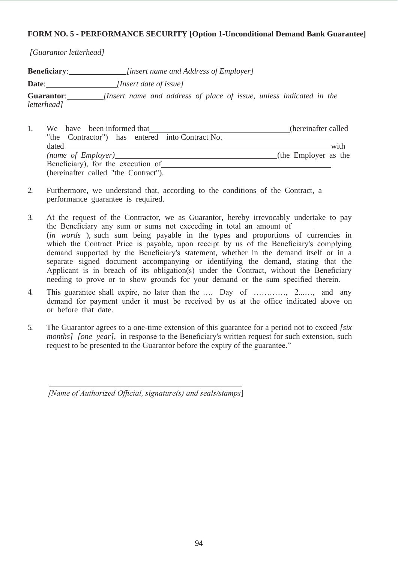## **FORM NO. 5 - PERFORMANCE SECURITY [Option 1-Unconditional Demand Bank Guarantee]**

*[Guarantor letterhead]*

**Beneficiary**: *[insert name and Address of Employer]*  **Date**: *[Insert date of issue]* **Guarantor**: *[Insert name and address of place of issue, unless indicated in the letterhead]*

- 1. We have been informed that 1. (hereinafter called "the Contractor") has entered into Contract No. dated with with with the contract of the contract of the contract of the contract of the contract of the contract of the contract of the contract of the contract of the contract of the contract of the contract of the contr *(name of Employer)* (*name of Employer*) **(***name of Employer* as the Beneficiary), for the execution of (hereinafter called "the Contract").
- 2. Furthermore, we understand that, according to the conditions of the Contract, a performance guarantee is required.
- 3. At the request of the Contractor, we as Guarantor, hereby irrevocably undertake to pay the Beneficiary any sum or sums not exceeding in total an amount of (*in words* ), such sum being payable in the types and proportions of currencies in which the Contract Price is payable, upon receipt by us of the Beneficiary's complying demand supported by the Beneficiary's statement, whether in the demand itself or in a separate signed document accompanying or identifying the demand, stating that the Applicant is in breach of its obligation(s) under the Contract, without the Beneficiary needing to prove or to show grounds for your demand or the sum specified therein.
- 4. This guarantee shall expire, no later than the …. Day of …………, 2...…, and any demand for payment under it must be received by us at the office indicated above on or before that date.
- 5. The Guarantor agrees to a one-time extension of this guarantee for a period not to exceed *[six months] [one year]*, in response to the Beneficiary's written request for such extension, such request to be presented to the Guarantor before the expiry of the guarantee."

*[Name of Authorized Official, signature(s) and seals/stamps*]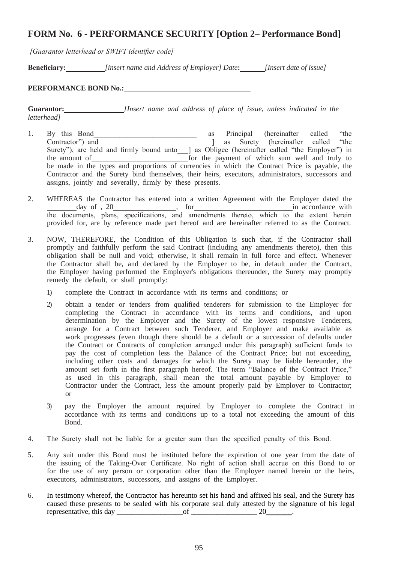## **FORM No. 6 - PERFORMANCE SECURITY [Option 2– Performance Bond]**

*[Guarantor letterhead or SWIFT identifier code]*

**Beneficiary:** *[insert name and Address of Employer] Date***:** *[Insert date of issue]*

## **PERFORMANCE BOND No.:**

**Guarantor:** *[Insert name and address of place of issue, unless indicated in the letterhead]*

- 1. By this Bond\_\_\_\_\_\_\_\_\_\_\_\_\_\_\_\_\_\_\_\_\_\_\_\_\_\_\_\_ as Principal (hereinafter called "the Contractor") and ] as Surety (hereinafter called "the Surety"), are held and firmly bound unto\_\_\_] as Obligee (hereinafter called "the Employer") in the amount of **for the payment** of which sum well and truly to be made in the types and proportions of currencies in which the Contract Price is payable, the Contractor and the Surety bind themselves, their heirs, executors, administrators, successors and assigns, jointly and severally, firmly by these presents.
- 2. WHEREAS the Contractor has entered into a written Agreement with the Employer dated the day of , 20 help in accordance with the same state of the set of the set of the set of the set of the set of the set of the set of the set of the set of the set of the set of the set of the set of the set of the set of the the documents, plans, specifications, and amendments thereto, which to the extent herein provided for, are by reference made part hereof and are hereinafter referred to as the Contract.
- 3. NOW, THEREFORE, the Condition of this Obligation is such that, if the Contractor shall promptly and faithfully perform the said Contract (including any amendments thereto), then this obligation shall be null and void; otherwise, it shall remain in full force and effect. Whenever the Contractor shall be, and declared by the Employer to be, in default under the Contract, the Employer having performed the Employer's obligations thereunder, the Surety may promptly remedy the default, or shall promptly:
	- 1) complete the Contract in accordance with its terms and conditions; or
	- 2) obtain a tender or tenders from qualified tenderers for submission to the Employer for completing the Contract in accordance with its terms and conditions, and upon determination by the Employer and the Surety of the lowest responsive Tenderers, arrange for a Contract between such Tenderer, and Employer and make available as work progresses (even though there should be a default or a succession of defaults under the Contract or Contracts of completion arranged under this paragraph) sufficient funds to pay the cost of completion less the Balance of the Contract Price; but not exceeding, including other costs and damages for which the Surety may be liable hereunder, the amount set forth in the first paragraph hereof. The term "Balance of the Contract Price," as used in this paragraph, shall mean the total amount payable by Employer to Contractor under the Contract, less the amount properly paid by Employer to Contractor; or
	- 3) pay the Employer the amount required by Employer to complete the Contract in accordance with its terms and conditions up to a total not exceeding the amount of this Bond.
- 4. The Surety shall not be liable for a greater sum than the specified penalty of this Bond.
- 5. Any suit under this Bond must be instituted before the expiration of one year from the date of the issuing of the Taking-Over Certificate. No right of action shall accrue on this Bond to or for the use of any person or corporation other than the Employer named herein or the heirs, executors, administrators, successors, and assigns of the Employer.
- 6. In testimony whereof, the Contractor has hereunto set his hand and affixed his seal, and the Surety has caused these presents to be sealed with his corporate seal duly attested by the signature of his legal representative, this day \_\_\_\_\_\_\_\_\_\_\_\_\_\_\_\_\_\_of \_\_\_\_\_\_\_\_\_\_\_\_\_\_\_\_\_\_ 20\_\_\_\_\_\_\_.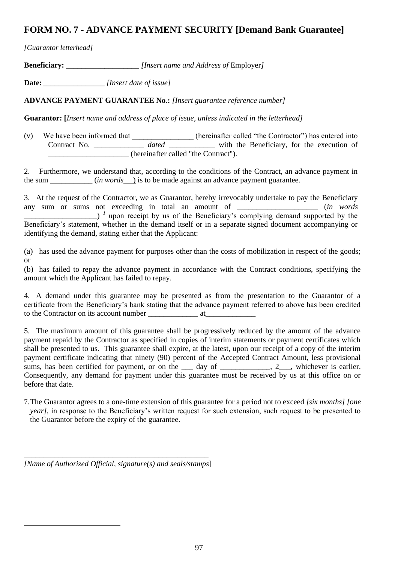## **FORM NO. 7 - ADVANCE PAYMENT SECURITY [Demand Bank Guarantee]**

*[Guarantor letterhead]* 

**Beneficiary:** \_\_\_\_\_\_\_\_\_\_\_\_\_\_\_\_\_\_\_ *[Insert name and Address of* Employer*]*

**Date:** \_\_\_\_\_\_\_\_\_\_\_\_\_\_\_\_ *[Insert date of issue]*

**ADVANCE PAYMENT GUARANTEE No.:** *[Insert guarantee reference number]*

**Guarantor: [***Insert name and address of place of issue, unless indicated in the letterhead]*

(v) We have been informed that \_\_\_\_\_\_\_\_\_\_\_\_\_\_\_\_ (hereinafter called "the Contractor") has entered into Contract No. \_\_\_\_\_\_\_\_\_\_\_\_\_ *dated* \_\_\_\_\_\_\_\_\_\_\_\_ with the Beneficiary, for the execution of \_\_\_\_\_\_\_\_\_\_\_\_\_\_\_\_\_\_\_\_\_ (hereinafter called "the Contract").

2. Furthermore, we understand that, according to the conditions of the Contract, an advance payment in the sum  $(in words)$  is to be made against an advance payment guarantee.

3. At the request of the Contractor, we as Guarantor, hereby irrevocably undertake to pay the Beneficiary any sum or sums not exceeding in total an amount of \_\_\_\_\_\_\_\_\_\_\_\_\_\_\_\_\_\_\_\_\_ (*in words* **EXECUTE:** The Density's complying demand supported by the Beneficiary's statement, whether in the demand itself or in a separate signed document accompanying or identifying the demand, stating either that the Applicant:

(a) has used the advance payment for purposes other than the costs of mobilization in respect of the goods; or

(b) has failed to repay the advance payment in accordance with the Contract conditions, specifying the amount which the Applicant has failed to repay.

4. A demand under this guarantee may be presented as from the presentation to the Guarantor of a certificate from the Beneficiary's bank stating that the advance payment referred to above has been credited to the Contractor on its account number  $\qquad \qquad$  at

5. The maximum amount of this guarantee shall be progressively reduced by the amount of the advance payment repaid by the Contractor as specified in copies of interim statements or payment certificates which shall be presented to us. This guarantee shall expire, at the latest, upon our receipt of a copy of the interim payment certificate indicating that ninety (90) percent of the Accepted Contract Amount, less provisional sums, has been certified for payment, or on the  $\_\_\_$  day of  $\_\_\_\_\_\_\_\_$ , 2 $\_\_\_\_\$ , whichever is earlier. Consequently, any demand for payment under this guarantee must be received by us at this office on or before that date.

7.The Guarantor agrees to a one-time extension of this guarantee for a period not to exceed *[six months] [one year]*, in response to the Beneficiary's written request for such extension, such request to be presented to the Guarantor before the expiry of the guarantee.

\_\_\_\_\_\_\_\_\_\_\_\_\_\_\_\_\_\_\_\_\_\_\_\_\_\_\_\_\_\_\_\_\_\_\_\_\_\_\_\_\_\_\_\_\_\_\_\_ *[Name of Authorized Official, signature(s) and seals/stamps*]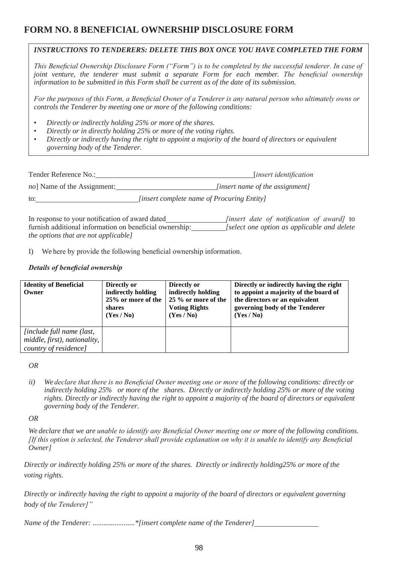## **FORM NO. 8 BENEFICIAL OWNERSHIP DISCLOSURE FORM**

## *INSTRUCTIONS TO TENDERERS: DELETE THIS BOX ONCE YOU HAVE COMPLETED THE FORM*

*This Beneficial Ownership Disclosure Form ("Form") is to be completed by the successful tenderer. In case of joint venture, the tenderer must submit a separate Form for each member. The beneficial ownership information to be submitted in this Form shall be current as of the date of its submission.*

*For the purposes of this Form, a Beneficial Owner of a Tenderer is any natural person who ultimately owns or controls the Tenderer by meeting one or more of the following conditions:*

- *Directly or indirectly holding 25% or more of the shares.*
- *Directly or in directly holding 25% or more of the voting rights.*
- *Directly or indirectly having the right to appoint a majority of the board of directors or equivalent governing body of the Tenderer.*

| Tender Reference No.:               | <i>linsert identification</i>                     |
|-------------------------------------|---------------------------------------------------|
| <i>no</i> ] Name of the Assignment: | <i>linsert name of the assignment]</i>            |
| to:                                 | <i>linsert complete name of Procuring Entity]</i> |

In response to your notification of award dated *[insert date of notification of award]* to furnish additional information on beneficial ownership: *[select one option as applicable and delete the options that are not applicable]*

I) We here by provide the following beneficial ownership information.

## *Details of beneficial ownership*

| <b>Identity of Beneficial</b><br>Owner                                                    | Directly or<br>indirectly holding<br>25% or more of the<br>shares<br>(Yes/No) | Directly or<br>indirectly holding<br>25 % or more of the<br><b>Voting Rights</b><br>(Yes/No) | Directly or indirectly having the right<br>to appoint a majority of the board of<br>the directors or an equivalent<br>governing body of the Tenderer<br>(Yes/No) |
|-------------------------------------------------------------------------------------------|-------------------------------------------------------------------------------|----------------------------------------------------------------------------------------------|------------------------------------------------------------------------------------------------------------------------------------------------------------------|
| <i>linclude full name (last,</i><br>middle, first), nationality,<br>country of residence] |                                                                               |                                                                                              |                                                                                                                                                                  |

#### *OR*

*ii) We declare that there is no Beneficial Owner meeting one or more of the following conditions: directly or indirectly holding 25% or more of the shares. Directly or indirectly holding 25% or more of the voting rights. Directly or indirectly having the right to appoint a majority of the board of directors or equivalent governing body of the Tenderer.*

*OR*

*We declare that we are unable to identify any Beneficial Owner meeting one or more of the following conditions. [If this option is selected, the Tenderer shall provide explanation on why it is unable to identify any Beneficial Owner]*

*Directly or indirectly holding 25% or more of the shares. Directly or indirectly holding25% or more of the voting rights.*

*Directly or indirectly having the right to appoint a majority of the board of directors or equivalent governing body of the Tenderer]"*

*Name of the Tenderer: .......................\*[insert complete name of the Tenderer]*